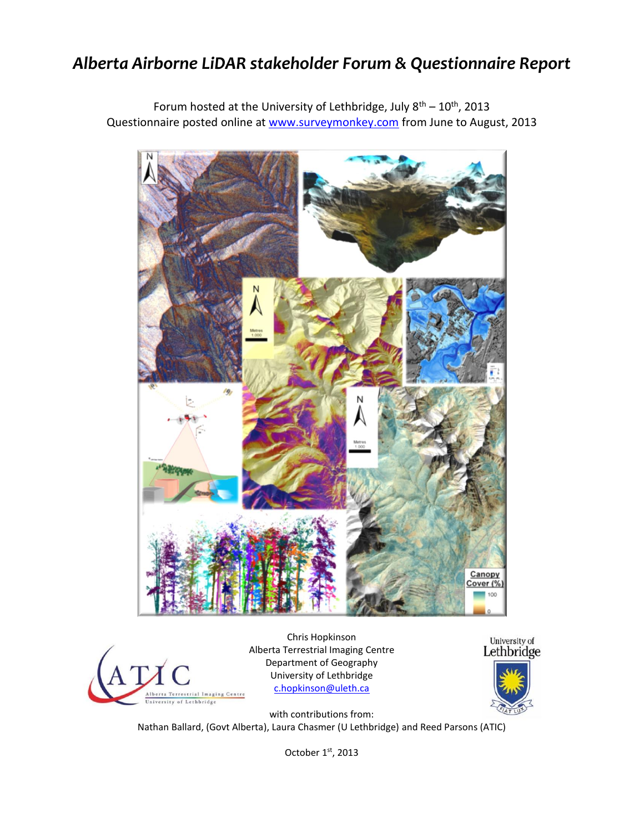# *Alberta Airborne LiDAR stakeholder Forum & Questionnaire Report*

Forum hosted at the University of Lethbridge, July  $8^{th} - 10^{th}$ , 2013 Questionnaire posted online at [www.surveymonkey.com](http://www.surveymonkey.com/) from June to August, 2013





Chris Hopkinson Alberta Terrestrial Imaging Centre Department of Geography University of Lethbridge [c.hopkinson@uleth.ca](mailto:c.hopkinson@uleth.ca)



with contributions from: Nathan Ballard, (Govt Alberta), Laura Chasmer (U Lethbridge) and Reed Parsons (ATIC)

October  $1<sup>st</sup>$ , 2013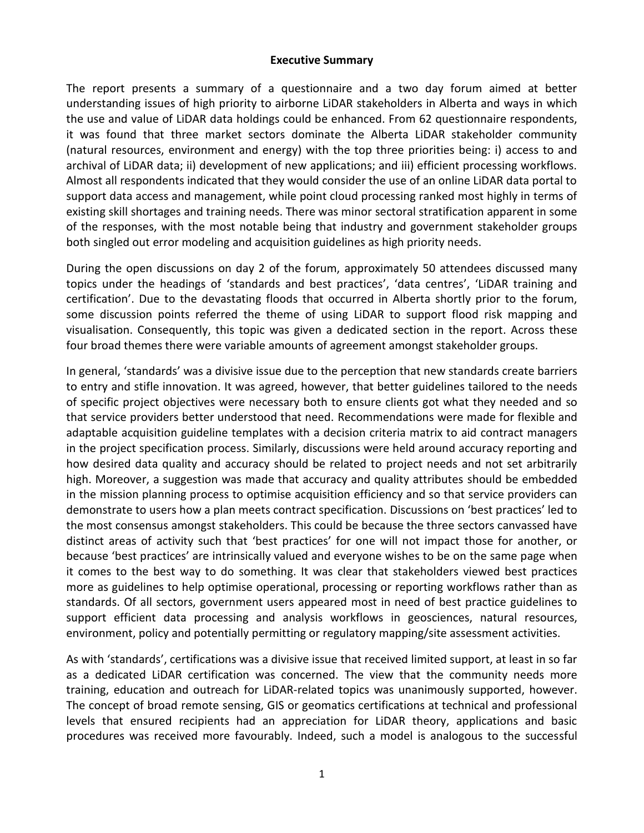# **Executive Summary**

The report presents a summary of a questionnaire and a two day forum aimed at better understanding issues of high priority to airborne LiDAR stakeholders in Alberta and ways in which the use and value of LiDAR data holdings could be enhanced. From 62 questionnaire respondents, it was found that three market sectors dominate the Alberta LiDAR stakeholder community (natural resources, environment and energy) with the top three priorities being: i) access to and archival of LiDAR data; ii) development of new applications; and iii) efficient processing workflows. Almost all respondents indicated that they would consider the use of an online LiDAR data portal to support data access and management, while point cloud processing ranked most highly in terms of existing skill shortages and training needs. There was minor sectoral stratification apparent in some of the responses, with the most notable being that industry and government stakeholder groups both singled out error modeling and acquisition guidelines as high priority needs.

During the open discussions on day 2 of the forum, approximately 50 attendees discussed many topics under the headings of 'standards and best practices', 'data centres', 'LiDAR training and certification'. Due to the devastating floods that occurred in Alberta shortly prior to the forum, some discussion points referred the theme of using LiDAR to support flood risk mapping and visualisation. Consequently, this topic was given a dedicated section in the report. Across these four broad themes there were variable amounts of agreement amongst stakeholder groups.

In general, 'standards' was a divisive issue due to the perception that new standards create barriers to entry and stifle innovation. It was agreed, however, that better guidelines tailored to the needs of specific project objectives were necessary both to ensure clients got what they needed and so that service providers better understood that need. Recommendations were made for flexible and adaptable acquisition guideline templates with a decision criteria matrix to aid contract managers in the project specification process. Similarly, discussions were held around accuracy reporting and how desired data quality and accuracy should be related to project needs and not set arbitrarily high. Moreover, a suggestion was made that accuracy and quality attributes should be embedded in the mission planning process to optimise acquisition efficiency and so that service providers can demonstrate to users how a plan meets contract specification. Discussions on 'best practices' led to the most consensus amongst stakeholders. This could be because the three sectors canvassed have distinct areas of activity such that 'best practices' for one will not impact those for another, or because 'best practices' are intrinsically valued and everyone wishes to be on the same page when it comes to the best way to do something. It was clear that stakeholders viewed best practices more as guidelines to help optimise operational, processing or reporting workflows rather than as standards. Of all sectors, government users appeared most in need of best practice guidelines to support efficient data processing and analysis workflows in geosciences, natural resources, environment, policy and potentially permitting or regulatory mapping/site assessment activities.

As with 'standards', certifications was a divisive issue that received limited support, at least in so far as a dedicated LiDAR certification was concerned. The view that the community needs more training, education and outreach for LiDAR-related topics was unanimously supported, however. The concept of broad remote sensing, GIS or geomatics certifications at technical and professional levels that ensured recipients had an appreciation for LiDAR theory, applications and basic procedures was received more favourably. Indeed, such a model is analogous to the successful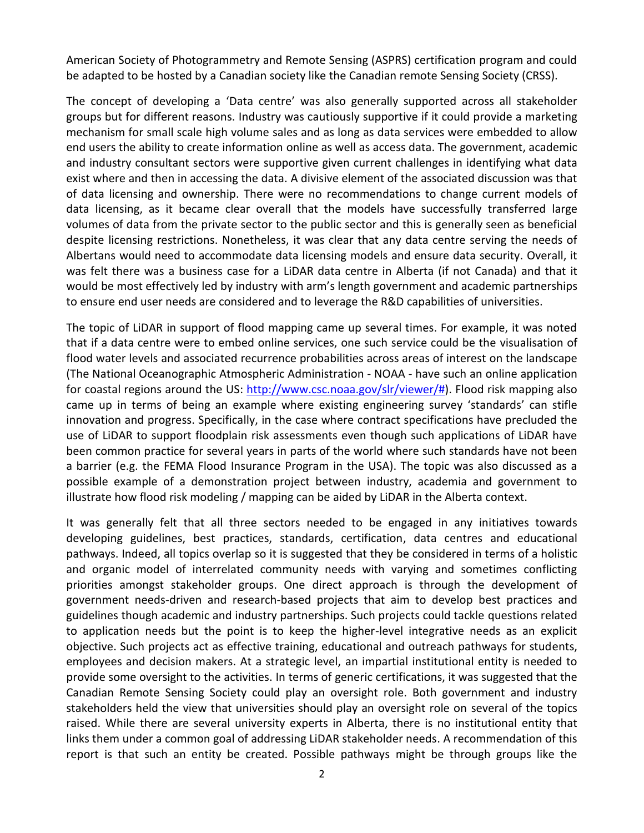American Society of Photogrammetry and Remote Sensing (ASPRS) certification program and could be adapted to be hosted by a Canadian society like the Canadian remote Sensing Society (CRSS).

The concept of developing a 'Data centre' was also generally supported across all stakeholder groups but for different reasons. Industry was cautiously supportive if it could provide a marketing mechanism for small scale high volume sales and as long as data services were embedded to allow end users the ability to create information online as well as access data. The government, academic and industry consultant sectors were supportive given current challenges in identifying what data exist where and then in accessing the data. A divisive element of the associated discussion was that of data licensing and ownership. There were no recommendations to change current models of data licensing, as it became clear overall that the models have successfully transferred large volumes of data from the private sector to the public sector and this is generally seen as beneficial despite licensing restrictions. Nonetheless, it was clear that any data centre serving the needs of Albertans would need to accommodate data licensing models and ensure data security. Overall, it was felt there was a business case for a LiDAR data centre in Alberta (if not Canada) and that it would be most effectively led by industry with arm's length government and academic partnerships to ensure end user needs are considered and to leverage the R&D capabilities of universities.

The topic of LiDAR in support of flood mapping came up several times. For example, it was noted that if a data centre were to embed online services, one such service could be the visualisation of flood water levels and associated recurrence probabilities across areas of interest on the landscape (The National Oceanographic Atmospheric Administration - NOAA - have such an online application for coastal regions around the US: [http://www.csc.noaa.gov/slr/viewer/#\)](http://www.csc.noaa.gov/slr/viewer/). Flood risk mapping also came up in terms of being an example where existing engineering survey 'standards' can stifle innovation and progress. Specifically, in the case where contract specifications have precluded the use of LiDAR to support floodplain risk assessments even though such applications of LiDAR have been common practice for several years in parts of the world where such standards have not been a barrier (e.g. the FEMA Flood Insurance Program in the USA). The topic was also discussed as a possible example of a demonstration project between industry, academia and government to illustrate how flood risk modeling / mapping can be aided by LiDAR in the Alberta context.

It was generally felt that all three sectors needed to be engaged in any initiatives towards developing guidelines, best practices, standards, certification, data centres and educational pathways. Indeed, all topics overlap so it is suggested that they be considered in terms of a holistic and organic model of interrelated community needs with varying and sometimes conflicting priorities amongst stakeholder groups. One direct approach is through the development of government needs-driven and research-based projects that aim to develop best practices and guidelines though academic and industry partnerships. Such projects could tackle questions related to application needs but the point is to keep the higher-level integrative needs as an explicit objective. Such projects act as effective training, educational and outreach pathways for students, employees and decision makers. At a strategic level, an impartial institutional entity is needed to provide some oversight to the activities. In terms of generic certifications, it was suggested that the Canadian Remote Sensing Society could play an oversight role. Both government and industry stakeholders held the view that universities should play an oversight role on several of the topics raised. While there are several university experts in Alberta, there is no institutional entity that links them under a common goal of addressing LiDAR stakeholder needs. A recommendation of this report is that such an entity be created. Possible pathways might be through groups like the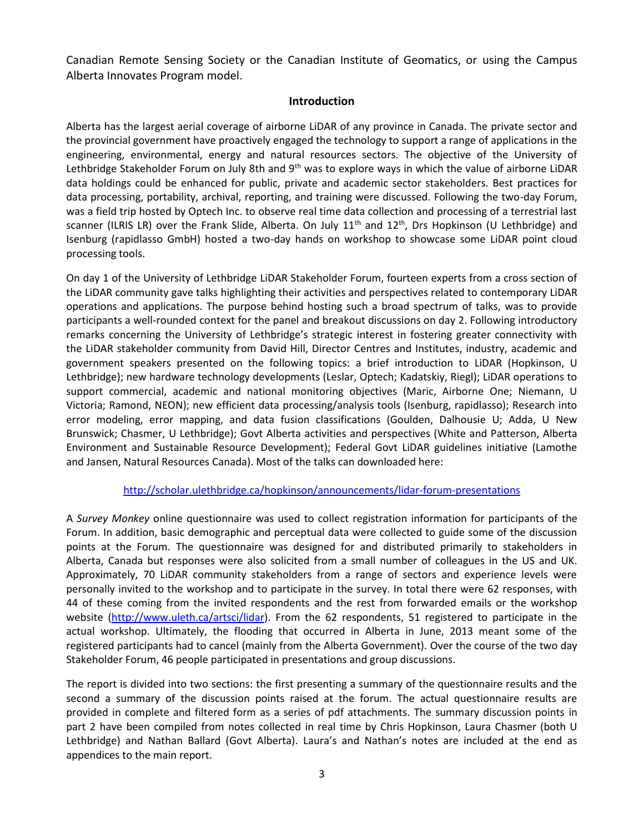Canadian Remote Sensing Society or the Canadian Institute of Geomatics, or using the Campus Alberta Innovates Program model.

# **Introduction**

Alberta has the largest aerial coverage of airborne LiDAR of any province in Canada. The private sector and the provincial government have proactively engaged the technology to support a range of applications in the engineering, environmental, energy and natural resources sectors. The objective of the University of Lethbridge Stakeholder Forum on July 8th and 9<sup>th</sup> was to explore ways in which the value of airborne LiDAR data holdings could be enhanced for public, private and academic sector stakeholders. Best practices for data processing, portability, archival, reporting, and training were discussed. Following the two-day Forum, was a field trip hosted by Optech Inc. to observe real time data collection and processing of a terrestrial last scanner (ILRIS LR) over the Frank Slide, Alberta. On July  $11<sup>th</sup>$  and  $12<sup>th</sup>$ , Drs Hopkinson (U Lethbridge) and Isenburg (rapidlasso GmbH) hosted a two-day hands on workshop to showcase some LiDAR point cloud processing tools.

On day 1 of the University of Lethbridge LiDAR Stakeholder Forum, fourteen experts from a cross section of the LiDAR community gave talks highlighting their activities and perspectives related to contemporary LiDAR operations and applications. The purpose behind hosting such a broad spectrum of talks, was to provide participants a well-rounded context for the panel and breakout discussions on day 2. Following introductory remarks concerning the University of Lethbridge's strategic interest in fostering greater connectivity with the LiDAR stakeholder community from David Hill, Director Centres and Institutes, industry, academic and government speakers presented on the following topics: a brief introduction to LiDAR (Hopkinson, U Lethbridge); new hardware technology developments (Leslar, Optech; Kadatskiy, Riegl); LiDAR operations to support commercial, academic and national monitoring objectives (Maric, Airborne One; Niemann, U Victoria; Ramond, NEON); new efficient data processing/analysis tools (Isenburg, rapidlasso); Research into error modeling, error mapping, and data fusion classifications (Goulden, Dalhousie U; Adda, U New Brunswick; Chasmer, U Lethbridge); Govt Alberta activities and perspectives (White and Patterson, Alberta Environment and Sustainable Resource Development); Federal Govt LiDAR guidelines initiative (Lamothe and Jansen, Natural Resources Canada). Most of the talks can downloaded here:

## <http://scholar.ulethbridge.ca/hopkinson/announcements/lidar-forum-presentations>

A *Survey Monkey* online questionnaire was used to collect registration information for participants of the Forum. In addition, basic demographic and perceptual data were collected to guide some of the discussion points at the Forum. The questionnaire was designed for and distributed primarily to stakeholders in Alberta, Canada but responses were also solicited from a small number of colleagues in the US and UK. Approximately, 70 LiDAR community stakeholders from a range of sectors and experience levels were personally invited to the workshop and to participate in the survey. In total there were 62 responses, with 44 of these coming from the invited respondents and the rest from forwarded emails or the workshop website [\(http://www.uleth.ca/artsci/lidar\)](http://www.uleth.ca/artsci/lidar). From the 62 respondents, 51 registered to participate in the actual workshop. Ultimately, the flooding that occurred in Alberta in June, 2013 meant some of the registered participants had to cancel (mainly from the Alberta Government). Over the course of the two day Stakeholder Forum, 46 people participated in presentations and group discussions.

The report is divided into two sections: the first presenting a summary of the questionnaire results and the second a summary of the discussion points raised at the forum. The actual questionnaire results are provided in complete and filtered form as a series of pdf attachments. The summary discussion points in part 2 have been compiled from notes collected in real time by Chris Hopkinson, Laura Chasmer (both U Lethbridge) and Nathan Ballard (Govt Alberta). Laura's and Nathan's notes are included at the end as appendices to the main report.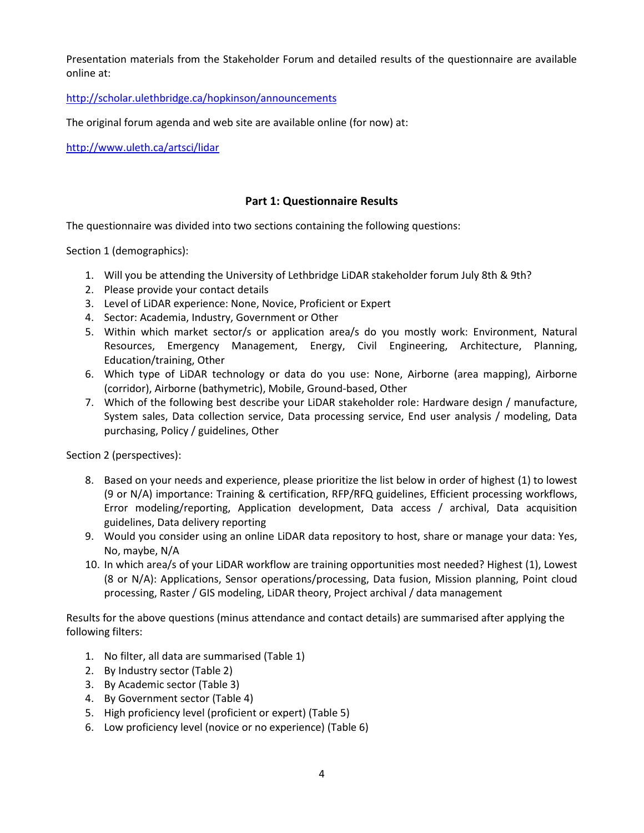Presentation materials from the Stakeholder Forum and detailed results of the questionnaire are available online at:

<http://scholar.ulethbridge.ca/hopkinson/announcements>

The original forum agenda and web site are available online (for now) at:

<http://www.uleth.ca/artsci/lidar>

# **Part 1: Questionnaire Results**

The questionnaire was divided into two sections containing the following questions:

Section 1 (demographics):

- 1. Will you be attending the University of Lethbridge LiDAR stakeholder forum July 8th & 9th?
- 2. Please provide your contact details
- 3. Level of LiDAR experience: None, Novice, Proficient or Expert
- 4. Sector: Academia, Industry, Government or Other
- 5. Within which market sector/s or application area/s do you mostly work: Environment, Natural Resources, Emergency Management, Energy, Civil Engineering, Architecture, Planning, Education/training, Other
- 6. Which type of LiDAR technology or data do you use: None, Airborne (area mapping), Airborne (corridor), Airborne (bathymetric), Mobile, Ground-based, Other
- 7. Which of the following best describe your LiDAR stakeholder role: Hardware design / manufacture, System sales, Data collection service, Data processing service, End user analysis / modeling, Data purchasing, Policy / guidelines, Other

Section 2 (perspectives):

- 8. Based on your needs and experience, please prioritize the list below in order of highest (1) to lowest (9 or N/A) importance: Training & certification, RFP/RFQ guidelines, Efficient processing workflows, Error modeling/reporting, Application development, Data access / archival, Data acquisition guidelines, Data delivery reporting
- 9. Would you consider using an online LiDAR data repository to host, share or manage your data: Yes, No, maybe, N/A
- 10. In which area/s of your LiDAR workflow are training opportunities most needed? Highest (1), Lowest (8 or N/A): Applications, Sensor operations/processing, Data fusion, Mission planning, Point cloud processing, Raster / GIS modeling, LiDAR theory, Project archival / data management

Results for the above questions (minus attendance and contact details) are summarised after applying the following filters:

- 1. No filter, all data are summarised (Table 1)
- 2. By Industry sector (Table 2)
- 3. By Academic sector (Table 3)
- 4. By Government sector (Table 4)
- 5. High proficiency level (proficient or expert) (Table 5)
- 6. Low proficiency level (novice or no experience) (Table 6)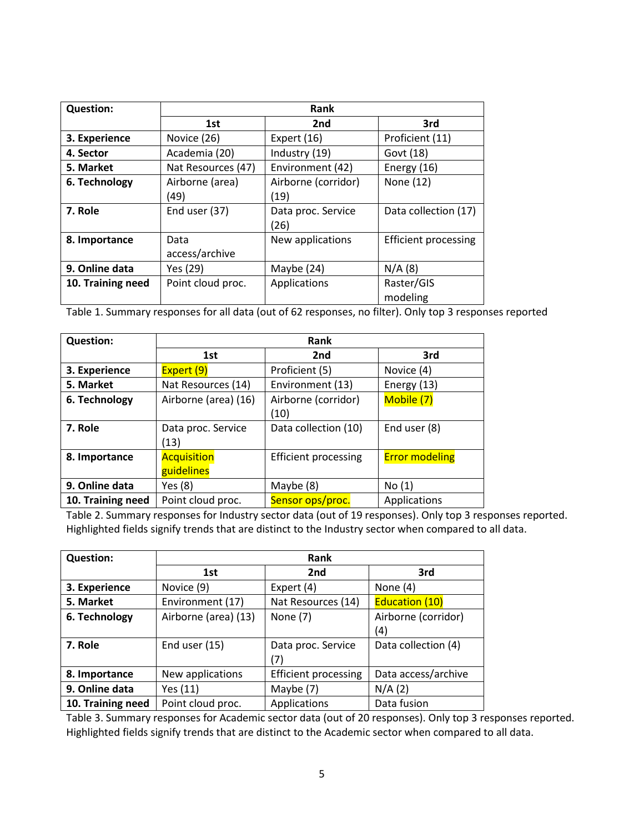| <b>Question:</b>  | Rank                    |                             |                             |
|-------------------|-------------------------|-----------------------------|-----------------------------|
|                   | 1st                     | 2 <sub>nd</sub>             | 3rd                         |
| 3. Experience     | Novice (26)             | Expert (16)                 | Proficient (11)             |
| 4. Sector         | Academia (20)           | Industry (19)               | Govt (18)                   |
| 5. Market         | Nat Resources (47)      | Environment (42)            | Energy (16)                 |
| 6. Technology     | Airborne (area)<br>(49) | Airborne (corridor)<br>(19) | None (12)                   |
| 7. Role           | End user (37)           | Data proc. Service<br>(26)  | Data collection (17)        |
| 8. Importance     | Data<br>access/archive  | New applications            | <b>Efficient processing</b> |
| 9. Online data    | Yes (29)                | Maybe (24)                  | N/A(8)                      |
| 10. Training need | Point cloud proc.       | Applications                | Raster/GIS<br>modeling      |

Table 1. Summary responses for all data (out of 62 responses, no filter). Only top 3 responses reported

| <b>Question:</b>  | Rank                             |                             |                       |
|-------------------|----------------------------------|-----------------------------|-----------------------|
|                   | 1st                              | 2 <sub>nd</sub>             | 3rd                   |
| 3. Experience     | Expert(9)                        | Proficient (5)              | Novice (4)            |
| 5. Market         | Nat Resources (14)               | Environment (13)            | Energy (13)           |
| 6. Technology     | Airborne (area) (16)             | Airborne (corridor)<br>(10) | Mobile (7)            |
| 7. Role           | Data proc. Service<br>(13)       | Data collection (10)        | End user (8)          |
| 8. Importance     | <b>Acquisition</b><br>guidelines | <b>Efficient processing</b> | <b>Error modeling</b> |
| 9. Online data    | Yes (8)                          | Maybe (8)                   | No(1)                 |
| 10. Training need | Point cloud proc.                | Sensor ops/proc.            | Applications          |

Table 2. Summary responses for Industry sector data (out of 19 responses). Only top 3 responses reported. Highlighted fields signify trends that are distinct to the Industry sector when compared to all data.

| <b>Question:</b>  | Rank                 |                             |                       |
|-------------------|----------------------|-----------------------------|-----------------------|
|                   | 1st                  | 2nd                         | 3rd                   |
| 3. Experience     | Novice (9)           | Expert (4)                  | None $(4)$            |
| 5. Market         | Environment (17)     | Nat Resources (14)          | <b>Education (10)</b> |
| 6. Technology     | Airborne (area) (13) | None (7)                    | Airborne (corridor)   |
|                   |                      |                             | (4)                   |
| 7. Role           | End user (15)        | Data proc. Service          | Data collection (4)   |
|                   |                      | (7)                         |                       |
| 8. Importance     | New applications     | <b>Efficient processing</b> | Data access/archive   |
| 9. Online data    | Yes (11)             | Maybe (7)                   | N/A(2)                |
| 10. Training need | Point cloud proc.    | Applications                | Data fusion           |

Table 3. Summary responses for Academic sector data (out of 20 responses). Only top 3 responses reported. Highlighted fields signify trends that are distinct to the Academic sector when compared to all data.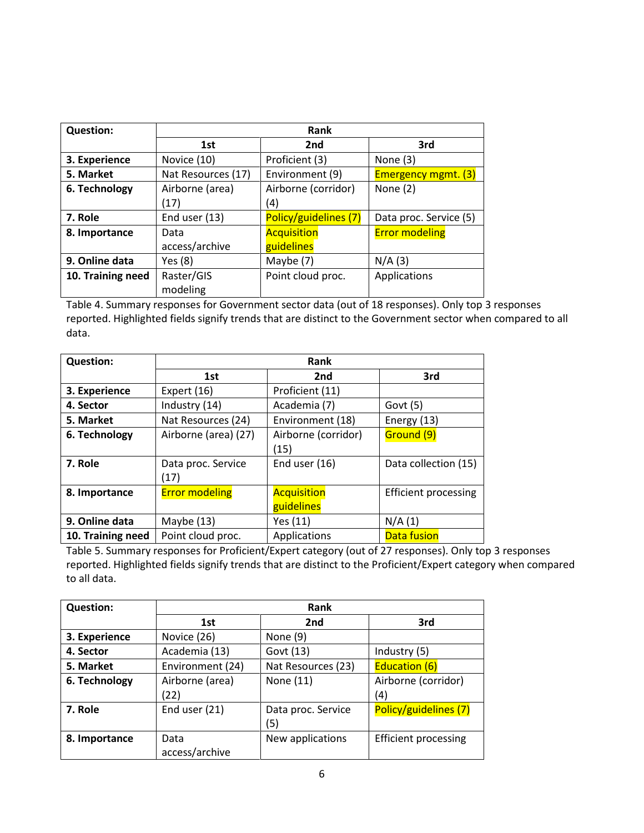| <b>Question:</b>  | Rank               |                       |                            |
|-------------------|--------------------|-----------------------|----------------------------|
|                   | 1st                | 2 <sub>nd</sub>       | 3rd                        |
| 3. Experience     | Novice (10)        | Proficient (3)        | None $(3)$                 |
| 5. Market         | Nat Resources (17) | Environment (9)       | <b>Emergency mgmt. (3)</b> |
| 6. Technology     | Airborne (area)    | Airborne (corridor)   | None $(2)$                 |
|                   | (17)               | (4)                   |                            |
| 7. Role           | End user $(13)$    | Policy/guidelines (7) | Data proc. Service (5)     |
| 8. Importance     | Data               | <b>Acquisition</b>    | <b>Error modeling</b>      |
|                   | access/archive     | guidelines            |                            |
| 9. Online data    | Yes (8)            | Maybe (7)             | N/A(3)                     |
| 10. Training need | Raster/GIS         | Point cloud proc.     | Applications               |
|                   | modeling           |                       |                            |

Table 4. Summary responses for Government sector data (out of 18 responses). Only top 3 responses reported. Highlighted fields signify trends that are distinct to the Government sector when compared to all data.

| <b>Question:</b>  | Rank                       |                                  |                             |
|-------------------|----------------------------|----------------------------------|-----------------------------|
|                   | 1st                        | 2 <sub>nd</sub>                  | 3rd                         |
| 3. Experience     | Expert $(16)$              | Proficient (11)                  |                             |
| 4. Sector         | Industry (14)              | Academia (7)                     | Govt $(5)$                  |
| 5. Market         | Nat Resources (24)         | Environment (18)                 | Energy (13)                 |
| 6. Technology     | Airborne (area) (27)       | Airborne (corridor)<br>(15)      | Ground (9)                  |
| 7. Role           | Data proc. Service<br>(17) | End user $(16)$                  | Data collection (15)        |
| 8. Importance     | <b>Error modeling</b>      | <b>Acquisition</b><br>guidelines | <b>Efficient processing</b> |
| 9. Online data    | Maybe (13)                 | Yes (11)                         | N/A(1)                      |
| 10. Training need | Point cloud proc.          | Applications                     | Data fusion                 |

Table 5. Summary responses for Proficient/Expert category (out of 27 responses). Only top 3 responses reported. Highlighted fields signify trends that are distinct to the Proficient/Expert category when compared to all data.

| <b>Question:</b> | Rank                   |                           |                       |
|------------------|------------------------|---------------------------|-----------------------|
|                  | 1st                    | 2 <sub>nd</sub>           | 3rd                   |
| 3. Experience    | Novice (26)            | None $(9)$                |                       |
| 4. Sector        | Academia (13)          | Govt (13)                 | Industry (5)          |
| 5. Market        | Environment (24)       | Nat Resources (23)        | <b>Education (6)</b>  |
| 6. Technology    | Airborne (area)        | None (11)                 | Airborne (corridor)   |
|                  | (22)                   |                           | (4)                   |
| 7. Role          | End user (21)          | Data proc. Service<br>(5) | Policy/guidelines (7) |
| 8. Importance    | Data<br>access/archive | New applications          | Efficient processing  |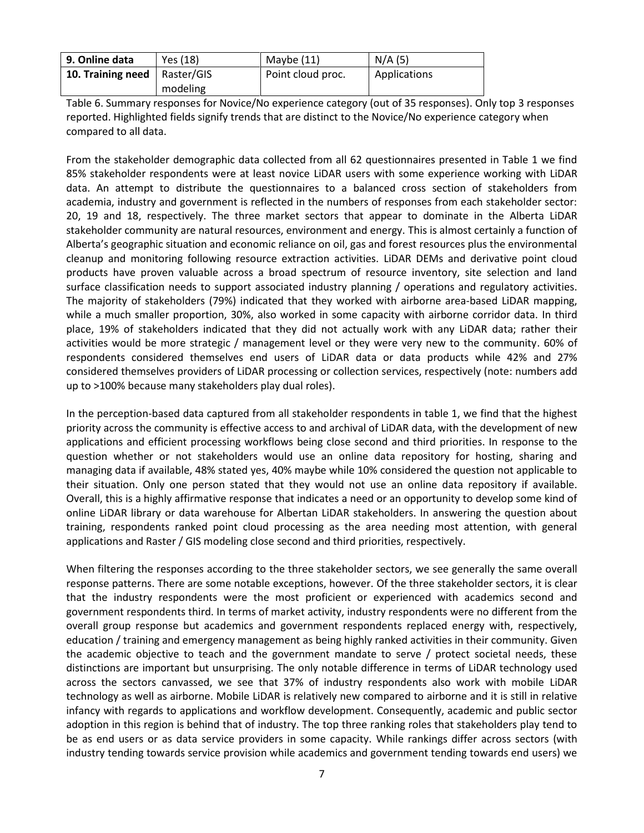| 9. Online data                        | Yes (18) | Maybe (11)        | N/A(5)       |
|---------------------------------------|----------|-------------------|--------------|
| <b>10. Training need</b>   Raster/GIS |          | Point cloud proc. | Applications |
|                                       | modeling |                   |              |

Table 6. Summary responses for Novice/No experience category (out of 35 responses). Only top 3 responses reported. Highlighted fields signify trends that are distinct to the Novice/No experience category when compared to all data.

From the stakeholder demographic data collected from all 62 questionnaires presented in Table 1 we find 85% stakeholder respondents were at least novice LiDAR users with some experience working with LiDAR data. An attempt to distribute the questionnaires to a balanced cross section of stakeholders from academia, industry and government is reflected in the numbers of responses from each stakeholder sector: 20, 19 and 18, respectively. The three market sectors that appear to dominate in the Alberta LiDAR stakeholder community are natural resources, environment and energy. This is almost certainly a function of Alberta's geographic situation and economic reliance on oil, gas and forest resources plus the environmental cleanup and monitoring following resource extraction activities. LiDAR DEMs and derivative point cloud products have proven valuable across a broad spectrum of resource inventory, site selection and land surface classification needs to support associated industry planning / operations and regulatory activities. The majority of stakeholders (79%) indicated that they worked with airborne area-based LiDAR mapping, while a much smaller proportion, 30%, also worked in some capacity with airborne corridor data. In third place, 19% of stakeholders indicated that they did not actually work with any LiDAR data; rather their activities would be more strategic / management level or they were very new to the community. 60% of respondents considered themselves end users of LiDAR data or data products while 42% and 27% considered themselves providers of LiDAR processing or collection services, respectively (note: numbers add up to >100% because many stakeholders play dual roles).

In the perception-based data captured from all stakeholder respondents in table 1, we find that the highest priority across the community is effective access to and archival of LiDAR data, with the development of new applications and efficient processing workflows being close second and third priorities. In response to the question whether or not stakeholders would use an online data repository for hosting, sharing and managing data if available, 48% stated yes, 40% maybe while 10% considered the question not applicable to their situation. Only one person stated that they would not use an online data repository if available. Overall, this is a highly affirmative response that indicates a need or an opportunity to develop some kind of online LiDAR library or data warehouse for Albertan LiDAR stakeholders. In answering the question about training, respondents ranked point cloud processing as the area needing most attention, with general applications and Raster / GIS modeling close second and third priorities, respectively.

When filtering the responses according to the three stakeholder sectors, we see generally the same overall response patterns. There are some notable exceptions, however. Of the three stakeholder sectors, it is clear that the industry respondents were the most proficient or experienced with academics second and government respondents third. In terms of market activity, industry respondents were no different from the overall group response but academics and government respondents replaced energy with, respectively, education / training and emergency management as being highly ranked activities in their community. Given the academic objective to teach and the government mandate to serve / protect societal needs, these distinctions are important but unsurprising. The only notable difference in terms of LiDAR technology used across the sectors canvassed, we see that 37% of industry respondents also work with mobile LiDAR technology as well as airborne. Mobile LiDAR is relatively new compared to airborne and it is still in relative infancy with regards to applications and workflow development. Consequently, academic and public sector adoption in this region is behind that of industry. The top three ranking roles that stakeholders play tend to be as end users or as data service providers in some capacity. While rankings differ across sectors (with industry tending towards service provision while academics and government tending towards end users) we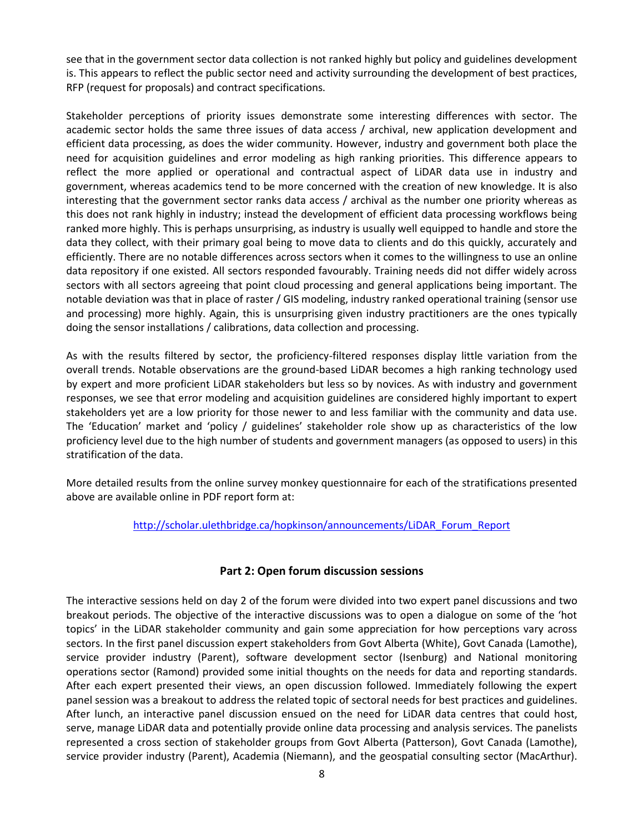see that in the government sector data collection is not ranked highly but policy and guidelines development is. This appears to reflect the public sector need and activity surrounding the development of best practices, RFP (request for proposals) and contract specifications.

Stakeholder perceptions of priority issues demonstrate some interesting differences with sector. The academic sector holds the same three issues of data access / archival, new application development and efficient data processing, as does the wider community. However, industry and government both place the need for acquisition guidelines and error modeling as high ranking priorities. This difference appears to reflect the more applied or operational and contractual aspect of LiDAR data use in industry and government, whereas academics tend to be more concerned with the creation of new knowledge. It is also interesting that the government sector ranks data access / archival as the number one priority whereas as this does not rank highly in industry; instead the development of efficient data processing workflows being ranked more highly. This is perhaps unsurprising, as industry is usually well equipped to handle and store the data they collect, with their primary goal being to move data to clients and do this quickly, accurately and efficiently. There are no notable differences across sectors when it comes to the willingness to use an online data repository if one existed. All sectors responded favourably. Training needs did not differ widely across sectors with all sectors agreeing that point cloud processing and general applications being important. The notable deviation was that in place of raster / GIS modeling, industry ranked operational training (sensor use and processing) more highly. Again, this is unsurprising given industry practitioners are the ones typically doing the sensor installations / calibrations, data collection and processing.

As with the results filtered by sector, the proficiency-filtered responses display little variation from the overall trends. Notable observations are the ground-based LiDAR becomes a high ranking technology used by expert and more proficient LiDAR stakeholders but less so by novices. As with industry and government responses, we see that error modeling and acquisition guidelines are considered highly important to expert stakeholders yet are a low priority for those newer to and less familiar with the community and data use. The 'Education' market and 'policy / guidelines' stakeholder role show up as characteristics of the low proficiency level due to the high number of students and government managers (as opposed to users) in this stratification of the data.

More detailed results from the online survey monkey questionnaire for each of the stratifications presented above are available online in PDF report form at:

[http://scholar.ulethbridge.ca/hopkinson/announcements/LiDAR\\_Forum\\_Report](http://scholar.ulethbridge.ca/hopkinson/announcements/LiDAR_Forum_Report)

# **Part 2: Open forum discussion sessions**

The interactive sessions held on day 2 of the forum were divided into two expert panel discussions and two breakout periods. The objective of the interactive discussions was to open a dialogue on some of the 'hot topics' in the LiDAR stakeholder community and gain some appreciation for how perceptions vary across sectors. In the first panel discussion expert stakeholders from Govt Alberta (White), Govt Canada (Lamothe), service provider industry (Parent), software development sector (Isenburg) and National monitoring operations sector (Ramond) provided some initial thoughts on the needs for data and reporting standards. After each expert presented their views, an open discussion followed. Immediately following the expert panel session was a breakout to address the related topic of sectoral needs for best practices and guidelines. After lunch, an interactive panel discussion ensued on the need for LiDAR data centres that could host, serve, manage LiDAR data and potentially provide online data processing and analysis services. The panelists represented a cross section of stakeholder groups from Govt Alberta (Patterson), Govt Canada (Lamothe), service provider industry (Parent), Academia (Niemann), and the geospatial consulting sector (MacArthur).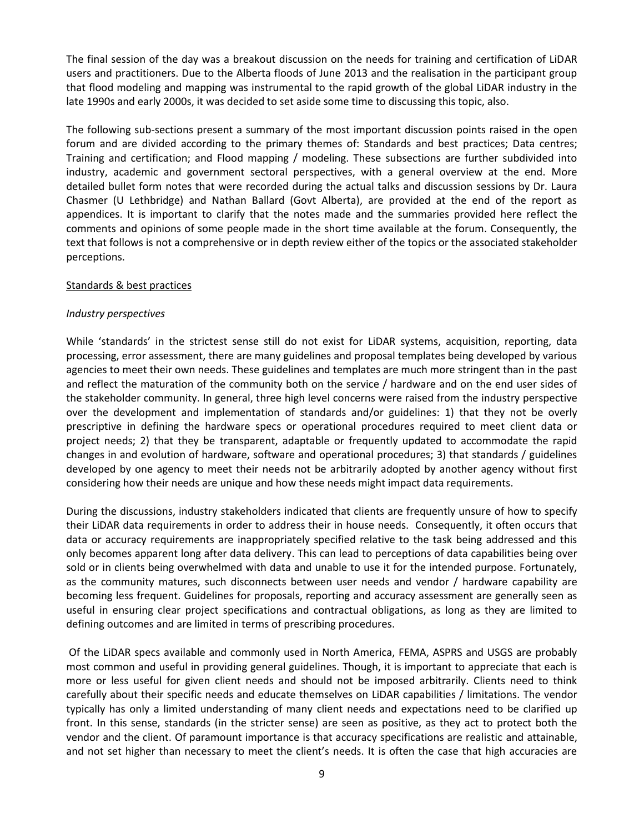The final session of the day was a breakout discussion on the needs for training and certification of LiDAR users and practitioners. Due to the Alberta floods of June 2013 and the realisation in the participant group that flood modeling and mapping was instrumental to the rapid growth of the global LiDAR industry in the late 1990s and early 2000s, it was decided to set aside some time to discussing this topic, also.

The following sub-sections present a summary of the most important discussion points raised in the open forum and are divided according to the primary themes of: Standards and best practices; Data centres; Training and certification; and Flood mapping / modeling. These subsections are further subdivided into industry, academic and government sectoral perspectives, with a general overview at the end. More detailed bullet form notes that were recorded during the actual talks and discussion sessions by Dr. Laura Chasmer (U Lethbridge) and Nathan Ballard (Govt Alberta), are provided at the end of the report as appendices. It is important to clarify that the notes made and the summaries provided here reflect the comments and opinions of some people made in the short time available at the forum. Consequently, the text that follows is not a comprehensive or in depth review either of the topics or the associated stakeholder perceptions.

## Standards & best practices

## *Industry perspectives*

While 'standards' in the strictest sense still do not exist for LiDAR systems, acquisition, reporting, data processing, error assessment, there are many guidelines and proposal templates being developed by various agencies to meet their own needs. These guidelines and templates are much more stringent than in the past and reflect the maturation of the community both on the service / hardware and on the end user sides of the stakeholder community. In general, three high level concerns were raised from the industry perspective over the development and implementation of standards and/or guidelines: 1) that they not be overly prescriptive in defining the hardware specs or operational procedures required to meet client data or project needs; 2) that they be transparent, adaptable or frequently updated to accommodate the rapid changes in and evolution of hardware, software and operational procedures; 3) that standards / guidelines developed by one agency to meet their needs not be arbitrarily adopted by another agency without first considering how their needs are unique and how these needs might impact data requirements.

During the discussions, industry stakeholders indicated that clients are frequently unsure of how to specify their LiDAR data requirements in order to address their in house needs. Consequently, it often occurs that data or accuracy requirements are inappropriately specified relative to the task being addressed and this only becomes apparent long after data delivery. This can lead to perceptions of data capabilities being over sold or in clients being overwhelmed with data and unable to use it for the intended purpose. Fortunately, as the community matures, such disconnects between user needs and vendor / hardware capability are becoming less frequent. Guidelines for proposals, reporting and accuracy assessment are generally seen as useful in ensuring clear project specifications and contractual obligations, as long as they are limited to defining outcomes and are limited in terms of prescribing procedures.

Of the LiDAR specs available and commonly used in North America, FEMA, ASPRS and USGS are probably most common and useful in providing general guidelines. Though, it is important to appreciate that each is more or less useful for given client needs and should not be imposed arbitrarily. Clients need to think carefully about their specific needs and educate themselves on LiDAR capabilities / limitations. The vendor typically has only a limited understanding of many client needs and expectations need to be clarified up front. In this sense, standards (in the stricter sense) are seen as positive, as they act to protect both the vendor and the client. Of paramount importance is that accuracy specifications are realistic and attainable, and not set higher than necessary to meet the client's needs. It is often the case that high accuracies are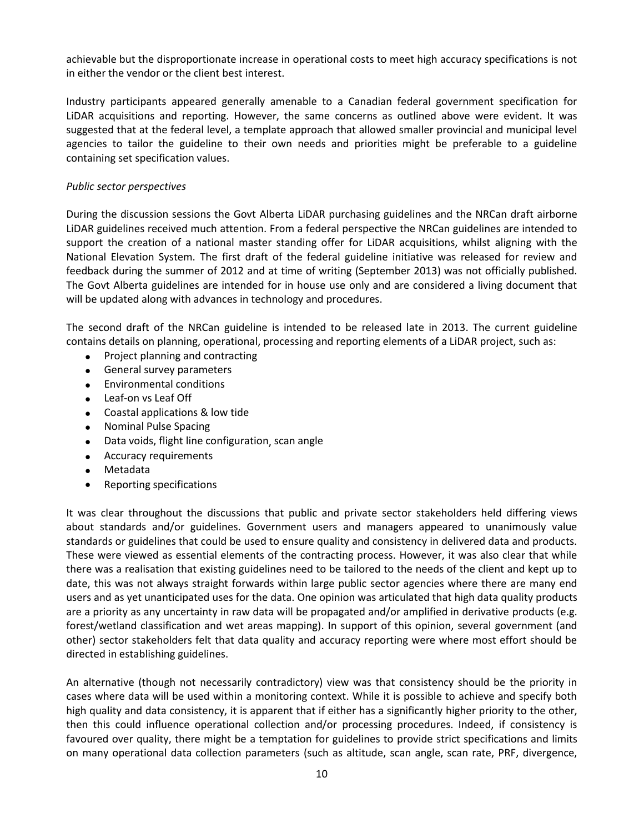achievable but the disproportionate increase in operational costs to meet high accuracy specifications is not in either the vendor or the client best interest.

Industry participants appeared generally amenable to a Canadian federal government specification for LiDAR acquisitions and reporting. However, the same concerns as outlined above were evident. It was suggested that at the federal level, a template approach that allowed smaller provincial and municipal level agencies to tailor the guideline to their own needs and priorities might be preferable to a guideline containing set specification values.

## *Public sector perspectives*

During the discussion sessions the Govt Alberta LiDAR purchasing guidelines and the NRCan draft airborne LiDAR guidelines received much attention. From a federal perspective the NRCan guidelines are intended to support the creation of a national master standing offer for LiDAR acquisitions, whilst aligning with the National Elevation System. The first draft of the federal guideline initiative was released for review and feedback during the summer of 2012 and at time of writing (September 2013) was not officially published. The Govt Alberta guidelines are intended for in house use only and are considered a living document that will be updated along with advances in technology and procedures.

The second draft of the NRCan guideline is intended to be released late in 2013. The current guideline contains details on planning, operational, processing and reporting elements of a LiDAR project, such as:

- Project planning and contracting
- **•** General survey parameters
- Environmental conditions
- Leaf-on vs Leaf Off
- Coastal applications & low tide
- Nominal Pulse Spacing
- Data voids, flight line configuration, scan angle
- Accuracy requirements
- Metadata
- Reporting specifications

It was clear throughout the discussions that public and private sector stakeholders held differing views about standards and/or guidelines. Government users and managers appeared to unanimously value standards or guidelines that could be used to ensure quality and consistency in delivered data and products. These were viewed as essential elements of the contracting process. However, it was also clear that while there was a realisation that existing guidelines need to be tailored to the needs of the client and kept up to date, this was not always straight forwards within large public sector agencies where there are many end users and as yet unanticipated uses for the data. One opinion was articulated that high data quality products are a priority as any uncertainty in raw data will be propagated and/or amplified in derivative products (e.g. forest/wetland classification and wet areas mapping). In support of this opinion, several government (and other) sector stakeholders felt that data quality and accuracy reporting were where most effort should be directed in establishing guidelines.

An alternative (though not necessarily contradictory) view was that consistency should be the priority in cases where data will be used within a monitoring context. While it is possible to achieve and specify both high quality and data consistency, it is apparent that if either has a significantly higher priority to the other, then this could influence operational collection and/or processing procedures. Indeed, if consistency is favoured over quality, there might be a temptation for guidelines to provide strict specifications and limits on many operational data collection parameters (such as altitude, scan angle, scan rate, PRF, divergence,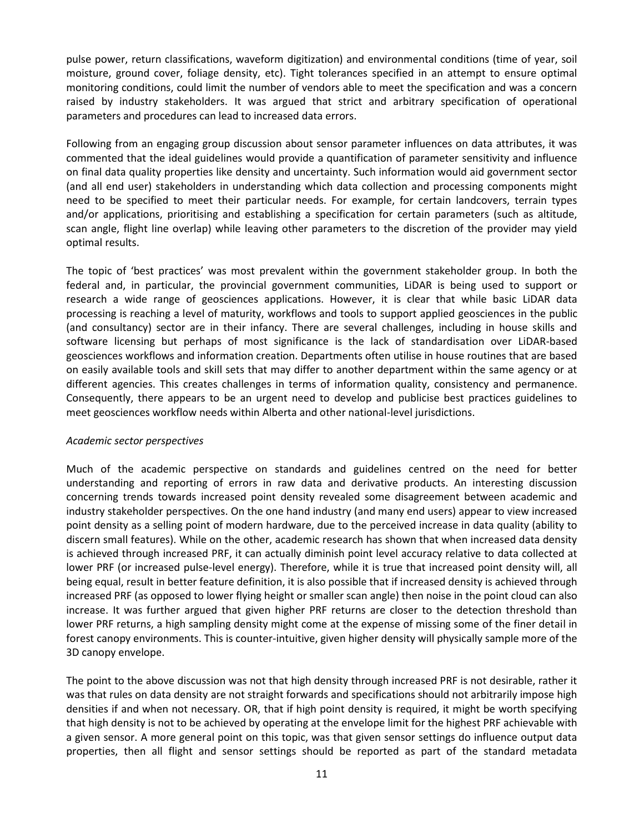pulse power, return classifications, waveform digitization) and environmental conditions (time of year, soil moisture, ground cover, foliage density, etc). Tight tolerances specified in an attempt to ensure optimal monitoring conditions, could limit the number of vendors able to meet the specification and was a concern raised by industry stakeholders. It was argued that strict and arbitrary specification of operational parameters and procedures can lead to increased data errors.

Following from an engaging group discussion about sensor parameter influences on data attributes, it was commented that the ideal guidelines would provide a quantification of parameter sensitivity and influence on final data quality properties like density and uncertainty. Such information would aid government sector (and all end user) stakeholders in understanding which data collection and processing components might need to be specified to meet their particular needs. For example, for certain landcovers, terrain types and/or applications, prioritising and establishing a specification for certain parameters (such as altitude, scan angle, flight line overlap) while leaving other parameters to the discretion of the provider may yield optimal results.

The topic of 'best practices' was most prevalent within the government stakeholder group. In both the federal and, in particular, the provincial government communities, LiDAR is being used to support or research a wide range of geosciences applications. However, it is clear that while basic LiDAR data processing is reaching a level of maturity, workflows and tools to support applied geosciences in the public (and consultancy) sector are in their infancy. There are several challenges, including in house skills and software licensing but perhaps of most significance is the lack of standardisation over LiDAR-based geosciences workflows and information creation. Departments often utilise in house routines that are based on easily available tools and skill sets that may differ to another department within the same agency or at different agencies. This creates challenges in terms of information quality, consistency and permanence. Consequently, there appears to be an urgent need to develop and publicise best practices guidelines to meet geosciences workflow needs within Alberta and other national-level jurisdictions.

#### *Academic sector perspectives*

Much of the academic perspective on standards and guidelines centred on the need for better understanding and reporting of errors in raw data and derivative products. An interesting discussion concerning trends towards increased point density revealed some disagreement between academic and industry stakeholder perspectives. On the one hand industry (and many end users) appear to view increased point density as a selling point of modern hardware, due to the perceived increase in data quality (ability to discern small features). While on the other, academic research has shown that when increased data density is achieved through increased PRF, it can actually diminish point level accuracy relative to data collected at lower PRF (or increased pulse-level energy). Therefore, while it is true that increased point density will, all being equal, result in better feature definition, it is also possible that if increased density is achieved through increased PRF (as opposed to lower flying height or smaller scan angle) then noise in the point cloud can also increase. It was further argued that given higher PRF returns are closer to the detection threshold than lower PRF returns, a high sampling density might come at the expense of missing some of the finer detail in forest canopy environments. This is counter-intuitive, given higher density will physically sample more of the 3D canopy envelope.

The point to the above discussion was not that high density through increased PRF is not desirable, rather it was that rules on data density are not straight forwards and specifications should not arbitrarily impose high densities if and when not necessary. OR, that if high point density is required, it might be worth specifying that high density is not to be achieved by operating at the envelope limit for the highest PRF achievable with a given sensor. A more general point on this topic, was that given sensor settings do influence output data properties, then all flight and sensor settings should be reported as part of the standard metadata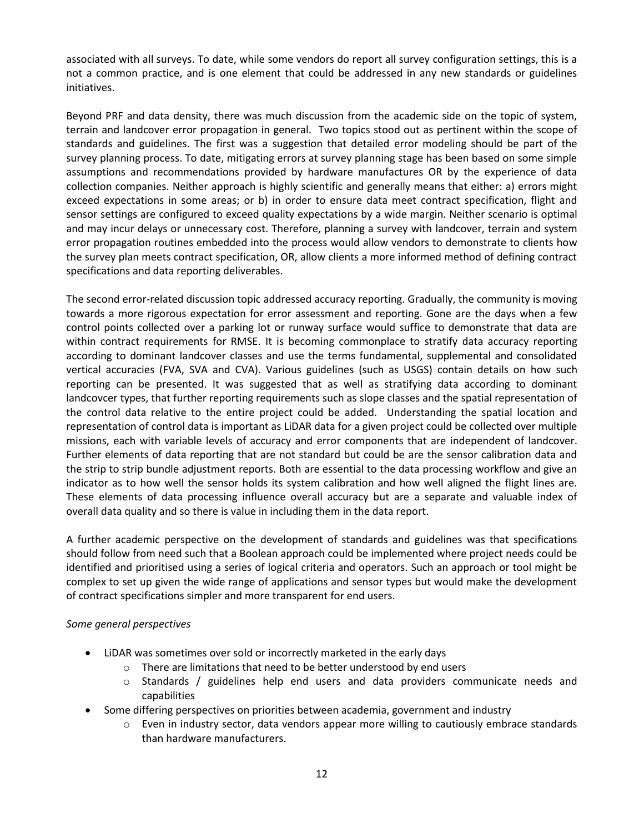associated with all surveys. To date, while some vendors do report all survey configuration settings, this is a not a common practice, and is one element that could be addressed in any new standards or guidelines initiatives.

Beyond PRF and data density, there was much discussion from the academic side on the topic of system, terrain and landcover error propagation in general. Two topics stood out as pertinent within the scope of standards and guidelines. The first was a suggestion that detailed error modeling should be part of the survey planning process. To date, mitigating errors at survey planning stage has been based on some simple assumptions and recommendations provided by hardware manufactures OR by the experience of data collection companies. Neither approach is highly scientific and generally means that either: a) errors might exceed expectations in some areas; or b) in order to ensure data meet contract specification, flight and sensor settings are configured to exceed quality expectations by a wide margin. Neither scenario is optimal and may incur delays or unnecessary cost. Therefore, planning a survey with landcover, terrain and system error propagation routines embedded into the process would allow vendors to demonstrate to clients how the survey plan meets contract specification, OR, allow clients a more informed method of defining contract specifications and data reporting deliverables.

The second error-related discussion topic addressed accuracy reporting. Gradually, the community is moving towards a more rigorous expectation for error assessment and reporting. Gone are the days when a few control points collected over a parking lot or runway surface would suffice to demonstrate that data are within contract requirements for RMSE. It is becoming commonplace to stratify data accuracy reporting according to dominant landcover classes and use the terms fundamental, supplemental and consolidated vertical accuracies (FVA, SVA and CVA). Various guidelines (such as USGS) contain details on how such reporting can be presented. It was suggested that as well as stratifying data according to dominant landcovcer types, that further reporting requirements such as slope classes and the spatial representation of the control data relative to the entire project could be added. Understanding the spatial location and representation of control data is important as LiDAR data for a given project could be collected over multiple missions, each with variable levels of accuracy and error components that are independent of landcover. Further elements of data reporting that are not standard but could be are the sensor calibration data and the strip to strip bundle adjustment reports. Both are essential to the data processing workflow and give an indicator as to how well the sensor holds its system calibration and how well aligned the flight lines are. These elements of data processing influence overall accuracy but are a separate and valuable index of overall data quality and so there is value in including them in the data report.

A further academic perspective on the development of standards and guidelines was that specifications should follow from need such that a Boolean approach could be implemented where project needs could be identified and prioritised using a series of logical criteria and operators. Such an approach or tool might be complex to set up given the wide range of applications and sensor types but would make the development of contract specifications simpler and more transparent for end users.

## *Some general perspectives*

- LiDAR was sometimes over sold or incorrectly marketed in the early days
	- $\circ$  There are limitations that need to be better understood by end users
	- o Standards / guidelines help end users and data providers communicate needs and capabilities
- Some differing perspectives on priorities between academia, government and industry
	- $\circ$  Even in industry sector, data vendors appear more willing to cautiously embrace standards than hardware manufacturers.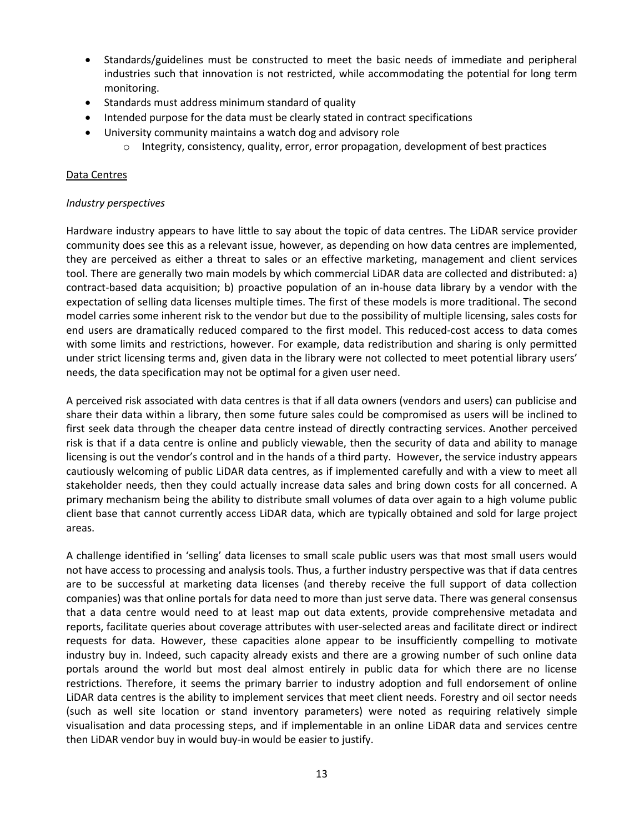- Standards/guidelines must be constructed to meet the basic needs of immediate and peripheral industries such that innovation is not restricted, while accommodating the potential for long term monitoring.
- Standards must address minimum standard of quality
- Intended purpose for the data must be clearly stated in contract specifications
- University community maintains a watch dog and advisory role
	- $\circ$  Integrity, consistency, quality, error, error propagation, development of best practices

## Data Centres

## *Industry perspectives*

Hardware industry appears to have little to say about the topic of data centres. The LiDAR service provider community does see this as a relevant issue, however, as depending on how data centres are implemented, they are perceived as either a threat to sales or an effective marketing, management and client services tool. There are generally two main models by which commercial LiDAR data are collected and distributed: a) contract-based data acquisition; b) proactive population of an in-house data library by a vendor with the expectation of selling data licenses multiple times. The first of these models is more traditional. The second model carries some inherent risk to the vendor but due to the possibility of multiple licensing, sales costs for end users are dramatically reduced compared to the first model. This reduced-cost access to data comes with some limits and restrictions, however. For example, data redistribution and sharing is only permitted under strict licensing terms and, given data in the library were not collected to meet potential library users' needs, the data specification may not be optimal for a given user need.

A perceived risk associated with data centres is that if all data owners (vendors and users) can publicise and share their data within a library, then some future sales could be compromised as users will be inclined to first seek data through the cheaper data centre instead of directly contracting services. Another perceived risk is that if a data centre is online and publicly viewable, then the security of data and ability to manage licensing is out the vendor's control and in the hands of a third party. However, the service industry appears cautiously welcoming of public LiDAR data centres, as if implemented carefully and with a view to meet all stakeholder needs, then they could actually increase data sales and bring down costs for all concerned. A primary mechanism being the ability to distribute small volumes of data over again to a high volume public client base that cannot currently access LiDAR data, which are typically obtained and sold for large project areas.

A challenge identified in 'selling' data licenses to small scale public users was that most small users would not have access to processing and analysis tools. Thus, a further industry perspective was that if data centres are to be successful at marketing data licenses (and thereby receive the full support of data collection companies) was that online portals for data need to more than just serve data. There was general consensus that a data centre would need to at least map out data extents, provide comprehensive metadata and reports, facilitate queries about coverage attributes with user-selected areas and facilitate direct or indirect requests for data. However, these capacities alone appear to be insufficiently compelling to motivate industry buy in. Indeed, such capacity already exists and there are a growing number of such online data portals around the world but most deal almost entirely in public data for which there are no license restrictions. Therefore, it seems the primary barrier to industry adoption and full endorsement of online LiDAR data centres is the ability to implement services that meet client needs. Forestry and oil sector needs (such as well site location or stand inventory parameters) were noted as requiring relatively simple visualisation and data processing steps, and if implementable in an online LiDAR data and services centre then LiDAR vendor buy in would buy-in would be easier to justify.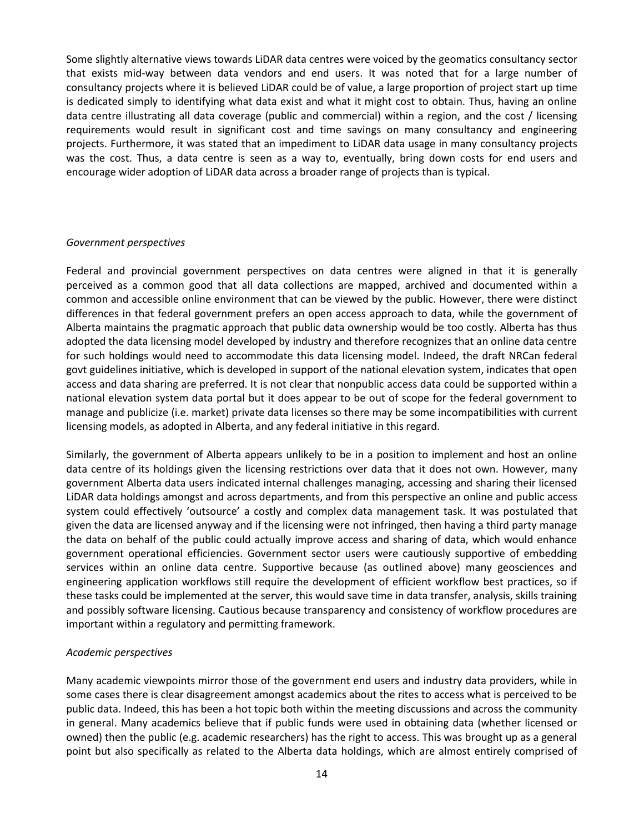Some slightly alternative views towards LiDAR data centres were voiced by the geomatics consultancy sector that exists mid-way between data vendors and end users. It was noted that for a large number of consultancy projects where it is believed LiDAR could be of value, a large proportion of project start up time is dedicated simply to identifying what data exist and what it might cost to obtain. Thus, having an online data centre illustrating all data coverage (public and commercial) within a region, and the cost / licensing requirements would result in significant cost and time savings on many consultancy and engineering projects. Furthermore, it was stated that an impediment to LiDAR data usage in many consultancy projects was the cost. Thus, a data centre is seen as a way to, eventually, bring down costs for end users and encourage wider adoption of LiDAR data across a broader range of projects than is typical.

## *Government perspectives*

Federal and provincial government perspectives on data centres were aligned in that it is generally perceived as a common good that all data collections are mapped, archived and documented within a common and accessible online environment that can be viewed by the public. However, there were distinct differences in that federal government prefers an open access approach to data, while the government of Alberta maintains the pragmatic approach that public data ownership would be too costly. Alberta has thus adopted the data licensing model developed by industry and therefore recognizes that an online data centre for such holdings would need to accommodate this data licensing model. Indeed, the draft NRCan federal govt guidelines initiative, which is developed in support of the national elevation system, indicates that open access and data sharing are preferred. It is not clear that nonpublic access data could be supported within a national elevation system data portal but it does appear to be out of scope for the federal government to manage and publicize (i.e. market) private data licenses so there may be some incompatibilities with current licensing models, as adopted in Alberta, and any federal initiative in this regard.

Similarly, the government of Alberta appears unlikely to be in a position to implement and host an online data centre of its holdings given the licensing restrictions over data that it does not own. However, many government Alberta data users indicated internal challenges managing, accessing and sharing their licensed LiDAR data holdings amongst and across departments, and from this perspective an online and public access system could effectively 'outsource' a costly and complex data management task. It was postulated that given the data are licensed anyway and if the licensing were not infringed, then having a third party manage the data on behalf of the public could actually improve access and sharing of data, which would enhance government operational efficiencies. Government sector users were cautiously supportive of embedding services within an online data centre. Supportive because (as outlined above) many geosciences and engineering application workflows still require the development of efficient workflow best practices, so if these tasks could be implemented at the server, this would save time in data transfer, analysis, skills training and possibly software licensing. Cautious because transparency and consistency of workflow procedures are important within a regulatory and permitting framework.

#### *Academic perspectives*

Many academic viewpoints mirror those of the government end users and industry data providers, while in some cases there is clear disagreement amongst academics about the rites to access what is perceived to be public data. Indeed, this has been a hot topic both within the meeting discussions and across the community in general. Many academics believe that if public funds were used in obtaining data (whether licensed or owned) then the public (e.g. academic researchers) has the right to access. This was brought up as a general point but also specifically as related to the Alberta data holdings, which are almost entirely comprised of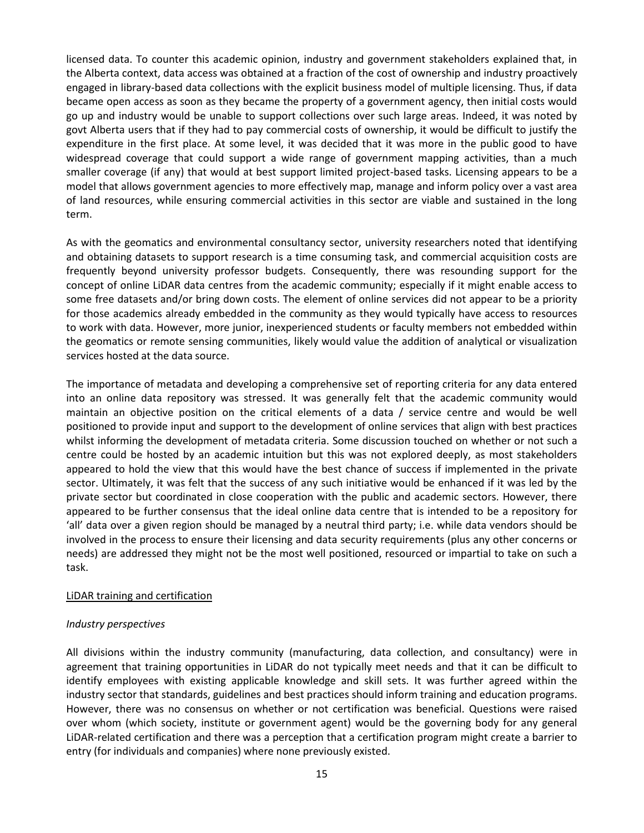licensed data. To counter this academic opinion, industry and government stakeholders explained that, in the Alberta context, data access was obtained at a fraction of the cost of ownership and industry proactively engaged in library-based data collections with the explicit business model of multiple licensing. Thus, if data became open access as soon as they became the property of a government agency, then initial costs would go up and industry would be unable to support collections over such large areas. Indeed, it was noted by govt Alberta users that if they had to pay commercial costs of ownership, it would be difficult to justify the expenditure in the first place. At some level, it was decided that it was more in the public good to have widespread coverage that could support a wide range of government mapping activities, than a much smaller coverage (if any) that would at best support limited project-based tasks. Licensing appears to be a model that allows government agencies to more effectively map, manage and inform policy over a vast area of land resources, while ensuring commercial activities in this sector are viable and sustained in the long term.

As with the geomatics and environmental consultancy sector, university researchers noted that identifying and obtaining datasets to support research is a time consuming task, and commercial acquisition costs are frequently beyond university professor budgets. Consequently, there was resounding support for the concept of online LiDAR data centres from the academic community; especially if it might enable access to some free datasets and/or bring down costs. The element of online services did not appear to be a priority for those academics already embedded in the community as they would typically have access to resources to work with data. However, more junior, inexperienced students or faculty members not embedded within the geomatics or remote sensing communities, likely would value the addition of analytical or visualization services hosted at the data source.

The importance of metadata and developing a comprehensive set of reporting criteria for any data entered into an online data repository was stressed. It was generally felt that the academic community would maintain an objective position on the critical elements of a data / service centre and would be well positioned to provide input and support to the development of online services that align with best practices whilst informing the development of metadata criteria. Some discussion touched on whether or not such a centre could be hosted by an academic intuition but this was not explored deeply, as most stakeholders appeared to hold the view that this would have the best chance of success if implemented in the private sector. Ultimately, it was felt that the success of any such initiative would be enhanced if it was led by the private sector but coordinated in close cooperation with the public and academic sectors. However, there appeared to be further consensus that the ideal online data centre that is intended to be a repository for 'all' data over a given region should be managed by a neutral third party; i.e. while data vendors should be involved in the process to ensure their licensing and data security requirements (plus any other concerns or needs) are addressed they might not be the most well positioned, resourced or impartial to take on such a task.

## LiDAR training and certification

#### *Industry perspectives*

All divisions within the industry community (manufacturing, data collection, and consultancy) were in agreement that training opportunities in LiDAR do not typically meet needs and that it can be difficult to identify employees with existing applicable knowledge and skill sets. It was further agreed within the industry sector that standards, guidelines and best practices should inform training and education programs. However, there was no consensus on whether or not certification was beneficial. Questions were raised over whom (which society, institute or government agent) would be the governing body for any general LiDAR-related certification and there was a perception that a certification program might create a barrier to entry (for individuals and companies) where none previously existed.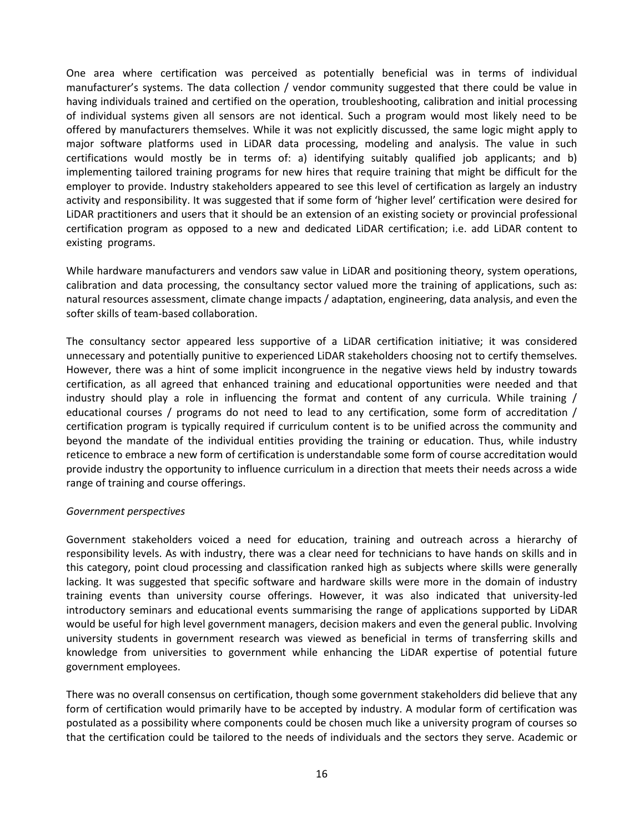One area where certification was perceived as potentially beneficial was in terms of individual manufacturer's systems. The data collection / vendor community suggested that there could be value in having individuals trained and certified on the operation, troubleshooting, calibration and initial processing of individual systems given all sensors are not identical. Such a program would most likely need to be offered by manufacturers themselves. While it was not explicitly discussed, the same logic might apply to major software platforms used in LiDAR data processing, modeling and analysis. The value in such certifications would mostly be in terms of: a) identifying suitably qualified job applicants; and b) implementing tailored training programs for new hires that require training that might be difficult for the employer to provide. Industry stakeholders appeared to see this level of certification as largely an industry activity and responsibility. It was suggested that if some form of 'higher level' certification were desired for LiDAR practitioners and users that it should be an extension of an existing society or provincial professional certification program as opposed to a new and dedicated LiDAR certification; i.e. add LiDAR content to existing programs.

While hardware manufacturers and vendors saw value in LiDAR and positioning theory, system operations, calibration and data processing, the consultancy sector valued more the training of applications, such as: natural resources assessment, climate change impacts / adaptation, engineering, data analysis, and even the softer skills of team-based collaboration.

The consultancy sector appeared less supportive of a LiDAR certification initiative; it was considered unnecessary and potentially punitive to experienced LiDAR stakeholders choosing not to certify themselves. However, there was a hint of some implicit incongruence in the negative views held by industry towards certification, as all agreed that enhanced training and educational opportunities were needed and that industry should play a role in influencing the format and content of any curricula. While training / educational courses / programs do not need to lead to any certification, some form of accreditation / certification program is typically required if curriculum content is to be unified across the community and beyond the mandate of the individual entities providing the training or education. Thus, while industry reticence to embrace a new form of certification is understandable some form of course accreditation would provide industry the opportunity to influence curriculum in a direction that meets their needs across a wide range of training and course offerings.

#### *Government perspectives*

Government stakeholders voiced a need for education, training and outreach across a hierarchy of responsibility levels. As with industry, there was a clear need for technicians to have hands on skills and in this category, point cloud processing and classification ranked high as subjects where skills were generally lacking. It was suggested that specific software and hardware skills were more in the domain of industry training events than university course offerings. However, it was also indicated that university-led introductory seminars and educational events summarising the range of applications supported by LiDAR would be useful for high level government managers, decision makers and even the general public. Involving university students in government research was viewed as beneficial in terms of transferring skills and knowledge from universities to government while enhancing the LiDAR expertise of potential future government employees.

There was no overall consensus on certification, though some government stakeholders did believe that any form of certification would primarily have to be accepted by industry. A modular form of certification was postulated as a possibility where components could be chosen much like a university program of courses so that the certification could be tailored to the needs of individuals and the sectors they serve. Academic or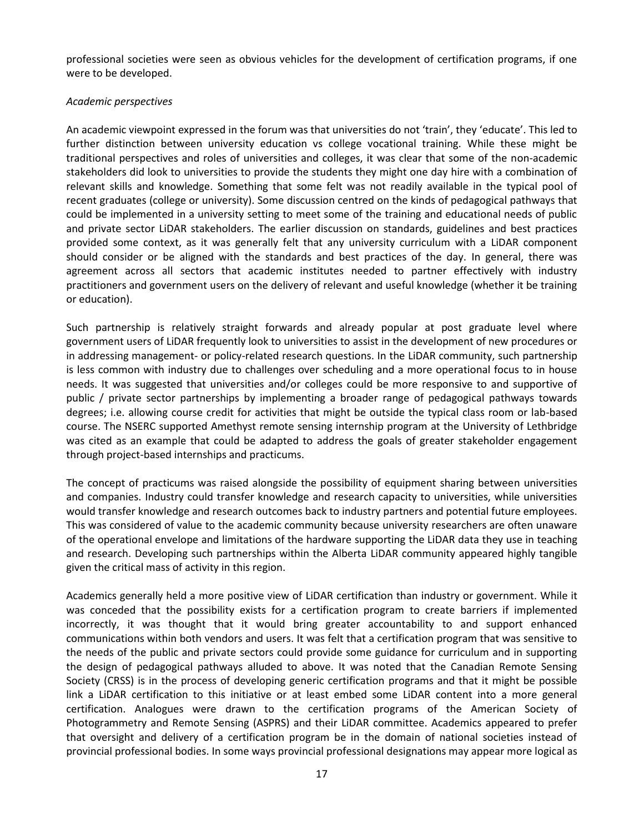professional societies were seen as obvious vehicles for the development of certification programs, if one were to be developed.

## *Academic perspectives*

An academic viewpoint expressed in the forum was that universities do not 'train', they 'educate'. This led to further distinction between university education vs college vocational training. While these might be traditional perspectives and roles of universities and colleges, it was clear that some of the non-academic stakeholders did look to universities to provide the students they might one day hire with a combination of relevant skills and knowledge. Something that some felt was not readily available in the typical pool of recent graduates (college or university). Some discussion centred on the kinds of pedagogical pathways that could be implemented in a university setting to meet some of the training and educational needs of public and private sector LiDAR stakeholders. The earlier discussion on standards, guidelines and best practices provided some context, as it was generally felt that any university curriculum with a LiDAR component should consider or be aligned with the standards and best practices of the day. In general, there was agreement across all sectors that academic institutes needed to partner effectively with industry practitioners and government users on the delivery of relevant and useful knowledge (whether it be training or education).

Such partnership is relatively straight forwards and already popular at post graduate level where government users of LiDAR frequently look to universities to assist in the development of new procedures or in addressing management- or policy-related research questions. In the LiDAR community, such partnership is less common with industry due to challenges over scheduling and a more operational focus to in house needs. It was suggested that universities and/or colleges could be more responsive to and supportive of public / private sector partnerships by implementing a broader range of pedagogical pathways towards degrees; i.e. allowing course credit for activities that might be outside the typical class room or lab-based course. The NSERC supported Amethyst remote sensing internship program at the University of Lethbridge was cited as an example that could be adapted to address the goals of greater stakeholder engagement through project-based internships and practicums.

The concept of practicums was raised alongside the possibility of equipment sharing between universities and companies. Industry could transfer knowledge and research capacity to universities, while universities would transfer knowledge and research outcomes back to industry partners and potential future employees. This was considered of value to the academic community because university researchers are often unaware of the operational envelope and limitations of the hardware supporting the LiDAR data they use in teaching and research. Developing such partnerships within the Alberta LiDAR community appeared highly tangible given the critical mass of activity in this region.

Academics generally held a more positive view of LiDAR certification than industry or government. While it was conceded that the possibility exists for a certification program to create barriers if implemented incorrectly, it was thought that it would bring greater accountability to and support enhanced communications within both vendors and users. It was felt that a certification program that was sensitive to the needs of the public and private sectors could provide some guidance for curriculum and in supporting the design of pedagogical pathways alluded to above. It was noted that the Canadian Remote Sensing Society (CRSS) is in the process of developing generic certification programs and that it might be possible link a LiDAR certification to this initiative or at least embed some LiDAR content into a more general certification. Analogues were drawn to the certification programs of the American Society of Photogrammetry and Remote Sensing (ASPRS) and their LiDAR committee. Academics appeared to prefer that oversight and delivery of a certification program be in the domain of national societies instead of provincial professional bodies. In some ways provincial professional designations may appear more logical as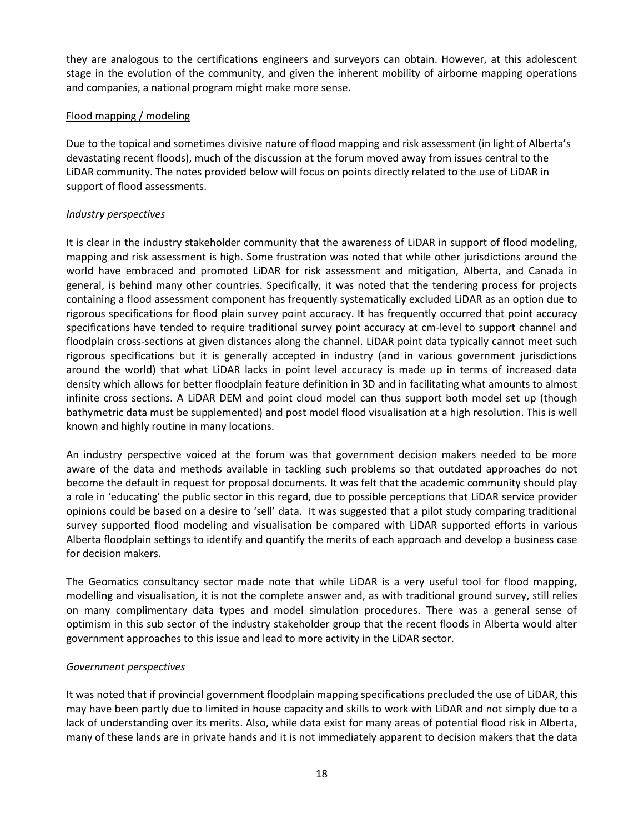they are analogous to the certifications engineers and surveyors can obtain. However, at this adolescent stage in the evolution of the community, and given the inherent mobility of airborne mapping operations and companies, a national program might make more sense.

# Flood mapping / modeling

Due to the topical and sometimes divisive nature of flood mapping and risk assessment (in light of Alberta's devastating recent floods), much of the discussion at the forum moved away from issues central to the LiDAR community. The notes provided below will focus on points directly related to the use of LiDAR in support of flood assessments.

# *Industry perspectives*

It is clear in the industry stakeholder community that the awareness of LiDAR in support of flood modeling, mapping and risk assessment is high. Some frustration was noted that while other jurisdictions around the world have embraced and promoted LiDAR for risk assessment and mitigation, Alberta, and Canada in general, is behind many other countries. Specifically, it was noted that the tendering process for projects containing a flood assessment component has frequently systematically excluded LiDAR as an option due to rigorous specifications for flood plain survey point accuracy. It has frequently occurred that point accuracy specifications have tended to require traditional survey point accuracy at cm-level to support channel and floodplain cross-sections at given distances along the channel. LiDAR point data typically cannot meet such rigorous specifications but it is generally accepted in industry (and in various government jurisdictions around the world) that what LiDAR lacks in point level accuracy is made up in terms of increased data density which allows for better floodplain feature definition in 3D and in facilitating what amounts to almost infinite cross sections. A LiDAR DEM and point cloud model can thus support both model set up (though bathymetric data must be supplemented) and post model flood visualisation at a high resolution. This is well known and highly routine in many locations.

An industry perspective voiced at the forum was that government decision makers needed to be more aware of the data and methods available in tackling such problems so that outdated approaches do not become the default in request for proposal documents. It was felt that the academic community should play a role in 'educating' the public sector in this regard, due to possible perceptions that LiDAR service provider opinions could be based on a desire to 'sell' data. It was suggested that a pilot study comparing traditional survey supported flood modeling and visualisation be compared with LiDAR supported efforts in various Alberta floodplain settings to identify and quantify the merits of each approach and develop a business case for decision makers.

The Geomatics consultancy sector made note that while LiDAR is a very useful tool for flood mapping, modelling and visualisation, it is not the complete answer and, as with traditional ground survey, still relies on many complimentary data types and model simulation procedures. There was a general sense of optimism in this sub sector of the industry stakeholder group that the recent floods in Alberta would alter government approaches to this issue and lead to more activity in the LiDAR sector.

## *Government perspectives*

It was noted that if provincial government floodplain mapping specifications precluded the use of LiDAR, this may have been partly due to limited in house capacity and skills to work with LiDAR and not simply due to a lack of understanding over its merits. Also, while data exist for many areas of potential flood risk in Alberta, many of these lands are in private hands and it is not immediately apparent to decision makers that the data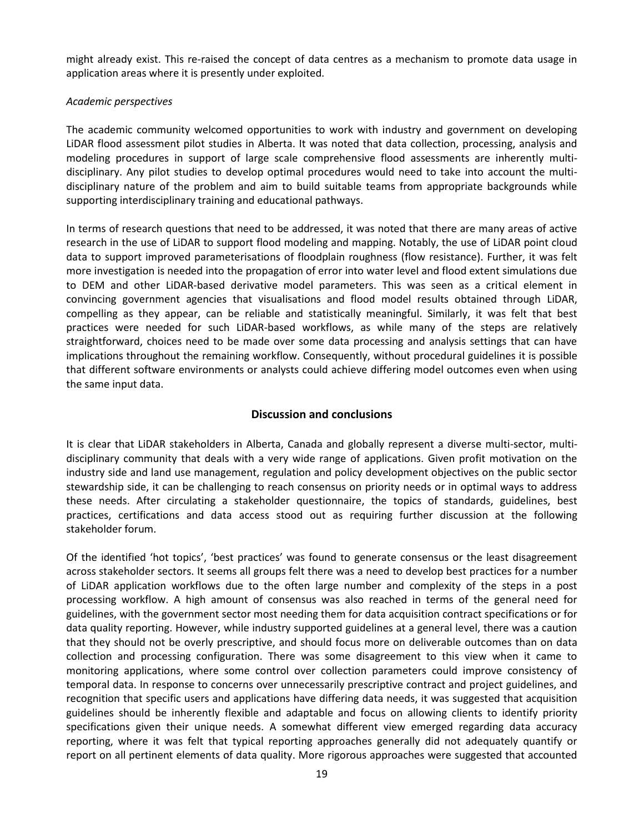might already exist. This re-raised the concept of data centres as a mechanism to promote data usage in application areas where it is presently under exploited.

## *Academic perspectives*

The academic community welcomed opportunities to work with industry and government on developing LiDAR flood assessment pilot studies in Alberta. It was noted that data collection, processing, analysis and modeling procedures in support of large scale comprehensive flood assessments are inherently multidisciplinary. Any pilot studies to develop optimal procedures would need to take into account the multidisciplinary nature of the problem and aim to build suitable teams from appropriate backgrounds while supporting interdisciplinary training and educational pathways.

In terms of research questions that need to be addressed, it was noted that there are many areas of active research in the use of LiDAR to support flood modeling and mapping. Notably, the use of LiDAR point cloud data to support improved parameterisations of floodplain roughness (flow resistance). Further, it was felt more investigation is needed into the propagation of error into water level and flood extent simulations due to DEM and other LiDAR-based derivative model parameters. This was seen as a critical element in convincing government agencies that visualisations and flood model results obtained through LiDAR, compelling as they appear, can be reliable and statistically meaningful. Similarly, it was felt that best practices were needed for such LiDAR-based workflows, as while many of the steps are relatively straightforward, choices need to be made over some data processing and analysis settings that can have implications throughout the remaining workflow. Consequently, without procedural guidelines it is possible that different software environments or analysts could achieve differing model outcomes even when using the same input data.

# **Discussion and conclusions**

It is clear that LiDAR stakeholders in Alberta, Canada and globally represent a diverse multi-sector, multidisciplinary community that deals with a very wide range of applications. Given profit motivation on the industry side and land use management, regulation and policy development objectives on the public sector stewardship side, it can be challenging to reach consensus on priority needs or in optimal ways to address these needs. After circulating a stakeholder questionnaire, the topics of standards, guidelines, best practices, certifications and data access stood out as requiring further discussion at the following stakeholder forum.

Of the identified 'hot topics', 'best practices' was found to generate consensus or the least disagreement across stakeholder sectors. It seems all groups felt there was a need to develop best practices for a number of LiDAR application workflows due to the often large number and complexity of the steps in a post processing workflow. A high amount of consensus was also reached in terms of the general need for guidelines, with the government sector most needing them for data acquisition contract specifications or for data quality reporting. However, while industry supported guidelines at a general level, there was a caution that they should not be overly prescriptive, and should focus more on deliverable outcomes than on data collection and processing configuration. There was some disagreement to this view when it came to monitoring applications, where some control over collection parameters could improve consistency of temporal data. In response to concerns over unnecessarily prescriptive contract and project guidelines, and recognition that specific users and applications have differing data needs, it was suggested that acquisition guidelines should be inherently flexible and adaptable and focus on allowing clients to identify priority specifications given their unique needs. A somewhat different view emerged regarding data accuracy reporting, where it was felt that typical reporting approaches generally did not adequately quantify or report on all pertinent elements of data quality. More rigorous approaches were suggested that accounted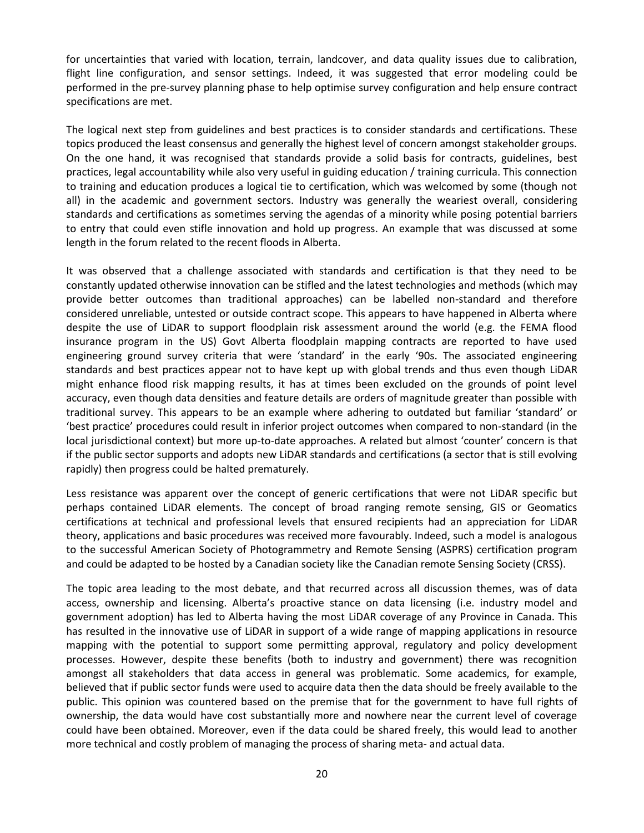for uncertainties that varied with location, terrain, landcover, and data quality issues due to calibration, flight line configuration, and sensor settings. Indeed, it was suggested that error modeling could be performed in the pre-survey planning phase to help optimise survey configuration and help ensure contract specifications are met.

The logical next step from guidelines and best practices is to consider standards and certifications. These topics produced the least consensus and generally the highest level of concern amongst stakeholder groups. On the one hand, it was recognised that standards provide a solid basis for contracts, guidelines, best practices, legal accountability while also very useful in guiding education / training curricula. This connection to training and education produces a logical tie to certification, which was welcomed by some (though not all) in the academic and government sectors. Industry was generally the weariest overall, considering standards and certifications as sometimes serving the agendas of a minority while posing potential barriers to entry that could even stifle innovation and hold up progress. An example that was discussed at some length in the forum related to the recent floods in Alberta.

It was observed that a challenge associated with standards and certification is that they need to be constantly updated otherwise innovation can be stifled and the latest technologies and methods (which may provide better outcomes than traditional approaches) can be labelled non-standard and therefore considered unreliable, untested or outside contract scope. This appears to have happened in Alberta where despite the use of LiDAR to support floodplain risk assessment around the world (e.g. the FEMA flood insurance program in the US) Govt Alberta floodplain mapping contracts are reported to have used engineering ground survey criteria that were 'standard' in the early '90s. The associated engineering standards and best practices appear not to have kept up with global trends and thus even though LiDAR might enhance flood risk mapping results, it has at times been excluded on the grounds of point level accuracy, even though data densities and feature details are orders of magnitude greater than possible with traditional survey. This appears to be an example where adhering to outdated but familiar 'standard' or 'best practice' procedures could result in inferior project outcomes when compared to non-standard (in the local jurisdictional context) but more up-to-date approaches. A related but almost 'counter' concern is that if the public sector supports and adopts new LiDAR standards and certifications (a sector that is still evolving rapidly) then progress could be halted prematurely.

Less resistance was apparent over the concept of generic certifications that were not LiDAR specific but perhaps contained LiDAR elements. The concept of broad ranging remote sensing, GIS or Geomatics certifications at technical and professional levels that ensured recipients had an appreciation for LiDAR theory, applications and basic procedures was received more favourably. Indeed, such a model is analogous to the successful American Society of Photogrammetry and Remote Sensing (ASPRS) certification program and could be adapted to be hosted by a Canadian society like the Canadian remote Sensing Society (CRSS).

The topic area leading to the most debate, and that recurred across all discussion themes, was of data access, ownership and licensing. Alberta's proactive stance on data licensing (i.e. industry model and government adoption) has led to Alberta having the most LiDAR coverage of any Province in Canada. This has resulted in the innovative use of LiDAR in support of a wide range of mapping applications in resource mapping with the potential to support some permitting approval, regulatory and policy development processes. However, despite these benefits (both to industry and government) there was recognition amongst all stakeholders that data access in general was problematic. Some academics, for example, believed that if public sector funds were used to acquire data then the data should be freely available to the public. This opinion was countered based on the premise that for the government to have full rights of ownership, the data would have cost substantially more and nowhere near the current level of coverage could have been obtained. Moreover, even if the data could be shared freely, this would lead to another more technical and costly problem of managing the process of sharing meta- and actual data.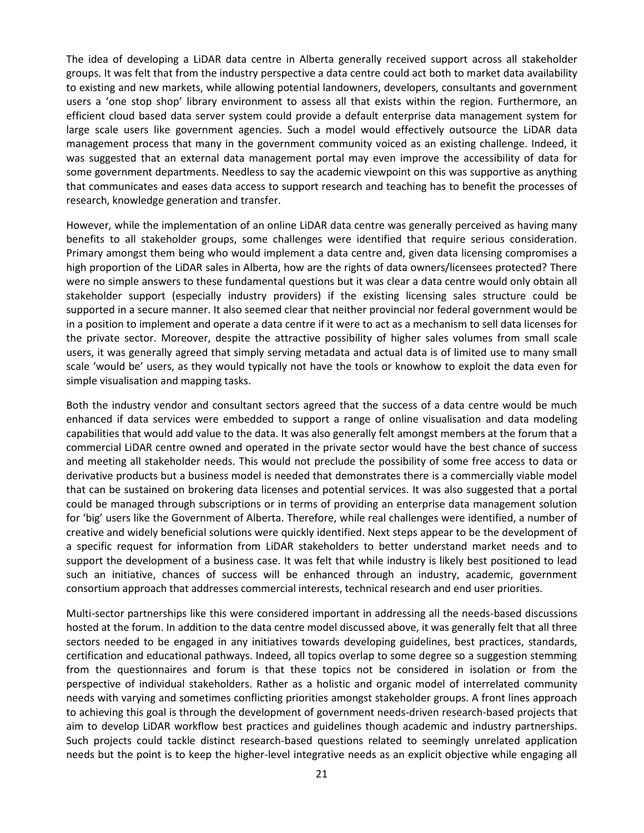The idea of developing a LiDAR data centre in Alberta generally received support across all stakeholder groups. It was felt that from the industry perspective a data centre could act both to market data availability to existing and new markets, while allowing potential landowners, developers, consultants and government users a 'one stop shop' library environment to assess all that exists within the region. Furthermore, an efficient cloud based data server system could provide a default enterprise data management system for large scale users like government agencies. Such a model would effectively outsource the LiDAR data management process that many in the government community voiced as an existing challenge. Indeed, it was suggested that an external data management portal may even improve the accessibility of data for some government departments. Needless to say the academic viewpoint on this was supportive as anything that communicates and eases data access to support research and teaching has to benefit the processes of research, knowledge generation and transfer.

However, while the implementation of an online LiDAR data centre was generally perceived as having many benefits to all stakeholder groups, some challenges were identified that require serious consideration. Primary amongst them being who would implement a data centre and, given data licensing compromises a high proportion of the LiDAR sales in Alberta, how are the rights of data owners/licensees protected? There were no simple answers to these fundamental questions but it was clear a data centre would only obtain all stakeholder support (especially industry providers) if the existing licensing sales structure could be supported in a secure manner. It also seemed clear that neither provincial nor federal government would be in a position to implement and operate a data centre if it were to act as a mechanism to sell data licenses for the private sector. Moreover, despite the attractive possibility of higher sales volumes from small scale users, it was generally agreed that simply serving metadata and actual data is of limited use to many small scale 'would be' users, as they would typically not have the tools or knowhow to exploit the data even for simple visualisation and mapping tasks.

Both the industry vendor and consultant sectors agreed that the success of a data centre would be much enhanced if data services were embedded to support a range of online visualisation and data modeling capabilities that would add value to the data. It was also generally felt amongst members at the forum that a commercial LiDAR centre owned and operated in the private sector would have the best chance of success and meeting all stakeholder needs. This would not preclude the possibility of some free access to data or derivative products but a business model is needed that demonstrates there is a commercially viable model that can be sustained on brokering data licenses and potential services. It was also suggested that a portal could be managed through subscriptions or in terms of providing an enterprise data management solution for 'big' users like the Government of Alberta. Therefore, while real challenges were identified, a number of creative and widely beneficial solutions were quickly identified. Next steps appear to be the development of a specific request for information from LiDAR stakeholders to better understand market needs and to support the development of a business case. It was felt that while industry is likely best positioned to lead such an initiative, chances of success will be enhanced through an industry, academic, government consortium approach that addresses commercial interests, technical research and end user priorities.

Multi-sector partnerships like this were considered important in addressing all the needs-based discussions hosted at the forum. In addition to the data centre model discussed above, it was generally felt that all three sectors needed to be engaged in any initiatives towards developing guidelines, best practices, standards, certification and educational pathways. Indeed, all topics overlap to some degree so a suggestion stemming from the questionnaires and forum is that these topics not be considered in isolation or from the perspective of individual stakeholders. Rather as a holistic and organic model of interrelated community needs with varying and sometimes conflicting priorities amongst stakeholder groups. A front lines approach to achieving this goal is through the development of government needs-driven research-based projects that aim to develop LiDAR workflow best practices and guidelines though academic and industry partnerships. Such projects could tackle distinct research-based questions related to seemingly unrelated application needs but the point is to keep the higher-level integrative needs as an explicit objective while engaging all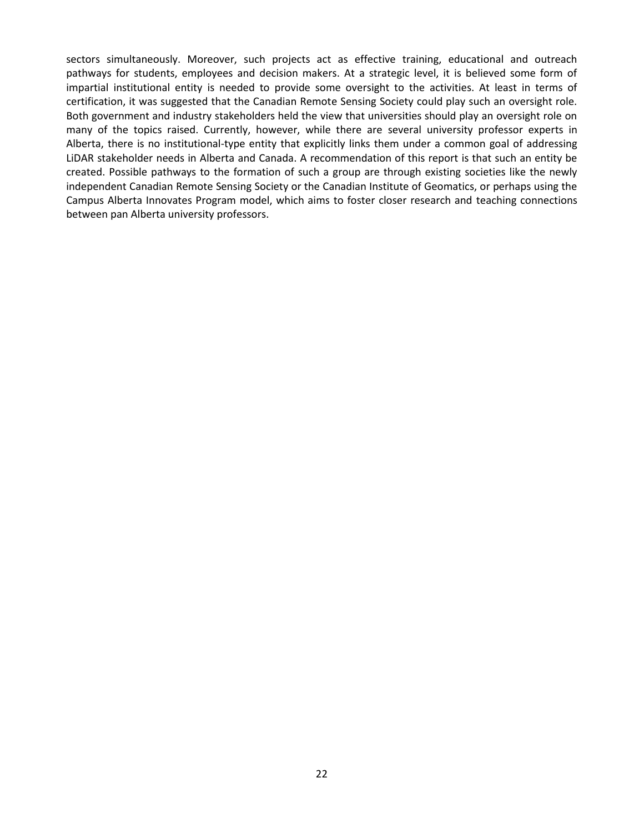sectors simultaneously. Moreover, such projects act as effective training, educational and outreach pathways for students, employees and decision makers. At a strategic level, it is believed some form of impartial institutional entity is needed to provide some oversight to the activities. At least in terms of certification, it was suggested that the Canadian Remote Sensing Society could play such an oversight role. Both government and industry stakeholders held the view that universities should play an oversight role on many of the topics raised. Currently, however, while there are several university professor experts in Alberta, there is no institutional-type entity that explicitly links them under a common goal of addressing LiDAR stakeholder needs in Alberta and Canada. A recommendation of this report is that such an entity be created. Possible pathways to the formation of such a group are through existing societies like the newly independent Canadian Remote Sensing Society or the Canadian Institute of Geomatics, or perhaps using the Campus Alberta Innovates Program model, which aims to foster closer research and teaching connections between pan Alberta university professors.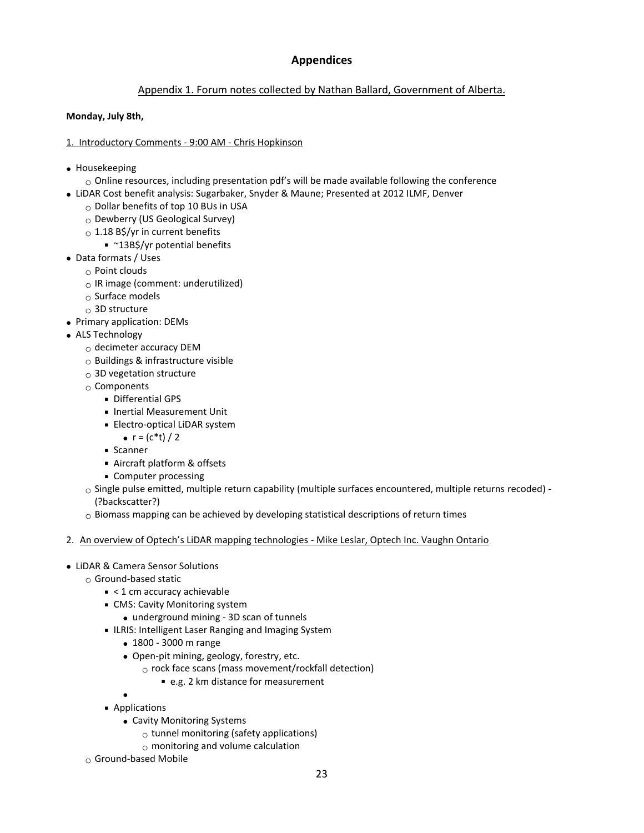# **Appendices**

# Appendix 1. Forum notes collected by Nathan Ballard, Government of Alberta.

## **Monday, July 8th,**

## 1. Introductory Comments - 9:00 AM - Chris Hopkinson

- Housekeeping
	- $\circ$  Online resources, including presentation pdf's will be made available following the conference
- LiDAR Cost benefit analysis: Sugarbaker, Snyder & Maune; Presented at 2012 ILMF, Denver
	- o Dollar benefits of top 10 BUs in USA
	- o Dewberry (US Geological Survey)
	- $\circ$  1.18 B\$/yr in current benefits
		- ~13B\$/yr potential benefits
- Data formats / Uses
	- o Point clouds
		- $\circ$  IR image (comment: underutilized)
		- $\circ$  Surface models
		- $\sim$  3D structure
- Primary application: DEMs
- ALS Technology
	- o decimeter accuracy DEM
	- $\circ$  Buildings & infrastructure visible
	- $_{\odot}$  3D vegetation structure
	- $\circ$  Components
		- **Differential GPS**
		- **Inertial Measurement Unit**
		- **Electro-optical LiDAR system** 
			- $r = (c*t) / 2$
		- **Scanner**
		- Aircraft platform & offsets
		- **Computer processing**
	- $\circ$  Single pulse emitted, multiple return capability (multiple surfaces encountered, multiple returns recoded) -(?backscatter?)
	- $\circ$  Biomass mapping can be achieved by developing statistical descriptions of return times
- 2. An overview of Optech's LiDAR mapping technologies Mike Leslar, Optech Inc. Vaughn Ontario
- LiDAR & Camera Sensor Solutions
	- o Ground-based static
		- $\leq 1$  cm accuracy achievable
		- CMS: Cavity Monitoring system
			- underground mining 3D scan of tunnels
		- **ILRIS: Intelligent Laser Ranging and Imaging System** 
			- 1800 3000 m range
			- Open-pit mining, geology, forestry, etc.
				- $\circ$  rock face scans (mass movement/rockfall detection)
					- e.g. 2 km distance for measurement
		- $\bullet$ **Applications** 
			- Cavity Monitoring Systems
				- $\circ$  tunnel monitoring (safety applications)
				- $\circ$  monitoring and volume calculation
	- $\circ$  Ground-based Mobile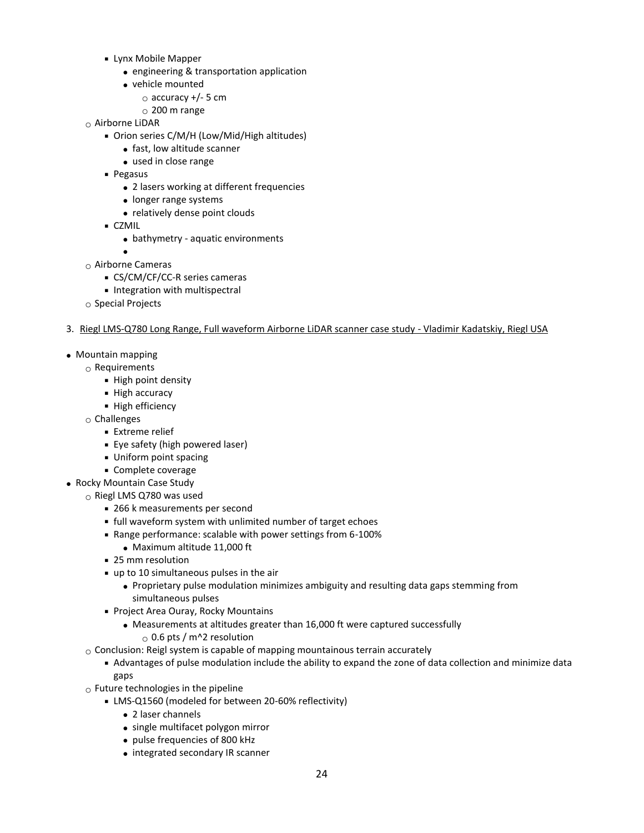- Lynx Mobile Mapper
	- engineering & transportation application
	- vehicle mounted
		- $\circ$  accuracy +/- 5 cm
		- $_{\odot}$  200 m range
- $\circ$  Airborne LiDAR
	- Orion series C/M/H (Low/Mid/High altitudes)
		- fast, low altitude scanner
		- used in close range
	- **Pegasus** 
		- 2 lasers working at different frequencies
		- longer range systems
		- relatively dense point clouds
	- CZMIL
		- bathymetry aquatic environments
- $\bullet$  $\circ$  Airborne Cameras
	- CS/CM/CF/CC-R series cameras
	- **Integration with multispectral**
- $\circ$  Special Projects

#### 3. Riegl LMS-Q780 Long Range, Full waveform Airborne LiDAR scanner case study - Vladimir Kadatskiy, Riegl USA

- Mountain mapping
	- o Requirements
		- **High point density**
		- **High accuracy**
		- **High efficiency**
	- $\circ$  Challenges
		- **Extreme relief**
		- Eye safety (high powered laser)
		- Uniform point spacing
		- **Complete coverage**
- Rocky Mountain Case Study
	- o Riegl LMS Q780 was used
		- 266 k measurements per second
		- full waveform system with unlimited number of target echoes
		- Range performance: scalable with power settings from 6-100%
			- Maximum altitude 11,000 ft
		- 25 mm resolution
		- up to 10 simultaneous pulses in the air
			- Proprietary pulse modulation minimizes ambiguity and resulting data gaps stemming from simultaneous pulses
		- **Project Area Ouray, Rocky Mountains** 
			- Measurements at altitudes greater than 16,000 ft were captured successfully
			- $_{\odot}$  0.6 pts / m^2 resolution
	- $\circ$  Conclusion: Reigl system is capable of mapping mountainous terrain accurately
		- Advantages of pulse modulation include the ability to expand the zone of data collection and minimize data gaps
	- $\circ$  Future technologies in the pipeline
		- LMS-Q1560 (modeled for between 20-60% reflectivity)
			- 2 laser channels
			- single multifacet polygon mirror
			- pulse frequencies of 800 kHz
			- integrated secondary IR scanner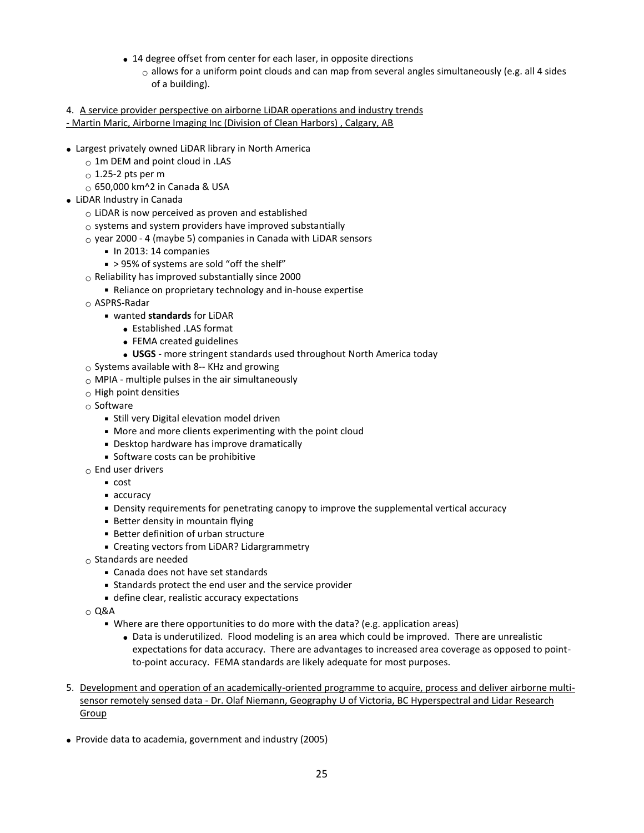- 14 degree offset from center for each laser, in opposite directions
	- $\circ$  allows for a uniform point clouds and can map from several angles simultaneously (e.g. all 4 sides of a building).

4. A service provider perspective on airborne LiDAR operations and industry trends - Martin Maric, Airborne Imaging Inc (Division of Clean Harbors) , Calgary, AB

- Largest privately owned LiDAR library in North America
	- $\circ$  1m DEM and point cloud in .LAS
	- $\circ$  1.25-2 pts per m
	- $\circ$  650,000 km^2 in Canada & USA
- LiDAR Industry in Canada
	- $\circ$  LiDAR is now perceived as proven and established
	- $\circ$  systems and system providers have improved substantially
	- $\circ$  year 2000 4 (maybe 5) companies in Canada with LiDAR sensors
		- $\blacksquare$  In 2013: 14 companies
		- > 95% of systems are sold "off the shelf"
	- $\circ$  Reliability has improved substantially since 2000
		- Reliance on proprietary technology and in-house expertise
	- o ASPRS-Radar
		- wanted **standards** for LiDAR
			- Established .LAS format
			- FEMA created guidelines
			- **USGS** more stringent standards used throughout North America today
	- $\circ$  Systems available with 8-- KHz and growing
	- $\circ$  MPIA multiple pulses in the air simultaneously
	- o High point densities
	- $\circ$  Software
		- **Still very Digital elevation model driven**
		- More and more clients experimenting with the point cloud
		- Desktop hardware has improve dramatically
		- Software costs can be prohibitive
	- $\circ$  End user drivers
		- cost
		- **accuracy**
		- Density requirements for penetrating canopy to improve the supplemental vertical accuracy
		- Better density in mountain flying
		- Better definition of urban structure
		- Creating vectors from LiDAR? Lidargrammetry
	- $\circ$  Standards are needed
		- Canada does not have set standards
		- Standards protect the end user and the service provider
		- define clear, realistic accuracy expectations
	- $\circ$  Q&A
		- Where are there opportunities to do more with the data? (e.g. application areas)
			- Data is underutilized. Flood modeling is an area which could be improved. There are unrealistic expectations for data accuracy. There are advantages to increased area coverage as opposed to pointto-point accuracy. FEMA standards are likely adequate for most purposes.
- 5. Development and operation of an academically-oriented programme to acquire, process and deliver airborne multisensor remotely sensed data - Dr. Olaf Niemann, Geography U of Victoria, BC Hyperspectral and Lidar Research Group
- Provide data to academia, government and industry (2005)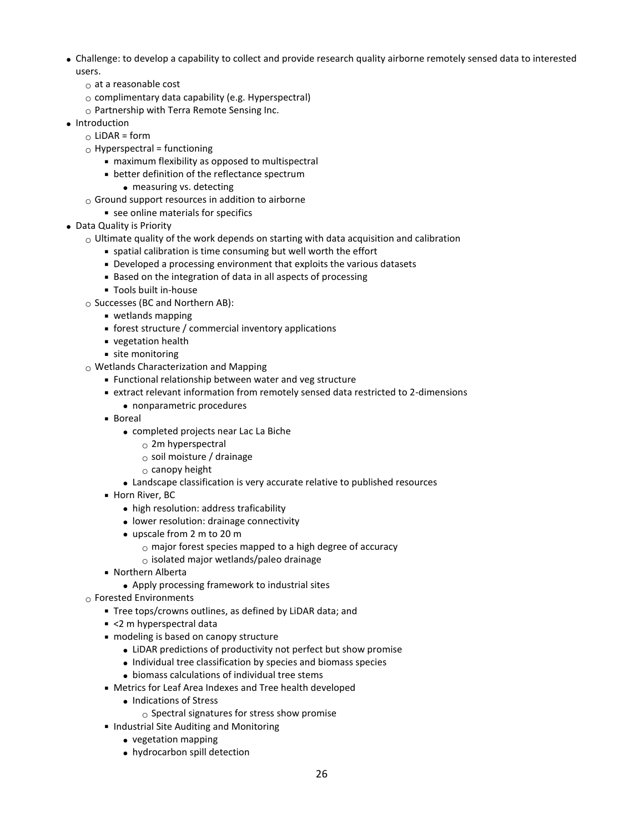- Challenge: to develop a capability to collect and provide research quality airborne remotely sensed data to interested users.
	- $\circ$  at a reasonable cost
	- $\circ$  complimentary data capability (e.g. Hyperspectral)
	- $\circ$  Partnership with Terra Remote Sensing Inc.
- Introduction
	- $\circ$  LiDAR = form
	- $\circ$  Hyperspectral = functioning
		- maximum flexibility as opposed to multispectral
		- better definition of the reflectance spectrum
			- measuring vs. detecting
	- $\circ$  Ground support resources in addition to airborne
		- see online materials for specifics
- Data Quality is Priority
	- $\circ$  Ultimate quality of the work depends on starting with data acquisition and calibration
		- spatial calibration is time consuming but well worth the effort
		- Developed a processing environment that exploits the various datasets
		- Based on the integration of data in all aspects of processing
		- Tools built in-house
	- o Successes (BC and Northern AB):
		- wetlands mapping
		- forest structure / commercial inventory applications
		- vegetation health
		- site monitoring
	- $\circ$  Wetlands Characterization and Mapping
		- Functional relationship between water and veg structure
		- extract relevant information from remotely sensed data restricted to 2-dimensions
			- nonparametric procedures
		- Boreal
			- completed projects near Lac La Biche
				- $\circ$  2m hyperspectral
				- o soil moisture / drainage
				- $\circ$  canopy height
			- Landscape classification is very accurate relative to published resources
		- **Horn River, BC** 
			- high resolution: address traficability
			- lower resolution: drainage connectivity
			- upscale from 2 m to 20 m
				- $\circ$  major forest species mapped to a high degree of accuracy
				- $\circ$  isolated major wetlands/paleo drainage
		- Northern Alberta
			- Apply processing framework to industrial sites
	- o Forested Environments
		- Tree tops/crowns outlines, as defined by LiDAR data; and
		- <2 m hyperspectral data
		- modeling is based on canopy structure
			- LiDAR predictions of productivity not perfect but show promise
			- Individual tree classification by species and biomass species
			- biomass calculations of individual tree stems
		- Metrics for Leaf Area Indexes and Tree health developed
			- Indications of Stress
				- $\circ$  Spectral signatures for stress show promise
		- **Industrial Site Auditing and Monitoring** 
			- vegetation mapping
			- hydrocarbon spill detection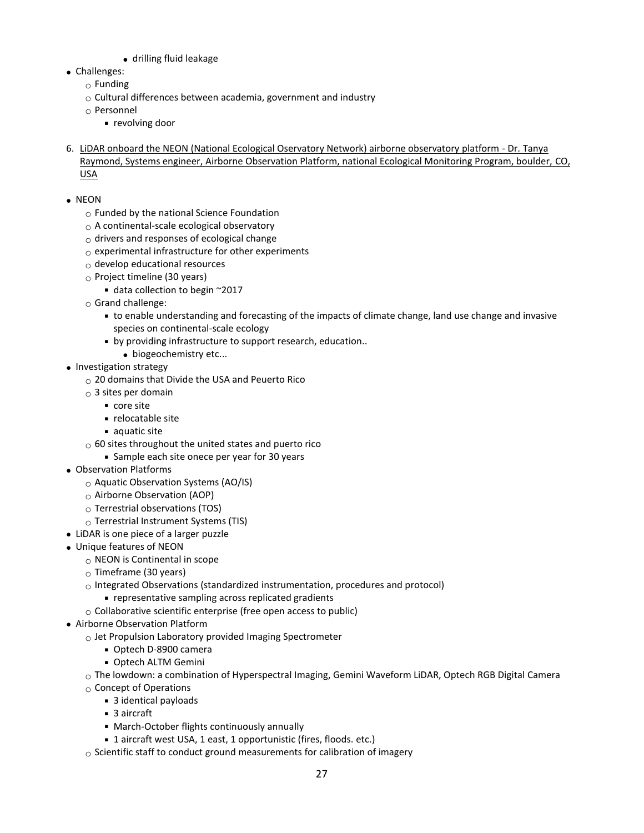- drilling fluid leakage
- Challenges:
	- $\circ$  Funding
	- $\circ$  Cultural differences between academia, government and industry
	- o Personnel
		- revolving door
- 6. LiDAR onboard the NEON (National Ecological Oservatory Network) airborne observatory platform Dr. Tanya Raymond, Systems engineer, Airborne Observation Platform, national Ecological Monitoring Program, boulder, CO, USA
- NEON
	- o Funded by the national Science Foundation
	- o A continental-scale ecological observatory
	- $\circ$  drivers and responses of ecological change
	- $\circ$  experimental infrastructure for other experiments
	- $\circ$  develop educational resources
	- o Project timeline (30 years)
		- data collection to begin ~2017
	- o Grand challenge:
		- to enable understanding and forecasting of the impacts of climate change, land use change and invasive species on continental-scale ecology
		- by providing infrastructure to support research, education..
			- biogeochemistry etc...
- Investigation strategy
	- $_{\odot}$  20 domains that Divide the USA and Peuerto Rico
	- $\circ$  3 sites per domain
		- core site
		- relocatable site
		- $\blacksquare$  aquatic site
	- $\circ$  60 sites throughout the united states and puerto rico
		- **Sample each site onece per year for 30 years**
- Observation Platforms
	- o Aquatic Observation Systems (AO/IS)
	- o Airborne Observation (AOP)
	- $\circ$  Terrestrial observations (TOS)
	- $\circ$  Terrestrial Instrument Systems (TIS)
- LiDAR is one piece of a larger puzzle
- Unique features of NEON
	- $\circ$  NEON is Continental in scope
	- o Timeframe (30 years)
	- $\circ$  Integrated Observations (standardized instrumentation, procedures and protocol)
		- representative sampling across replicated gradients
	- $\circ$  Collaborative scientific enterprise (free open access to public)
- Airborne Observation Platform
	- $\circ$  Jet Propulsion Laboratory provided Imaging Spectrometer
		- Optech D-8900 camera
		- Optech ALTM Gemini
	- $\circ$  The lowdown: a combination of Hyperspectral Imaging, Gemini Waveform LiDAR, Optech RGB Digital Camera
	- o Concept of Operations
		- 3 identical payloads
		- 3 aircraft
		- March-October flights continuously annually
		- 1 aircraft west USA, 1 east, 1 opportunistic (fires, floods. etc.)
	- $\circ$  Scientific staff to conduct ground measurements for calibration of imagery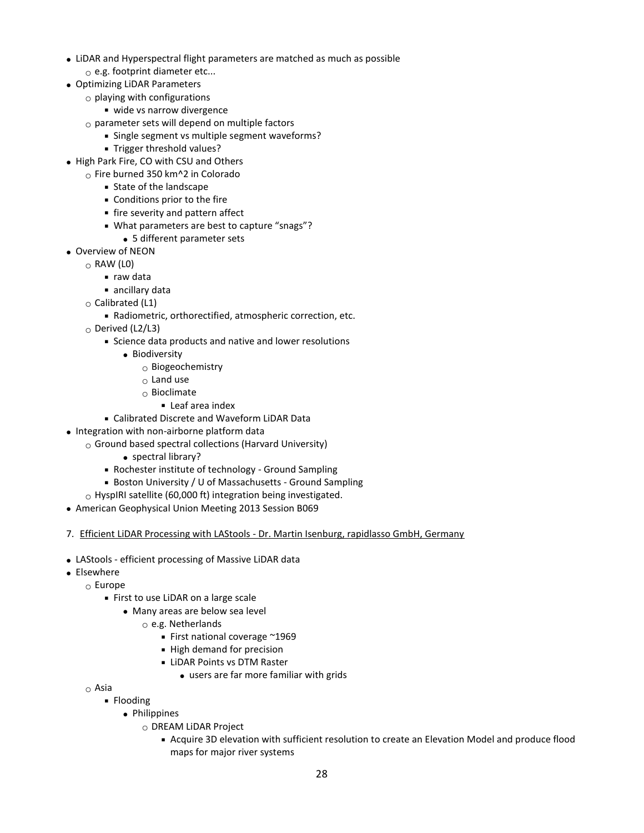- LiDAR and Hyperspectral flight parameters are matched as much as possible  $\circ$  e.g. footprint diameter etc...
- Optimizing LiDAR Parameters
	- $\circ$  playing with configurations
		- wide vs narrow divergence
		- $\circ$  parameter sets will depend on multiple factors
			- Single segment vs multiple segment waveforms?
			- **Trigger threshold values?**
- High Park Fire, CO with CSU and Others
	- $\circ$  Fire burned 350 km<sup> $\circ$ </sup>2 in Colorado
		- **State of the landscape**
		- Conditions prior to the fire
		- fire severity and pattern affect
		- What parameters are best to capture "snags"?
		- 5 different parameter sets
- Overview of NEON
	- $\circ$  RAW (LO)
		- raw data
		- ancillary data
	- $\circ$  Calibrated (L1)
		- Radiometric, orthorectified, atmospheric correction, etc.
	- o Derived (L2/L3)
		- Science data products and native and lower resolutions
			- **•** Biodiversity
				- o Biogeochemistry
				- $\circ$  Land use
				- o Bioclimate
					- Leaf area index
		- Calibrated Discrete and Waveform LiDAR Data
- Integration with non-airborne platform data
	- $\circ$  Ground based spectral collections (Harvard University)
		- spectral library?
		- Rochester institute of technology Ground Sampling
		- Boston University / U of Massachusetts Ground Sampling
	- $\circ$  HyspIRI satellite (60,000 ft) integration being investigated.
- American Geophysical Union Meeting 2013 Session B069
- 7. Efficient LiDAR Processing with LAStools Dr. Martin Isenburg, rapidlasso GmbH, Germany
- LAStools efficient processing of Massive LiDAR data
- Elsewhere
	- o Europe
		- First to use LiDAR on a large scale
			- Many areas are below sea level
				- o e.g. Netherlands
					- First national coverage ~1969
					- High demand for precision
					- **LiDAR Points vs DTM Raster** 
						- users are far more familiar with grids

o Asia

- Flooding
	- Philippines
		- o DREAM LiDAR Project
			- Acquire 3D elevation with sufficient resolution to create an Elevation Model and produce flood maps for major river systems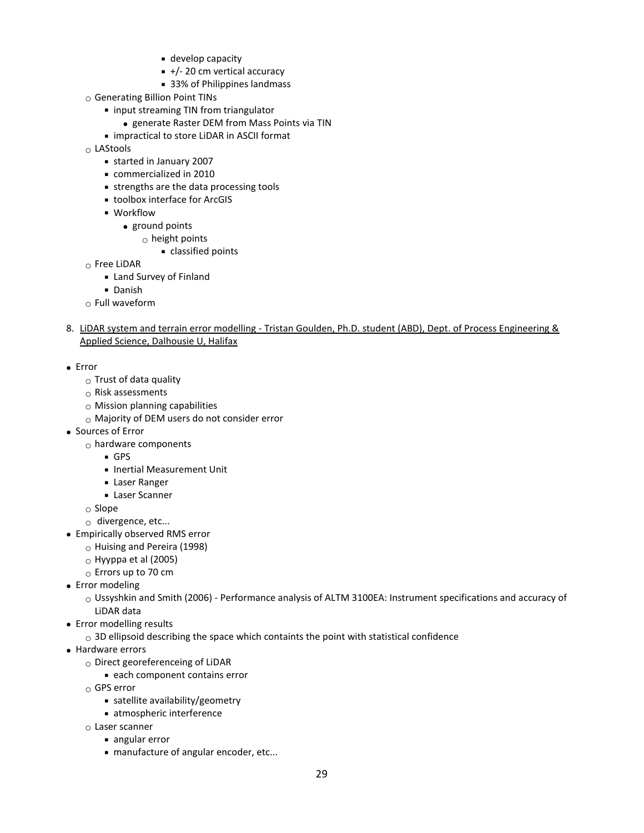- develop capacity
- $+/- 20$  cm vertical accuracy
- 33% of Philippines landmass
- o Generating Billion Point TINs
	- input streaming TIN from triangulator
		- generate Raster DEM from Mass Points via TIN
	- **Example 2** impractical to store LiDAR in ASCII format
- o LAStools
	- started in January 2007
	- commercialized in 2010
	- strengths are the data processing tools
	- toolbox interface for ArcGIS
	- **· Workflow** 
		- ground points
			- $\circ$  height points
				- classified points
- $\circ$  Free LiDAR
	- Land Survey of Finland
	- Danish
- $\circ$  Full waveform
- 8. LiDAR system and terrain error modelling Tristan Goulden, Ph.D. student (ABD), Dept. of Process Engineering & Applied Science, Dalhousie U, Halifax
- Error
	- $\circ$  Trust of data quality
	- $\circ$  Risk assessments
	- $\circ$  Mission planning capabilities
	- o Majority of DEM users do not consider error
- Sources of Error
	- $\circ$  hardware components
		- GPS
		- **Inertial Measurement Unit**
		- Laser Ranger
		- **Laser Scanner**
	- o Slope
	- $\circ$  divergence, etc...
- Empirically observed RMS error
	- $\circ$  Huising and Pereira (1998)
	- $\circ$  Hyyppa et al (2005)
	- o Errors up to 70 cm
- Error modeling
	- o Ussyshkin and Smith (2006) Performance analysis of ALTM 3100EA: Instrument specifications and accuracy of LiDAR data
- Error modelling results
	- $\circ$  3D ellipsoid describing the space which containts the point with statistical confidence
- Hardware errors
	- o Direct georeferenceing of LiDAR
		- each component contains error
	- o GPS error
		- satellite availability/geometry
		- atmospheric interference
	- $\circ$  Laser scanner
		- angular error
		- manufacture of angular encoder, etc...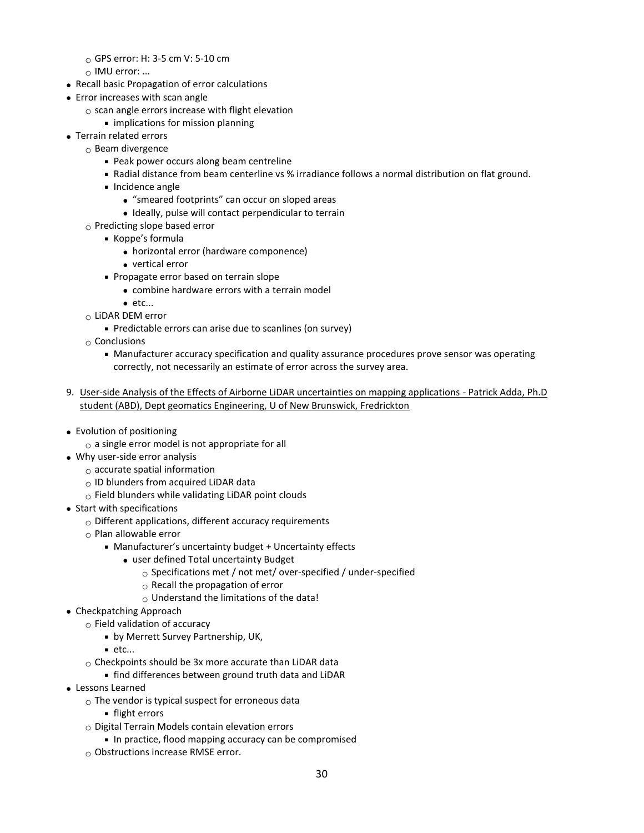- $\circ$  GPS error: H: 3-5 cm V: 5-10 cm
- $\circ$  IMU error: ...
- Recall basic Propagation of error calculations
- Error increases with scan angle
	- $\circ$  scan angle errors increase with flight elevation
		- **Inplications for mission planning**
- Terrain related errors
	- $\circ$  Beam divergence
		- Peak power occurs along beam centreline
		- Radial distance from beam centerline vs % irradiance follows a normal distribution on flat ground.
		- **Incidence angle** 
			- "smeared footprints" can occur on sloped areas
			- Ideally, pulse will contact perpendicular to terrain
		- o Predicting slope based error
			- Koppe's formula
				- horizontal error (hardware componence)
				- vertical error
			- **Propagate error based on terrain slope** 
				- combine hardware errors with a terrain model
				- $e$  $etc...$
		- o LiDAR DEM error
			- Predictable errors can arise due to scanlines (on survey)
		- $\circ$  Conclusions
			- Manufacturer accuracy specification and quality assurance procedures prove sensor was operating correctly, not necessarily an estimate of error across the survey area.
- 9. User-side Analysis of the Effects of Airborne LiDAR uncertainties on mapping applications Patrick Adda, Ph.D student (ABD), Dept geomatics Engineering, U of New Brunswick, Fredrickton
- Evolution of positioning
	- $\circ$  a single error model is not appropriate for all
- Why user-side error analysis
	- $\circ$  accurate spatial information
	- $\circ$  ID blunders from acquired LiDAR data
	- $\circ$  Field blunders while validating LiDAR point clouds
- Start with specifications
	- $\circ$  Different applications, different accuracy requirements
	- o Plan allowable error
		- Manufacturer's uncertainty budget + Uncertainty effects
			- user defined Total uncertainty Budget
				- o Specifications met / not met/ over-specified / under-specified
				- $\circ$  Recall the propagation of error
				- $\circ$  Understand the limitations of the data!
- Checkpatching Approach
	- $\circ$  Field validation of accuracy
		- by Merrett Survey Partnership, UK,
		- $e$ tc...
	- $\circ$  Checkpoints should be 3x more accurate than LiDAR data
	- find differences between ground truth data and LiDAR
- Lessons Learned
	- $\circ$  The vendor is typical suspect for erroneous data
		- **flight errors**
	- $\circ$  Digital Terrain Models contain elevation errors
		- In practice, flood mapping accuracy can be compromised
	- $_{\odot}$  Obstructions increase RMSE error.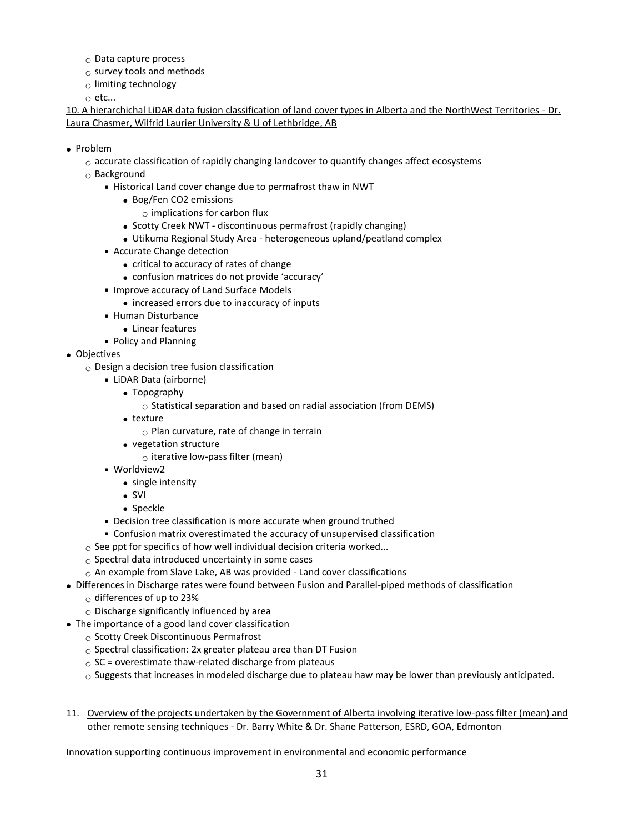- $\circ$  Data capture process
- $\circ$  survey tools and methods
- $\circ$  limiting technology

o etc...

10. A hierarchichal LiDAR data fusion classification of land cover types in Alberta and the NorthWest Territories - Dr. Laura Chasmer, Wilfrid Laurier University & U of Lethbridge, AB

#### • Problem

- $\circ$  accurate classification of rapidly changing landcover to quantify changes affect ecosystems
- $\circ$  Background
	- Historical Land cover change due to permafrost thaw in NWT
		- Bog/Fen CO2 emissions
			- $\circ$  implications for carbon flux
		- Scotty Creek NWT discontinuous permafrost (rapidly changing)
		- Utikuma Regional Study Area heterogeneous upland/peatland complex
	- Accurate Change detection
		- critical to accuracy of rates of change
		- confusion matrices do not provide 'accuracy'
	- **Improve accuracy of Land Surface Models** 
		- increased errors due to inaccuracy of inputs
	- Human Disturbance
		- Linear features
	- Policy and Planning
- Objectives
	- $\circ$  Design a decision tree fusion classification
		- LiDAR Data (airborne)
			- Topography
				- $\circ$  Statistical separation and based on radial association (from DEMS)
			- texture
				- $\circ$  Plan curvature, rate of change in terrain
			- vegetation structure
				- $\circ$  iterative low-pass filter (mean)
		- Worldview2
			- single intensity
			- $\bullet$  SVI
			- Speckle
		- Decision tree classification is more accurate when ground truthed
		- Confusion matrix overestimated the accuracy of unsupervised classification
	- $\circ$  See ppt for specifics of how well individual decision criteria worked...
	- $\circ$  Spectral data introduced uncertainty in some cases
	- $\circ$  An example from Slave Lake, AB was provided Land cover classifications
- Differences in Discharge rates were found between Fusion and Parallel-piped methods of classification
	- o differences of up to 23%
	- $\circ$  Discharge significantly influenced by area
- The importance of a good land cover classification
	- o Scotty Creek Discontinuous Permafrost
	- $\circ$  Spectral classification: 2x greater plateau area than DT Fusion
	- $\circ$  SC = overestimate thaw-related discharge from plateaus
	- $\circ$  Suggests that increases in modeled discharge due to plateau haw may be lower than previously anticipated.
- 11. Overview of the projects undertaken by the Government of Alberta involving iterative low-pass filter (mean) and other remote sensing techniques - Dr. Barry White & Dr. Shane Patterson, ESRD, GOA, Edmonton

Innovation supporting continuous improvement in environmental and economic performance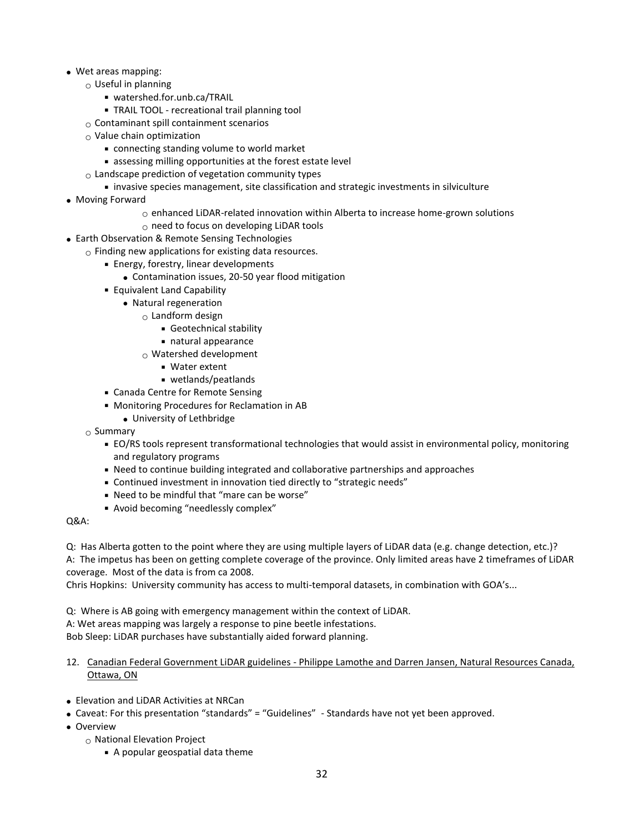- Wet areas mapping:
- $\circ$  Useful in planning
	- watershed.for.unb.ca/TRAIL
	- TRAIL TOOL recreational trail planning tool
	- $\circ$  Contaminant spill containment scenarios
	- $\circ$  Value chain optimization
		- connecting standing volume to world market
		- assessing milling opportunities at the forest estate level
	- $\circ$  Landscape prediction of vegetation community types
		- invasive species management, site classification and strategic investments in silviculture
- Moving Forward
	- $\circ$  enhanced LiDAR-related innovation within Alberta to increase home-grown solutions
	- o need to focus on developing LiDAR tools
- Earth Observation & Remote Sensing Technologies
	- $\circ$  Finding new applications for existing data resources.
		- **Energy, forestry, linear developments** 
			- Contamination issues, 20-50 year flood mitigation
		- Equivalent Land Capability
			- Natural regeneration
				- $\circ$  Landform design
					- Geotechnical stability
					- natural appearance
				- $\circ$  Watershed development
					- Water extent
					- wetlands/peatlands
		- Canada Centre for Remote Sensing
		- Monitoring Procedures for Reclamation in AB
			- University of Lethbridge
		- $\circ$  Summary
			- EO/RS tools represent transformational technologies that would assist in environmental policy, monitoring and regulatory programs
			- Need to continue building integrated and collaborative partnerships and approaches
			- Continued investment in innovation tied directly to "strategic needs"
			- Need to be mindful that "mare can be worse"
			- Avoid becoming "needlessly complex"

#### Q&A:

Q: Has Alberta gotten to the point where they are using multiple layers of LiDAR data (e.g. change detection, etc.)? A: The impetus has been on getting complete coverage of the province. Only limited areas have 2 timeframes of LiDAR coverage. Most of the data is from ca 2008.

Chris Hopkins: University community has access to multi-temporal datasets, in combination with GOA's...

Q: Where is AB going with emergency management within the context of LiDAR. A: Wet areas mapping was largely a response to pine beetle infestations. Bob Sleep: LiDAR purchases have substantially aided forward planning.

- 12. Canadian Federal Government LiDAR guidelines Philippe Lamothe and Darren Jansen, Natural Resources Canada, Ottawa, ON
- Elevation and LiDAR Activities at NRCan
- Caveat: For this presentation "standards" = "Guidelines" Standards have not yet been approved.
- Overview
	- o National Elevation Project
		- A popular geospatial data theme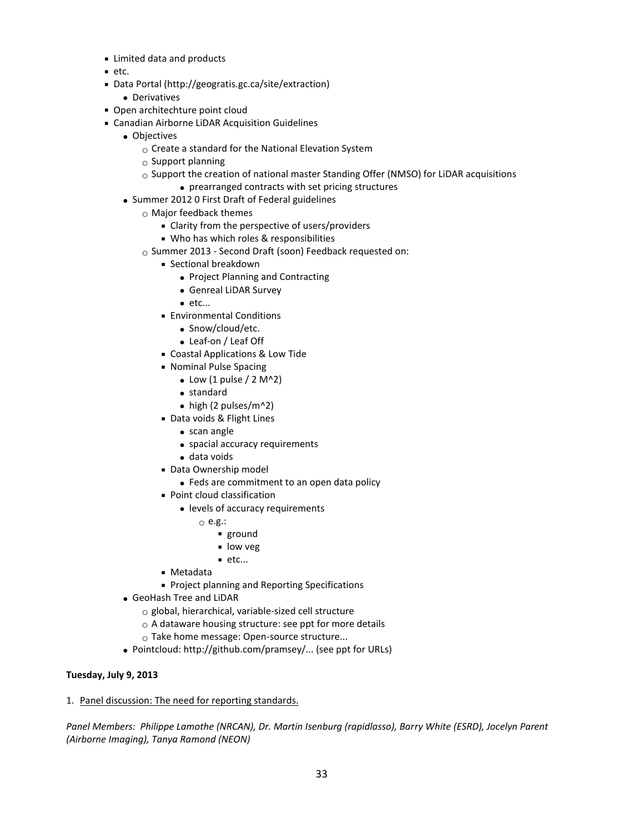- Limited data and products
- $etc.$
- Data Portal (http://geogratis.gc.ca/site/extraction)
	- Derivatives
- Open architechture point cloud
- Canadian Airborne LiDAR Acquisition Guidelines
	- Objectives
		- $\circ$  Create a standard for the National Elevation System
		- $\circ$  Support planning
		- $\circ$  Support the creation of national master Standing Offer (NMSO) for LiDAR acquisitions
			- prearranged contracts with set pricing structures
	- Summer 2012 0 First Draft of Federal guidelines
		- o Major feedback themes
			- **EX Clarity from the perspective of users/providers**
			- Who has which roles & responsibilities
		- o Summer 2013 Second Draft (soon) Feedback requested on:
			- Sectional breakdown
				- Project Planning and Contracting
				- Genreal LiDAR Survey
				- $\bullet$  etc...
			- **Environmental Conditions** 
				- Snow/cloud/etc.
				- Leaf-on / Leaf Off
			- Coastal Applications & Low Tide
			- Nominal Pulse Spacing
				- $\bullet$  Low (1 pulse / 2 M^2)
				- standard
				- $\bullet$  high (2 pulses/m^2)
			- Data voids & Flight Lines
				- scan angle
				- spacial accuracy requirements
				- data voids
			- Data Ownership model
				- Feds are commitment to an open data policy
			- Point cloud classification
				- levels of accuracy requirements
					- o e.g.:
						- ground
						- **low veg**
						- $e$ tc...
			- Metadata
			- Project planning and Reporting Specifications
	- GeoHash Tree and LiDAR
		- $\circ$  global, hierarchical, variable-sized cell structure
		- o A dataware housing structure: see ppt for more details
		- o Take home message: Open-source structure...
	- Pointcloud: http://github.com/pramsey/... (see ppt for URLs)

## **Tuesday, July 9, 2013**

1. Panel discussion: The need for reporting standards.

*Panel Members: Philippe Lamothe (NRCAN), Dr. Martin Isenburg (rapidlasso), Barry White (ESRD), Jocelyn Parent (Airborne Imaging), Tanya Ramond (NEON)*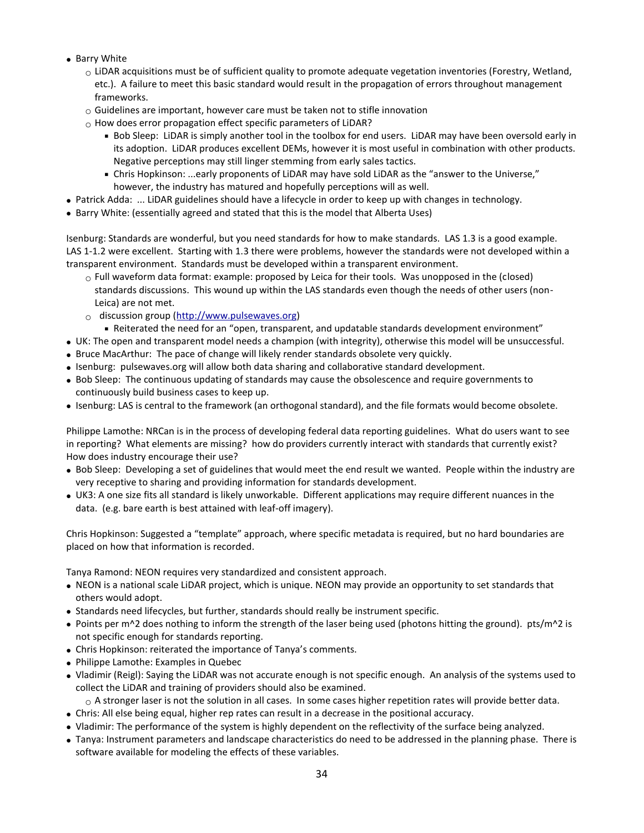- Barry White
	- $\circ$  LiDAR acquisitions must be of sufficient quality to promote adequate vegetation inventories (Forestry, Wetland, etc.). A failure to meet this basic standard would result in the propagation of errors throughout management frameworks.
	- $\circ$  Guidelines are important, however care must be taken not to stifle innovation
	- $\circ$  How does error propagation effect specific parameters of LiDAR?
		- Bob Sleep: LiDAR is simply another tool in the toolbox for end users. LiDAR may have been oversold early in its adoption. LiDAR produces excellent DEMs, however it is most useful in combination with other products. Negative perceptions may still linger stemming from early sales tactics.
		- Chris Hopkinson: ...early proponents of LiDAR may have sold LiDAR as the "answer to the Universe," however, the industry has matured and hopefully perceptions will as well.
- Patrick Adda: ... LiDAR guidelines should have a lifecycle in order to keep up with changes in technology.
- Barry White: (essentially agreed and stated that this is the model that Alberta Uses)

Isenburg: Standards are wonderful, but you need standards for how to make standards. LAS 1.3 is a good example. LAS 1-1.2 were excellent. Starting with 1.3 there were problems, however the standards were not developed within a transparent environment. Standards must be developed within a transparent environment.

- $\circ$  Full waveform data format: example: proposed by Leica for their tools. Was unopposed in the (closed) standards discussions. This wound up within the LAS standards even though the needs of other users (non-Leica) are not met.
- $\circ$  discussion group [\(http://www.pulsewaves.org\)](http://www.pulsewaves.org/)
- Reiterated the need for an "open, transparent, and updatable standards development environment"
- UK: The open and transparent model needs a champion (with integrity), otherwise this model will be unsuccessful.
- Bruce MacArthur: The pace of change will likely render standards obsolete very quickly.
- Isenburg: pulsewaves.org will allow both data sharing and collaborative standard development.
- Bob Sleep: The continuous updating of standards may cause the obsolescence and require governments to continuously build business cases to keep up.
- Isenburg: LAS is central to the framework (an orthogonal standard), and the file formats would become obsolete.

Philippe Lamothe: NRCan is in the process of developing federal data reporting guidelines. What do users want to see in reporting? What elements are missing? how do providers currently interact with standards that currently exist? How does industry encourage their use?

- Bob Sleep: Developing a set of guidelines that would meet the end result we wanted. People within the industry are very receptive to sharing and providing information for standards development.
- UK3: A one size fits all standard is likely unworkable. Different applications may require different nuances in the data. (e.g. bare earth is best attained with leaf-off imagery).

Chris Hopkinson: Suggested a "template" approach, where specific metadata is required, but no hard boundaries are placed on how that information is recorded.

Tanya Ramond: NEON requires very standardized and consistent approach.

- NEON is a national scale LiDAR project, which is unique. NEON may provide an opportunity to set standards that others would adopt.
- Standards need lifecycles, but further, standards should really be instrument specific.
- Points per m^2 does nothing to inform the strength of the laser being used (photons hitting the ground). pts/m^2 is not specific enough for standards reporting.
- Chris Hopkinson: reiterated the importance of Tanya's comments.
- Philippe Lamothe: Examples in Quebec
- Vladimir (Reigl): Saying the LiDAR was not accurate enough is not specific enough. An analysis of the systems used to collect the LiDAR and training of providers should also be examined.

 $\circ$  A stronger laser is not the solution in all cases. In some cases higher repetition rates will provide better data.

- Chris: All else being equal, higher rep rates can result in a decrease in the positional accuracy.
- Vladimir: The performance of the system is highly dependent on the reflectivity of the surface being analyzed.
- Tanya: Instrument parameters and landscape characteristics do need to be addressed in the planning phase. There is software available for modeling the effects of these variables.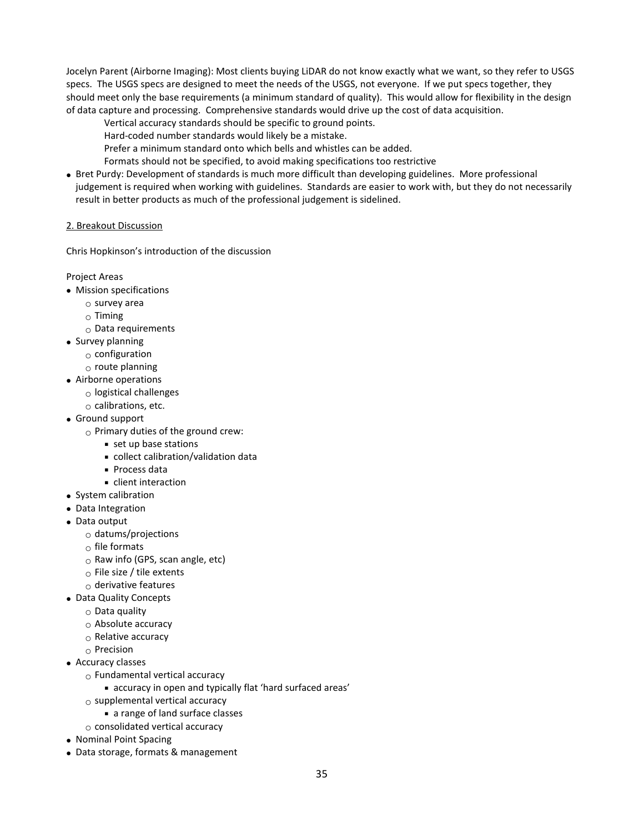Jocelyn Parent (Airborne Imaging): Most clients buying LiDAR do not know exactly what we want, so they refer to USGS specs. The USGS specs are designed to meet the needs of the USGS, not everyone. If we put specs together, they should meet only the base requirements (a minimum standard of quality). This would allow for flexibility in the design of data capture and processing. Comprehensive standards would drive up the cost of data acquisition.

- Vertical accuracy standards should be specific to ground points.
- Hard-coded number standards would likely be a mistake.
- Prefer a minimum standard onto which bells and whistles can be added.
- Formats should not be specified, to avoid making specifications too restrictive
- Bret Purdy: Development of standards is much more difficult than developing guidelines. More professional judgement is required when working with guidelines. Standards are easier to work with, but they do not necessarily result in better products as much of the professional judgement is sidelined.

#### 2. Breakout Discussion

Chris Hopkinson's introduction of the discussion

Project Areas

- Mission specifications
	- o survey area
	- $\circ$  Timing
	- $\circ$  Data requirements
- Survey planning
	- $\circ$  configuration
	- $\circ$  route planning
- Airborne operations
	- $\circ$  logistical challenges
	- $\circ$  calibrations, etc.
- Ground support
	- $\circ$  Primary duties of the ground crew:
		- set up base stations
		- collect calibration/validation data
		- Process data
		- **client interaction**
- System calibration
- Data Integration
- Data output
	- $\circ$  datums/projections
	- $\circ$  file formats
	- $\circ$  Raw info (GPS, scan angle, etc)
	- o File size / tile extents
	- $\circ$  derivative features
- Data Quality Concepts
	- $\circ$  Data quality
	- o Absolute accuracy
	- o Relative accuracy
	- $\circ$  Precision
- Accuracy classes
	- $\circ$  Fundamental vertical accuracy
		- accuracy in open and typically flat 'hard surfaced areas'
	- $\circ$  supplemental vertical accuracy
		- a range of land surface classes
	- $\circ$  consolidated vertical accuracy
- Nominal Point Spacing
- Data storage, formats & management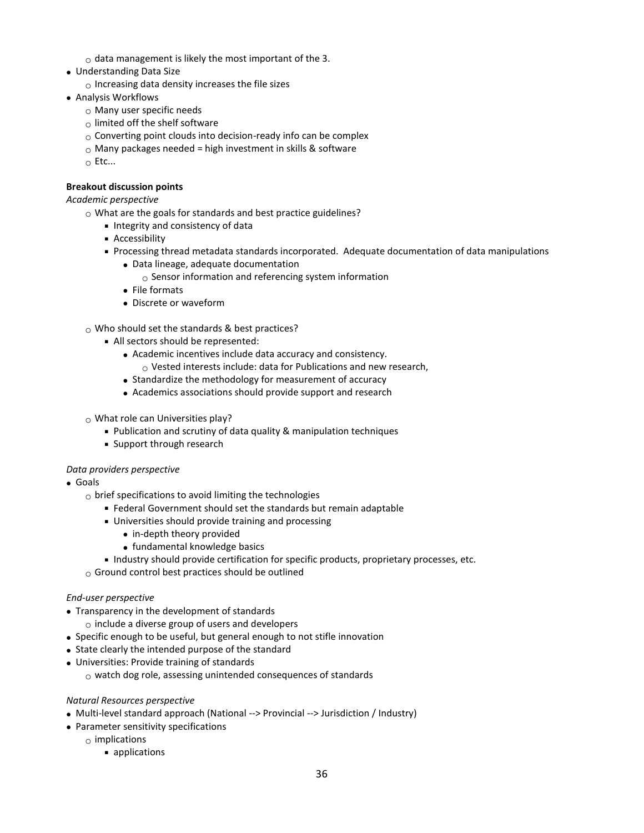- $\circ$  data management is likely the most important of the 3.
- Understanding Data Size
- $\circ$  Increasing data density increases the file sizes
- Analysis Workflows
	- o Many user specific needs
	- $\circ$  limited off the shelf software
	- $\circ$  Converting point clouds into decision-ready info can be complex
	- $\circ$  Many packages needed = high investment in skills & software
	- o Etc...

## **Breakout discussion points**

## *Academic perspective*

- $\circ$  What are the goals for standards and best practice guidelines?
	- **Integrity and consistency of data**
	- **Accessibility**
	- Processing thread metadata standards incorporated. Adequate documentation of data manipulations
		- Data lineage, adequate documentation
			- $\circ$  Sensor information and referencing system information
		- File formats
		- Discrete or waveform
- $\circ$  Who should set the standards & best practices?
	- All sectors should be represented:
		- Academic incentives include data accuracy and consistency.
			- $\circ$  Vested interests include: data for Publications and new research,
		- Standardize the methodology for measurement of accuracy
		- Academics associations should provide support and research
- $\circ$  What role can Universities play?
	- Publication and scrutiny of data quality & manipulation techniques
	- **Support through research**

## *Data providers perspective*

- Goals
	- $\circ$  brief specifications to avoid limiting the technologies
		- Federal Government should set the standards but remain adaptable
		- Universities should provide training and processing
			- in-depth theory provided
			- fundamental knowledge basics
		- Industry should provide certification for specific products, proprietary processes, etc.
	- $\circ$  Ground control best practices should be outlined

## *End-user perspective*

- Transparency in the development of standards
	- $\circ$  include a diverse group of users and developers
- Specific enough to be useful, but general enough to not stifle innovation
- State clearly the intended purpose of the standard
- Universities: Provide training of standards
	- $\circ$  watch dog role, assessing unintended consequences of standards

## *Natural Resources perspective*

- Multi-level standard approach (National --> Provincial --> Jurisdiction / Industry)
- Parameter sensitivity specifications
	- $\circ$  implications
		- **applications**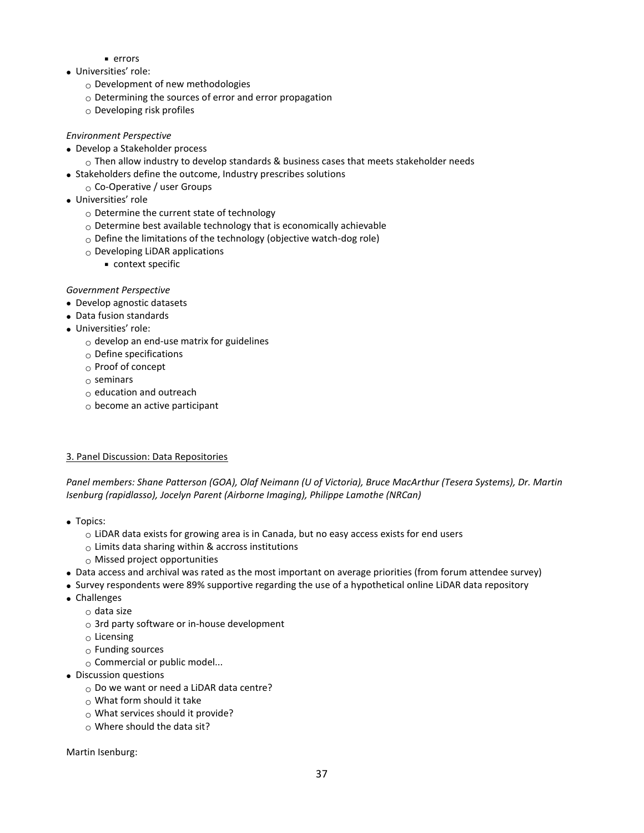- **errors**
- Universities' role:
	- $\circ$  Development of new methodologies
	- $\circ$  Determining the sources of error and error propagation
	- $\circ$  Developing risk profiles

## *Environment Perspective*

- Develop a Stakeholder process
	- $\circ$  Then allow industry to develop standards & business cases that meets stakeholder needs
- Stakeholders define the outcome, Industry prescribes solutions
- o Co-Operative / user Groups
- Universities' role
	- o Determine the current state of technology
	- o Determine best available technology that is economically achievable
	- $\circ$  Define the limitations of the technology (objective watch-dog role)
	- $\circ$  Developing LiDAR applications
		- context specific

## *Government Perspective*

- Develop agnostic datasets
- Data fusion standards
- Universities' role:
	- $\circ$  develop an end-use matrix for guidelines
	- $\circ$  Define specifications
	- o Proof of concept
	- $\circ$  seminars
	- o education and outreach
	- $\circ$  become an active participant

# 3. Panel Discussion: Data Repositories

*Panel members: Shane Patterson (GOA), Olaf Neimann (U of Victoria), Bruce MacArthur (Tesera Systems), Dr. Martin Isenburg (rapidlasso), Jocelyn Parent (Airborne Imaging), Philippe Lamothe (NRCan)* 

- Topics:
	- $\circ$  LiDAR data exists for growing area is in Canada, but no easy access exists for end users
	- $\circ$  Limits data sharing within & accross institutions
	- $\circ$  Missed project opportunities
- Data access and archival was rated as the most important on average priorities (from forum attendee survey)
- Survey respondents were 89% supportive regarding the use of a hypothetical online LiDAR data repository
- Challenges
	- $\circ$  data size
	- $\circ$  3rd party software or in-house development
	- $\circ$  Licensing
	- $\circ$  Funding sources
	- o Commercial or public model...
- Discussion questions
	- o Do we want or need a LiDAR data centre?
	- $\circ$  What form should it take
	- $\circ$  What services should it provide?
	- $\circ$  Where should the data sit?

Martin Isenburg: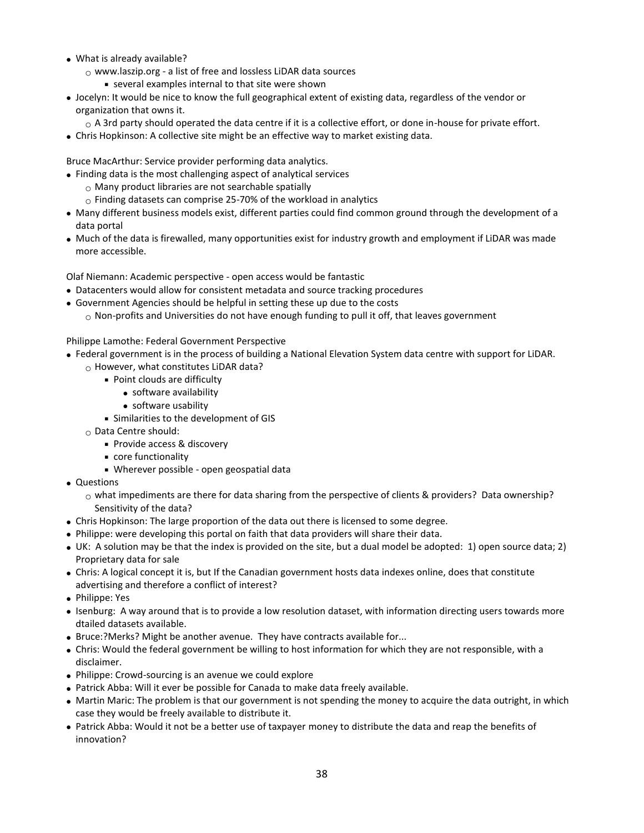- What is already available?
	- o www.laszip.org a list of free and lossless LiDAR data sources
		- several examples internal to that site were shown
- Jocelyn: It would be nice to know the full geographical extent of existing data, regardless of the vendor or organization that owns it.
	- $\circ$  A 3rd party should operated the data centre if it is a collective effort, or done in-house for private effort.
- Chris Hopkinson: A collective site might be an effective way to market existing data.

Bruce MacArthur: Service provider performing data analytics.

- Finding data is the most challenging aspect of analytical services
	- o Many product libraries are not searchable spatially
	- $\circ$  Finding datasets can comprise 25-70% of the workload in analytics
- Many different business models exist, different parties could find common ground through the development of a data portal
- Much of the data is firewalled, many opportunities exist for industry growth and employment if LiDAR was made more accessible.

Olaf Niemann: Academic perspective - open access would be fantastic

- Datacenters would allow for consistent metadata and source tracking procedures
- Government Agencies should be helpful in setting these up due to the costs
	- $\circ$  Non-profits and Universities do not have enough funding to pull it off, that leaves government

Philippe Lamothe: Federal Government Perspective

- Federal government is in the process of building a National Elevation System data centre with support for LiDAR.
	- $\circ$  However, what constitutes LiDAR data?
		- Point clouds are difficulty
			- software availability
			- software usability
		- Similarities to the development of GIS
	- o Data Centre should:
		- **Provide access & discovery**
		- core functionality
		- Wherever possible open geospatial data
- Questions
	- $\circ$  what impediments are there for data sharing from the perspective of clients & providers? Data ownership? Sensitivity of the data?
- Chris Hopkinson: The large proportion of the data out there is licensed to some degree.
- Philippe: were developing this portal on faith that data providers will share their data.
- UK: A solution may be that the index is provided on the site, but a dual model be adopted: 1) open source data; 2) Proprietary data for sale
- Chris: A logical concept it is, but If the Canadian government hosts data indexes online, does that constitute advertising and therefore a conflict of interest?
- Philippe: Yes
- Isenburg: A way around that is to provide a low resolution dataset, with information directing users towards more dtailed datasets available.
- Bruce:?Merks? Might be another avenue. They have contracts available for...
- Chris: Would the federal government be willing to host information for which they are not responsible, with a disclaimer.
- Philippe: Crowd-sourcing is an avenue we could explore
- Patrick Abba: Will it ever be possible for Canada to make data freely available.
- Martin Maric: The problem is that our government is not spending the money to acquire the data outright, in which case they would be freely available to distribute it.
- Patrick Abba: Would it not be a better use of taxpayer money to distribute the data and reap the benefits of innovation?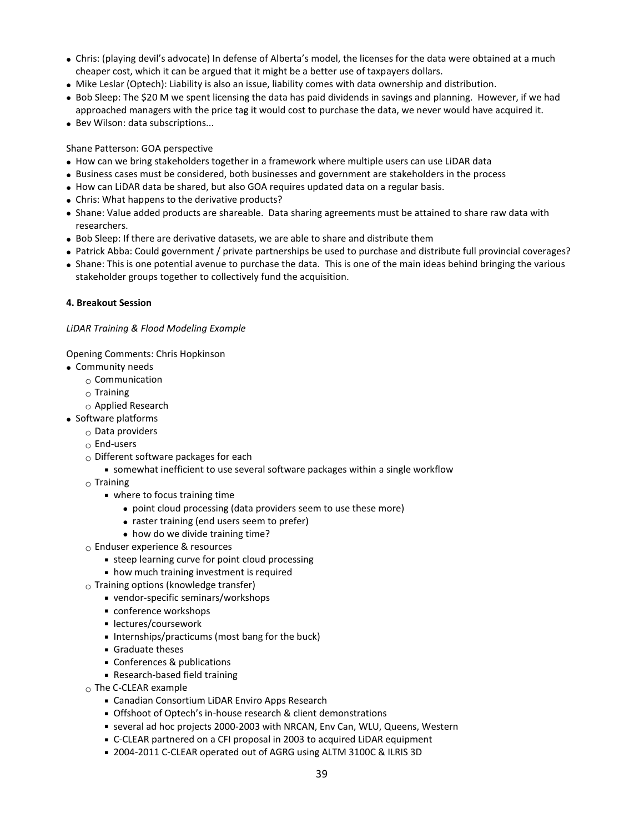- Chris: (playing devil's advocate) In defense of Alberta's model, the licenses for the data were obtained at a much cheaper cost, which it can be argued that it might be a better use of taxpayers dollars.
- Mike Leslar (Optech): Liability is also an issue, liability comes with data ownership and distribution.
- Bob Sleep: The \$20 M we spent licensing the data has paid dividends in savings and planning. However, if we had approached managers with the price tag it would cost to purchase the data, we never would have acquired it.
- Bev Wilson: data subscriptions...

Shane Patterson: GOA perspective

- How can we bring stakeholders together in a framework where multiple users can use LiDAR data
- Business cases must be considered, both businesses and government are stakeholders in the process
- How can LiDAR data be shared, but also GOA requires updated data on a regular basis.
- Chris: What happens to the derivative products?
- Shane: Value added products are shareable. Data sharing agreements must be attained to share raw data with researchers.
- Bob Sleep: If there are derivative datasets, we are able to share and distribute them
- Patrick Abba: Could government / private partnerships be used to purchase and distribute full provincial coverages?
- Shane: This is one potential avenue to purchase the data. This is one of the main ideas behind bringing the various stakeholder groups together to collectively fund the acquisition.

#### **4. Breakout Session**

#### *LiDAR Training & Flood Modeling Example*

Opening Comments: Chris Hopkinson

- Community needs
	- $\circ$  Communication
	- $\circ$  Training
	- $\circ$  Applied Research
- Software platforms
	- $\circ$  Data providers
	- $\circ$  End-users
	- o Different software packages for each
		- somewhat inefficient to use several software packages within a single workflow
	- $\circ$  Training
		- where to focus training time
			- point cloud processing (data providers seem to use these more)
			- raster training (end users seem to prefer)
			- how do we divide training time?
	- $\circ$  Enduser experience & resources
		- steep learning curve for point cloud processing
		- how much training investment is required
	- $\circ$  Training options (knowledge transfer)
		- vendor-specific seminars/workshops
		- conference workshops
		- lectures/coursework
		- Internships/practicums (most bang for the buck)
		- **Graduate theses**
		- Conferences & publications
		- Research-based field training
	- o The C-CLEAR example
		- Canadian Consortium LiDAR Enviro Apps Research
		- Offshoot of Optech's in-house research & client demonstrations
		- several ad hoc projects 2000-2003 with NRCAN, Env Can, WLU, Queens, Western
		- C-CLEAR partnered on a CFI proposal in 2003 to acquired LiDAR equipment
		- 2004-2011 C-CLEAR operated out of AGRG using ALTM 3100C & ILRIS 3D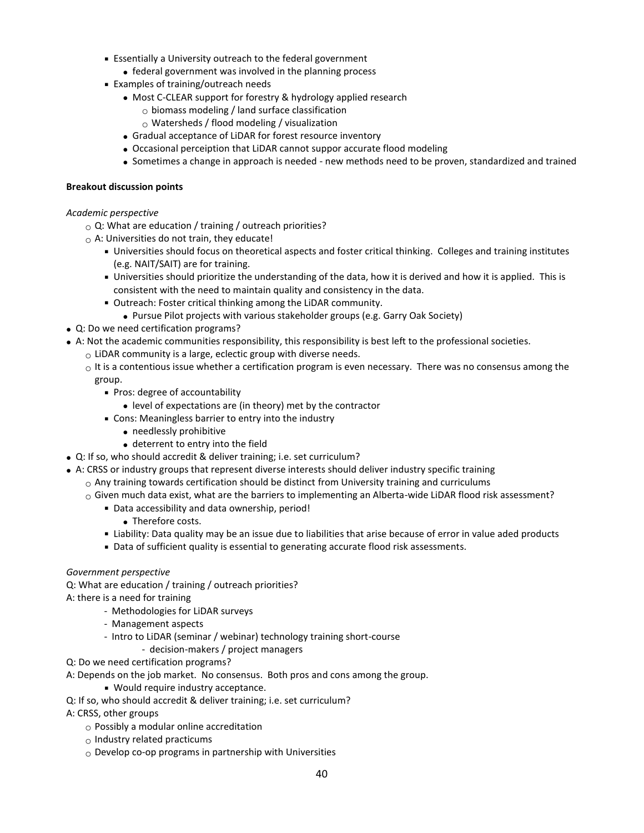- Essentially a University outreach to the federal government
	- federal government was involved in the planning process
- Examples of training/outreach needs
	- Most C-CLEAR support for forestry & hydrology applied research
		- $_{\odot}$  biomass modeling / land surface classification
		- $\circ$  Watersheds / flood modeling / visualization
	- Gradual acceptance of LiDAR for forest resource inventory
	- Occasional perceiption that LiDAR cannot suppor accurate flood modeling
	- Sometimes a change in approach is needed new methods need to be proven, standardized and trained

#### **Breakout discussion points**

#### *Academic perspective*

- $\circ$  Q: What are education / training / outreach priorities?
- $\circ$  A: Universities do not train, they educate!
	- Universities should focus on theoretical aspects and foster critical thinking. Colleges and training institutes (e.g. NAIT/SAIT) are for training.
	- Universities should prioritize the understanding of the data, how it is derived and how it is applied. This is consistent with the need to maintain quality and consistency in the data.
	- Outreach: Foster critical thinking among the LiDAR community.
		- Pursue Pilot projects with various stakeholder groups (e.g. Garry Oak Society)
- Q: Do we need certification programs?
- A: Not the academic communities responsibility, this responsibility is best left to the professional societies.
	- $\circ$  LiDAR community is a large, eclectic group with diverse needs.
	- $\circ$  It is a contentious issue whether a certification program is even necessary. There was no consensus among the group.
		- Pros: degree of accountability
			- level of expectations are (in theory) met by the contractor
		- Cons: Meaningless barrier to entry into the industry
			- needlessly prohibitive
			- deterrent to entry into the field
- Q: If so, who should accredit & deliver training; i.e. set curriculum?
- A: CRSS or industry groups that represent diverse interests should deliver industry specific training
	- $\circ$  Any training towards certification should be distinct from University training and curriculums
	- $\circ$  Given much data exist, what are the barriers to implementing an Alberta-wide LiDAR flood risk assessment?
		- Data accessibility and data ownership, period!
			- Therefore costs.
		- Liability: Data quality may be an issue due to liabilities that arise because of error in value aded products
		- Data of sufficient quality is essential to generating accurate flood risk assessments.

#### *Government perspective*

Q: What are education / training / outreach priorities?

- A: there is a need for training
	- Methodologies for LiDAR surveys
	- Management aspects
	- Intro to LiDAR (seminar / webinar) technology training short-course
		- decision-makers / project managers
- Q: Do we need certification programs?
- A: Depends on the job market. No consensus. Both pros and cons among the group.
	- Would require industry acceptance.
- Q: If so, who should accredit & deliver training; i.e. set curriculum?
- A: CRSS, other groups
	- $\circ$  Possibly a modular online accreditation
	- $\circ$  Industry related practicums
	- $\circ$  Develop co-op programs in partnership with Universities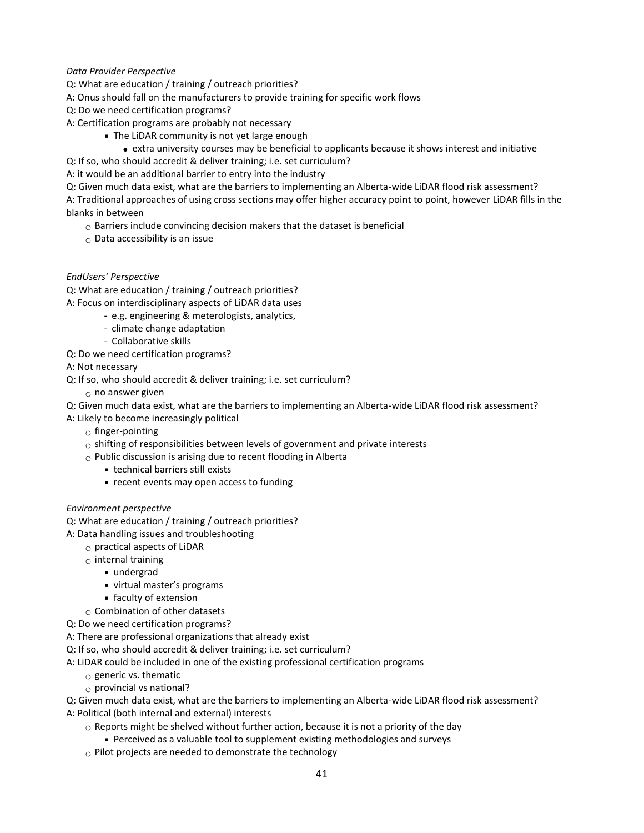## *Data Provider Perspective*

- Q: What are education / training / outreach priorities?
- A: Onus should fall on the manufacturers to provide training for specific work flows
- Q: Do we need certification programs?
- A: Certification programs are probably not necessary
	- The LiDAR community is not yet large enough
		- extra university courses may be beneficial to applicants because it shows interest and initiative
- Q: If so, who should accredit & deliver training; i.e. set curriculum?
- A: it would be an additional barrier to entry into the industry
- Q: Given much data exist, what are the barriers to implementing an Alberta-wide LiDAR flood risk assessment?

A: Traditional approaches of using cross sections may offer higher accuracy point to point, however LiDAR fills in the blanks in between

- $\circ$  Barriers include convincing decision makers that the dataset is beneficial
- $\circ$  Data accessibility is an issue

#### *EndUsers' Perspective*

Q: What are education / training / outreach priorities?

- A: Focus on interdisciplinary aspects of LiDAR data uses
	- e.g. engineering & meterologists, analytics,
	- climate change adaptation
	- Collaborative skills
- Q: Do we need certification programs?
- A: Not necessary
- Q: If so, who should accredit & deliver training; i.e. set curriculum?
	- $\circ$  no answer given

Q: Given much data exist, what are the barriers to implementing an Alberta-wide LiDAR flood risk assessment?

- A: Likely to become increasingly political
	- $\circ$  finger-pointing
	- $\circ$  shifting of responsibilities between levels of government and private interests
	- $\circ$  Public discussion is arising due to recent flooding in Alberta
		- technical barriers still exists
		- recent events may open access to funding

#### *Environment perspective*

- Q: What are education / training / outreach priorities?
- A: Data handling issues and troubleshooting
	- $\circ$  practical aspects of LiDAR
	- $\circ$  internal training
		- undergrad
		- virtual master's programs
		- faculty of extension
	- $\circ$  Combination of other datasets
- Q: Do we need certification programs?
- A: There are professional organizations that already exist
- Q: If so, who should accredit & deliver training; i.e. set curriculum?
- A: LiDAR could be included in one of the existing professional certification programs
	- $\circ$  generic vs. thematic
	- $\circ$  provincial vs national?

Q: Given much data exist, what are the barriers to implementing an Alberta-wide LiDAR flood risk assessment? A: Political (both internal and external) interests

- $\circ$  Reports might be shelved without further action, because it is not a priority of the day
	- Perceived as a valuable tool to supplement existing methodologies and surveys
- $\circ$  Pilot projects are needed to demonstrate the technology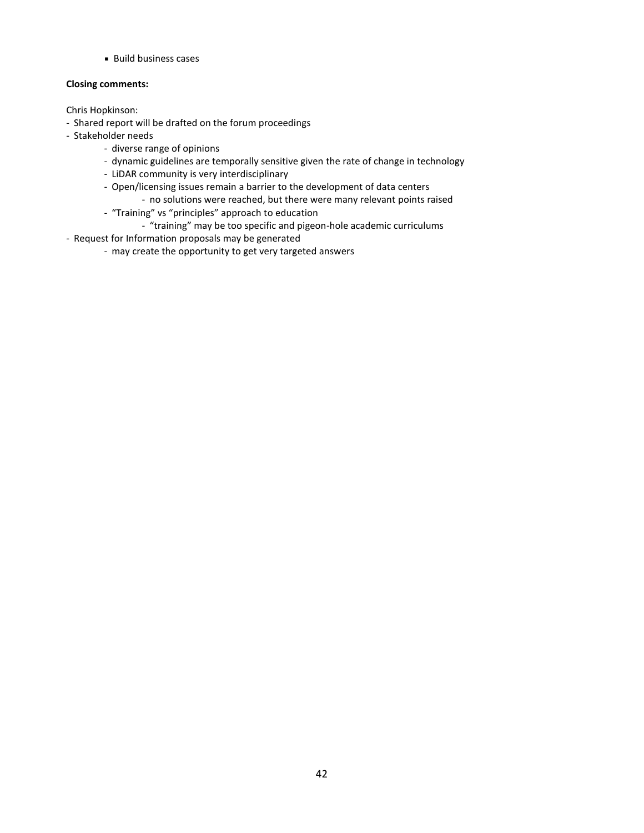**Build business cases** 

## **Closing comments:**

Chris Hopkinson:

- Shared report will be drafted on the forum proceedings
- Stakeholder needs
	- diverse range of opinions
	- dynamic guidelines are temporally sensitive given the rate of change in technology
	- LiDAR community is very interdisciplinary
	- Open/licensing issues remain a barrier to the development of data centers
		- no solutions were reached, but there were many relevant points raised
	- "Training" vs "principles" approach to education
		- "training" may be too specific and pigeon-hole academic curriculums
- Request for Information proposals may be generated
	- may create the opportunity to get very targeted answers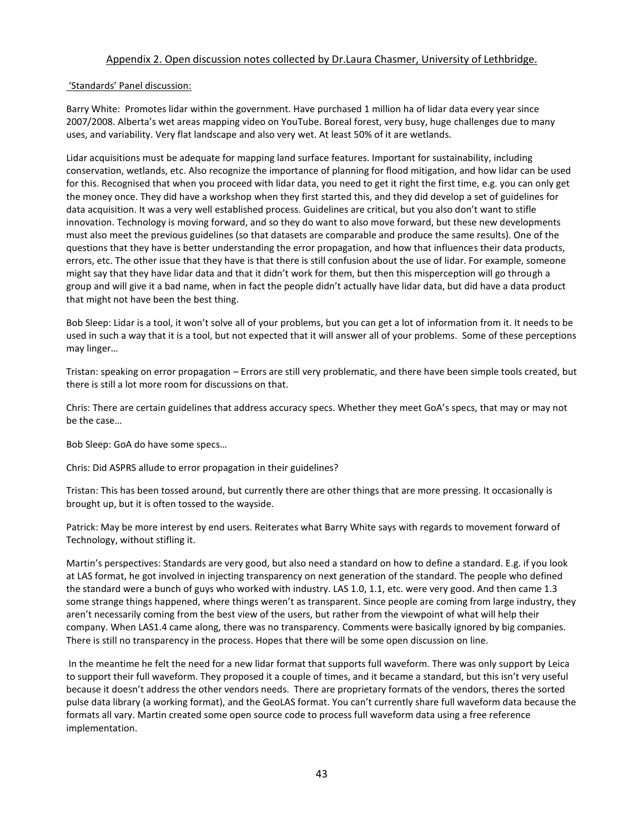## Appendix 2. Open discussion notes collected by Dr.Laura Chasmer, University of Lethbridge.

#### 'Standards' Panel discussion:

Barry White: Promotes lidar within the government. Have purchased 1 million ha of lidar data every year since 2007/2008. Alberta's wet areas mapping video on YouTube. Boreal forest, very busy, huge challenges due to many uses, and variability. Very flat landscape and also very wet. At least 50% of it are wetlands.

Lidar acquisitions must be adequate for mapping land surface features. Important for sustainability, including conservation, wetlands, etc. Also recognize the importance of planning for flood mitigation, and how lidar can be used for this. Recognised that when you proceed with lidar data, you need to get it right the first time, e.g. you can only get the money once. They did have a workshop when they first started this, and they did develop a set of guidelines for data acquisition. It was a very well established process. Guidelines are critical, but you also don't want to stifle innovation. Technology is moving forward, and so they do want to also move forward, but these new developments must also meet the previous guidelines (so that datasets are comparable and produce the same results). One of the questions that they have is better understanding the error propagation, and how that influences their data products, errors, etc. The other issue that they have is that there is still confusion about the use of lidar. For example, someone might say that they have lidar data and that it didn't work for them, but then this misperception will go through a group and will give it a bad name, when in fact the people didn't actually have lidar data, but did have a data product that might not have been the best thing.

Bob Sleep: Lidar is a tool, it won't solve all of your problems, but you can get a lot of information from it. It needs to be used in such a way that it is a tool, but not expected that it will answer all of your problems. Some of these perceptions may linger…

Tristan: speaking on error propagation – Errors are still very problematic, and there have been simple tools created, but there is still a lot more room for discussions on that.

Chris: There are certain guidelines that address accuracy specs. Whether they meet GoA's specs, that may or may not be the case…

Bob Sleep: GoA do have some specs…

Chris: Did ASPRS allude to error propagation in their guidelines?

Tristan: This has been tossed around, but currently there are other things that are more pressing. It occasionally is brought up, but it is often tossed to the wayside.

Patrick: May be more interest by end users. Reiterates what Barry White says with regards to movement forward of Technology, without stifling it.

Martin's perspectives: Standards are very good, but also need a standard on how to define a standard. E.g. if you look at LAS format, he got involved in injecting transparency on next generation of the standard. The people who defined the standard were a bunch of guys who worked with industry. LAS 1.0, 1.1, etc. were very good. And then came 1.3 some strange things happened, where things weren't as transparent. Since people are coming from large industry, they aren't necessarily coming from the best view of the users, but rather from the viewpoint of what will help their company. When LAS1.4 came along, there was no transparency. Comments were basically ignored by big companies. There is still no transparency in the process. Hopes that there will be some open discussion on line.

In the meantime he felt the need for a new lidar format that supports full waveform. There was only support by Leica to support their full waveform. They proposed it a couple of times, and it became a standard, but this isn't very useful because it doesn't address the other vendors needs. There are proprietary formats of the vendors, theres the sorted pulse data library (a working format), and the GeoLAS format. You can't currently share full waveform data because the formats all vary. Martin created some open source code to process full waveform data using a free reference implementation.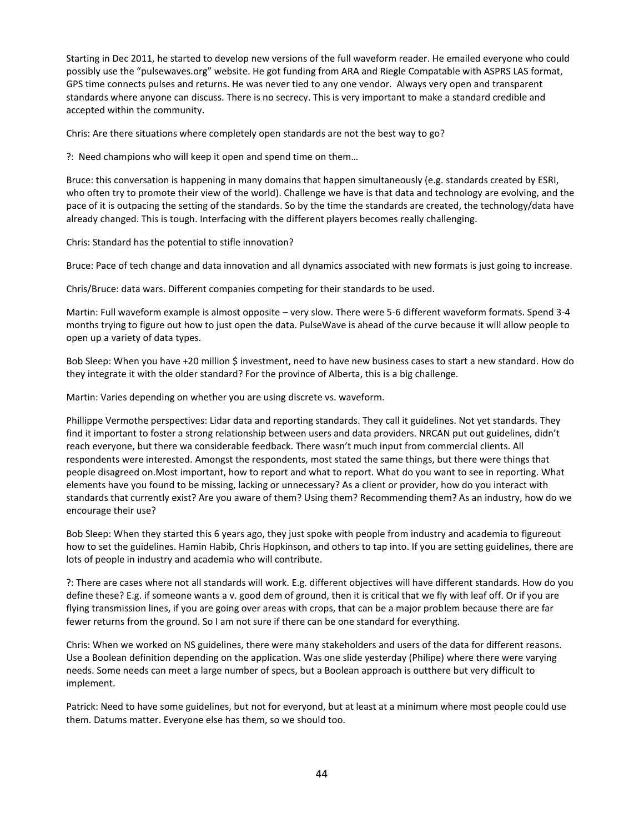Starting in Dec 2011, he started to develop new versions of the full waveform reader. He emailed everyone who could possibly use the "pulsewaves.org" website. He got funding from ARA and Riegle Compatable with ASPRS LAS format, GPS time connects pulses and returns. He was never tied to any one vendor. Always very open and transparent standards where anyone can discuss. There is no secrecy. This is very important to make a standard credible and accepted within the community.

Chris: Are there situations where completely open standards are not the best way to go?

?: Need champions who will keep it open and spend time on them…

Bruce: this conversation is happening in many domains that happen simultaneously (e.g. standards created by ESRI, who often try to promote their view of the world). Challenge we have is that data and technology are evolving, and the pace of it is outpacing the setting of the standards. So by the time the standards are created, the technology/data have already changed. This is tough. Interfacing with the different players becomes really challenging.

Chris: Standard has the potential to stifle innovation?

Bruce: Pace of tech change and data innovation and all dynamics associated with new formats is just going to increase.

Chris/Bruce: data wars. Different companies competing for their standards to be used.

Martin: Full waveform example is almost opposite – very slow. There were 5-6 different waveform formats. Spend 3-4 months trying to figure out how to just open the data. PulseWave is ahead of the curve because it will allow people to open up a variety of data types.

Bob Sleep: When you have +20 million \$ investment, need to have new business cases to start a new standard. How do they integrate it with the older standard? For the province of Alberta, this is a big challenge.

Martin: Varies depending on whether you are using discrete vs. waveform.

Phillippe Vermothe perspectives: Lidar data and reporting standards. They call it guidelines. Not yet standards. They find it important to foster a strong relationship between users and data providers. NRCAN put out guidelines, didn't reach everyone, but there wa considerable feedback. There wasn't much input from commercial clients. All respondents were interested. Amongst the respondents, most stated the same things, but there were things that people disagreed on.Most important, how to report and what to report. What do you want to see in reporting. What elements have you found to be missing, lacking or unnecessary? As a client or provider, how do you interact with standards that currently exist? Are you aware of them? Using them? Recommending them? As an industry, how do we encourage their use?

Bob Sleep: When they started this 6 years ago, they just spoke with people from industry and academia to figureout how to set the guidelines. Hamin Habib, Chris Hopkinson, and others to tap into. If you are setting guidelines, there are lots of people in industry and academia who will contribute.

?: There are cases where not all standards will work. E.g. different objectives will have different standards. How do you define these? E.g. if someone wants a v. good dem of ground, then it is critical that we fly with leaf off. Or if you are flying transmission lines, if you are going over areas with crops, that can be a major problem because there are far fewer returns from the ground. So I am not sure if there can be one standard for everything.

Chris: When we worked on NS guidelines, there were many stakeholders and users of the data for different reasons. Use a Boolean definition depending on the application. Was one slide yesterday (Philipe) where there were varying needs. Some needs can meet a large number of specs, but a Boolean approach is outthere but very difficult to implement.

Patrick: Need to have some guidelines, but not for everyond, but at least at a minimum where most people could use them. Datums matter. Everyone else has them, so we should too.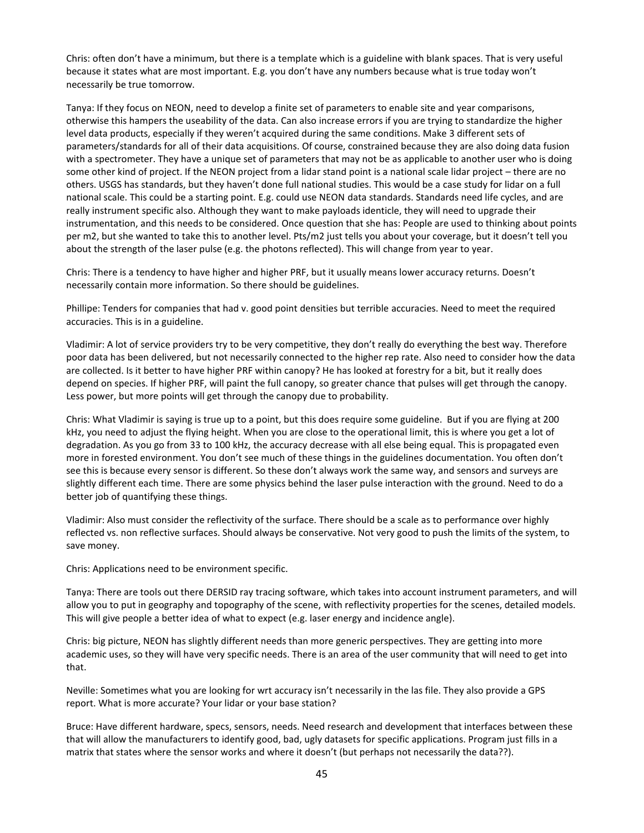Chris: often don't have a minimum, but there is a template which is a guideline with blank spaces. That is very useful because it states what are most important. E.g. you don't have any numbers because what is true today won't necessarily be true tomorrow.

Tanya: If they focus on NEON, need to develop a finite set of parameters to enable site and year comparisons, otherwise this hampers the useability of the data. Can also increase errors if you are trying to standardize the higher level data products, especially if they weren't acquired during the same conditions. Make 3 different sets of parameters/standards for all of their data acquisitions. Of course, constrained because they are also doing data fusion with a spectrometer. They have a unique set of parameters that may not be as applicable to another user who is doing some other kind of project. If the NEON project from a lidar stand point is a national scale lidar project – there are no others. USGS has standards, but they haven't done full national studies. This would be a case study for lidar on a full national scale. This could be a starting point. E.g. could use NEON data standards. Standards need life cycles, and are really instrument specific also. Although they want to make payloads identicle, they will need to upgrade their instrumentation, and this needs to be considered. Once question that she has: People are used to thinking about points per m2, but she wanted to take this to another level. Pts/m2 just tells you about your coverage, but it doesn't tell you about the strength of the laser pulse (e.g. the photons reflected). This will change from year to year.

Chris: There is a tendency to have higher and higher PRF, but it usually means lower accuracy returns. Doesn't necessarily contain more information. So there should be guidelines.

Phillipe: Tenders for companies that had v. good point densities but terrible accuracies. Need to meet the required accuracies. This is in a guideline.

Vladimir: A lot of service providers try to be very competitive, they don't really do everything the best way. Therefore poor data has been delivered, but not necessarily connected to the higher rep rate. Also need to consider how the data are collected. Is it better to have higher PRF within canopy? He has looked at forestry for a bit, but it really does depend on species. If higher PRF, will paint the full canopy, so greater chance that pulses will get through the canopy. Less power, but more points will get through the canopy due to probability.

Chris: What Vladimir is saying is true up to a point, but this does require some guideline. But if you are flying at 200 kHz, you need to adjust the flying height. When you are close to the operational limit, this is where you get a lot of degradation. As you go from 33 to 100 kHz, the accuracy decrease with all else being equal. This is propagated even more in forested environment. You don't see much of these things in the guidelines documentation. You often don't see this is because every sensor is different. So these don't always work the same way, and sensors and surveys are slightly different each time. There are some physics behind the laser pulse interaction with the ground. Need to do a better job of quantifying these things.

Vladimir: Also must consider the reflectivity of the surface. There should be a scale as to performance over highly reflected vs. non reflective surfaces. Should always be conservative. Not very good to push the limits of the system, to save money.

Chris: Applications need to be environment specific.

Tanya: There are tools out there DERSID ray tracing software, which takes into account instrument parameters, and will allow you to put in geography and topography of the scene, with reflectivity properties for the scenes, detailed models. This will give people a better idea of what to expect (e.g. laser energy and incidence angle).

Chris: big picture, NEON has slightly different needs than more generic perspectives. They are getting into more academic uses, so they will have very specific needs. There is an area of the user community that will need to get into that.

Neville: Sometimes what you are looking for wrt accuracy isn't necessarily in the las file. They also provide a GPS report. What is more accurate? Your lidar or your base station?

Bruce: Have different hardware, specs, sensors, needs. Need research and development that interfaces between these that will allow the manufacturers to identify good, bad, ugly datasets for specific applications. Program just fills in a matrix that states where the sensor works and where it doesn't (but perhaps not necessarily the data??).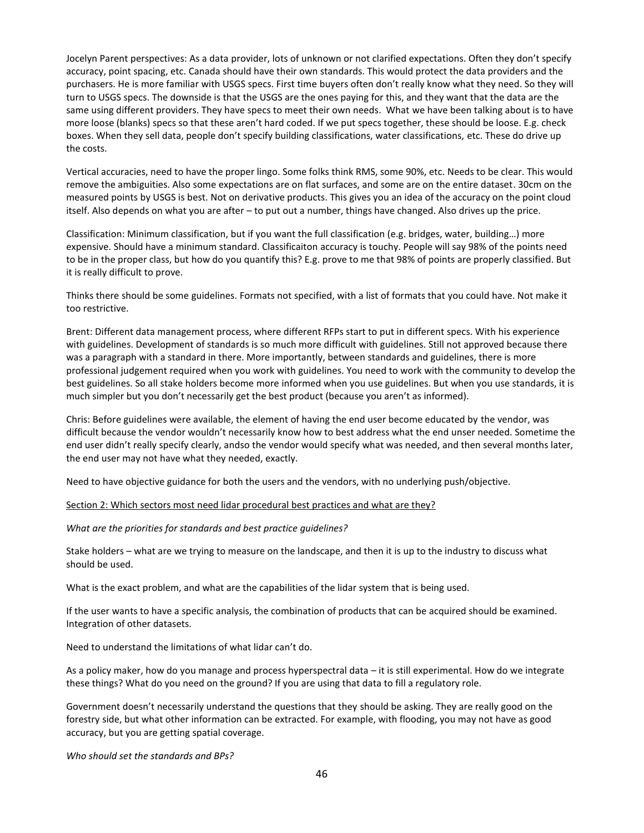Jocelyn Parent perspectives: As a data provider, lots of unknown or not clarified expectations. Often they don't specify accuracy, point spacing, etc. Canada should have their own standards. This would protect the data providers and the purchasers. He is more familiar with USGS specs. First time buyers often don't really know what they need. So they will turn to USGS specs. The downside is that the USGS are the ones paying for this, and they want that the data are the same using different providers. They have specs to meet their own needs. What we have been talking about is to have more loose (blanks) specs so that these aren't hard coded. If we put specs together, these should be loose. E.g. check boxes. When they sell data, people don't specify building classifications, water classifications, etc. These do drive up the costs.

Vertical accuracies, need to have the proper lingo. Some folks think RMS, some 90%, etc. Needs to be clear. This would remove the ambiguities. Also some expectations are on flat surfaces, and some are on the entire dataset. 30cm on the measured points by USGS is best. Not on derivative products. This gives you an idea of the accuracy on the point cloud itself. Also depends on what you are after – to put out a number, things have changed. Also drives up the price.

Classification: Minimum classification, but if you want the full classification (e.g. bridges, water, building…) more expensive. Should have a minimum standard. Classificaiton accuracy is touchy. People will say 98% of the points need to be in the proper class, but how do you quantify this? E.g. prove to me that 98% of points are properly classified. But it is really difficult to prove.

Thinks there should be some guidelines. Formats not specified, with a list of formats that you could have. Not make it too restrictive.

Brent: Different data management process, where different RFPs start to put in different specs. With his experience with guidelines. Development of standards is so much more difficult with guidelines. Still not approved because there was a paragraph with a standard in there. More importantly, between standards and guidelines, there is more professional judgement required when you work with guidelines. You need to work with the community to develop the best guidelines. So all stake holders become more informed when you use guidelines. But when you use standards, it is much simpler but you don't necessarily get the best product (because you aren't as informed).

Chris: Before guidelines were available, the element of having the end user become educated by the vendor, was difficult because the vendor wouldn't necessarily know how to best address what the end unser needed. Sometime the end user didn't really specify clearly, andso the vendor would specify what was needed, and then several months later, the end user may not have what they needed, exactly.

Need to have objective guidance for both the users and the vendors, with no underlying push/objective.

Section 2: Which sectors most need lidar procedural best practices and what are they?

*What are the priorities for standards and best practice guidelines?*

Stake holders – what are we trying to measure on the landscape, and then it is up to the industry to discuss what should be used.

What is the exact problem, and what are the capabilities of the lidar system that is being used.

If the user wants to have a specific analysis, the combination of products that can be acquired should be examined. Integration of other datasets.

Need to understand the limitations of what lidar can't do.

As a policy maker, how do you manage and process hyperspectral data – it is still experimental. How do we integrate these things? What do you need on the ground? If you are using that data to fill a regulatory role.

Government doesn't necessarily understand the questions that they should be asking. They are really good on the forestry side, but what other information can be extracted. For example, with flooding, you may not have as good accuracy, but you are getting spatial coverage.

*Who should set the standards and BPs?*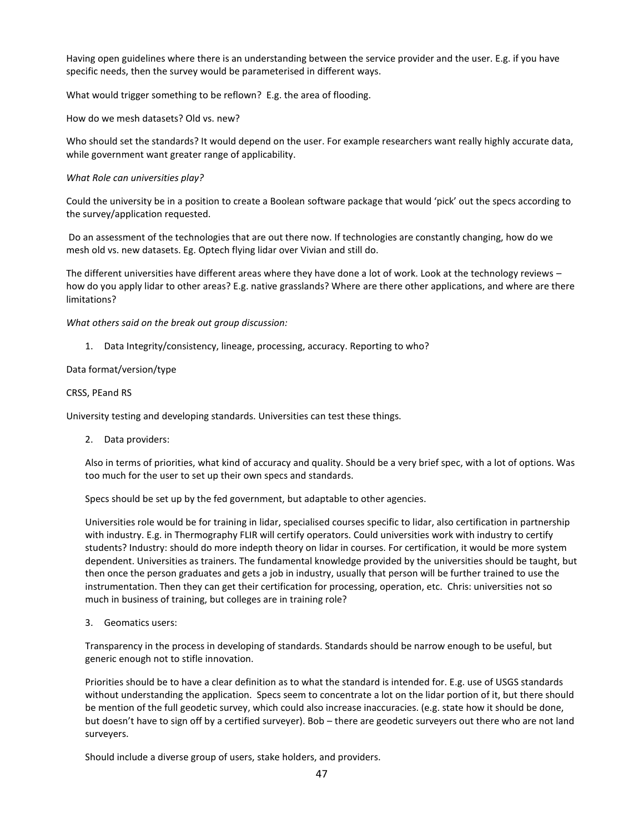Having open guidelines where there is an understanding between the service provider and the user. E.g. if you have specific needs, then the survey would be parameterised in different ways.

What would trigger something to be reflown? E.g. the area of flooding.

How do we mesh datasets? Old vs. new?

Who should set the standards? It would depend on the user. For example researchers want really highly accurate data, while government want greater range of applicability.

#### *What Role can universities play?*

Could the university be in a position to create a Boolean software package that would 'pick' out the specs according to the survey/application requested.

Do an assessment of the technologies that are out there now. If technologies are constantly changing, how do we mesh old vs. new datasets. Eg. Optech flying lidar over Vivian and still do.

The different universities have different areas where they have done a lot of work. Look at the technology reviews – how do you apply lidar to other areas? E.g. native grasslands? Where are there other applications, and where are there limitations?

*What others said on the break out group discussion:*

1. Data Integrity/consistency, lineage, processing, accuracy. Reporting to who?

#### Data format/version/type

#### CRSS, PEand RS

University testing and developing standards. Universities can test these things.

2. Data providers:

Also in terms of priorities, what kind of accuracy and quality. Should be a very brief spec, with a lot of options. Was too much for the user to set up their own specs and standards.

Specs should be set up by the fed government, but adaptable to other agencies.

Universities role would be for training in lidar, specialised courses specific to lidar, also certification in partnership with industry. E.g. in Thermography FLIR will certify operators. Could universities work with industry to certify students? Industry: should do more indepth theory on lidar in courses. For certification, it would be more system dependent. Universities as trainers. The fundamental knowledge provided by the universities should be taught, but then once the person graduates and gets a job in industry, usually that person will be further trained to use the instrumentation. Then they can get their certification for processing, operation, etc. Chris: universities not so much in business of training, but colleges are in training role?

3. Geomatics users:

Transparency in the process in developing of standards. Standards should be narrow enough to be useful, but generic enough not to stifle innovation.

Priorities should be to have a clear definition as to what the standard is intended for. E.g. use of USGS standards without understanding the application. Specs seem to concentrate a lot on the lidar portion of it, but there should be mention of the full geodetic survey, which could also increase inaccuracies. (e.g. state how it should be done, but doesn't have to sign off by a certified surveyer). Bob – there are geodetic surveyers out there who are not land surveyers.

Should include a diverse group of users, stake holders, and providers.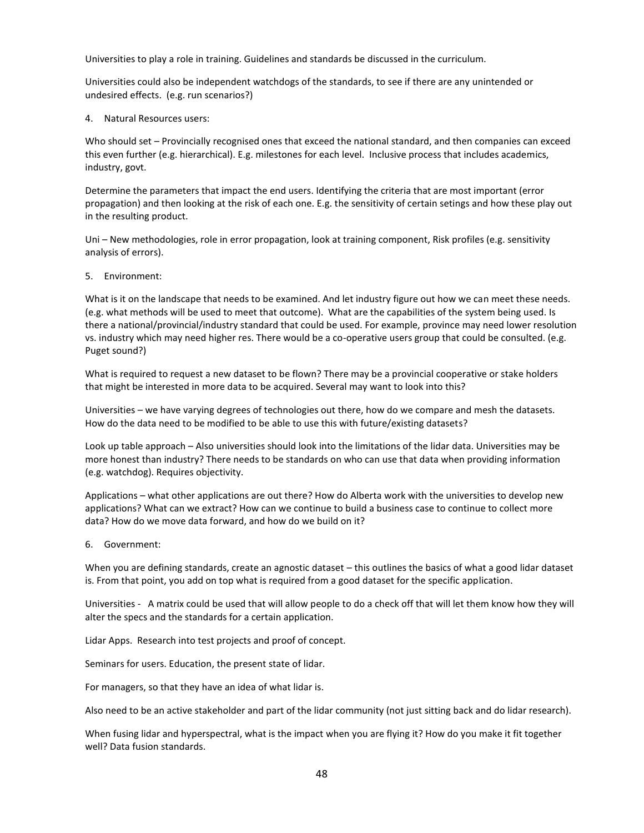Universities to play a role in training. Guidelines and standards be discussed in the curriculum.

Universities could also be independent watchdogs of the standards, to see if there are any unintended or undesired effects. (e.g. run scenarios?)

4. Natural Resources users:

Who should set – Provincially recognised ones that exceed the national standard, and then companies can exceed this even further (e.g. hierarchical). E.g. milestones for each level. Inclusive process that includes academics, industry, govt.

Determine the parameters that impact the end users. Identifying the criteria that are most important (error propagation) and then looking at the risk of each one. E.g. the sensitivity of certain setings and how these play out in the resulting product.

Uni – New methodologies, role in error propagation, look at training component, Risk profiles (e.g. sensitivity analysis of errors).

5. Environment:

What is it on the landscape that needs to be examined. And let industry figure out how we can meet these needs. (e.g. what methods will be used to meet that outcome). What are the capabilities of the system being used. Is there a national/provincial/industry standard that could be used. For example, province may need lower resolution vs. industry which may need higher res. There would be a co-operative users group that could be consulted. (e.g. Puget sound?)

What is required to request a new dataset to be flown? There may be a provincial cooperative or stake holders that might be interested in more data to be acquired. Several may want to look into this?

Universities – we have varying degrees of technologies out there, how do we compare and mesh the datasets. How do the data need to be modified to be able to use this with future/existing datasets?

Look up table approach – Also universities should look into the limitations of the lidar data. Universities may be more honest than industry? There needs to be standards on who can use that data when providing information (e.g. watchdog). Requires objectivity.

Applications – what other applications are out there? How do Alberta work with the universities to develop new applications? What can we extract? How can we continue to build a business case to continue to collect more data? How do we move data forward, and how do we build on it?

6. Government:

When you are defining standards, create an agnostic dataset – this outlines the basics of what a good lidar dataset is. From that point, you add on top what is required from a good dataset for the specific application.

Universities - A matrix could be used that will allow people to do a check off that will let them know how they will alter the specs and the standards for a certain application.

Lidar Apps. Research into test projects and proof of concept.

Seminars for users. Education, the present state of lidar.

For managers, so that they have an idea of what lidar is.

Also need to be an active stakeholder and part of the lidar community (not just sitting back and do lidar research).

When fusing lidar and hyperspectral, what is the impact when you are flying it? How do you make it fit together well? Data fusion standards.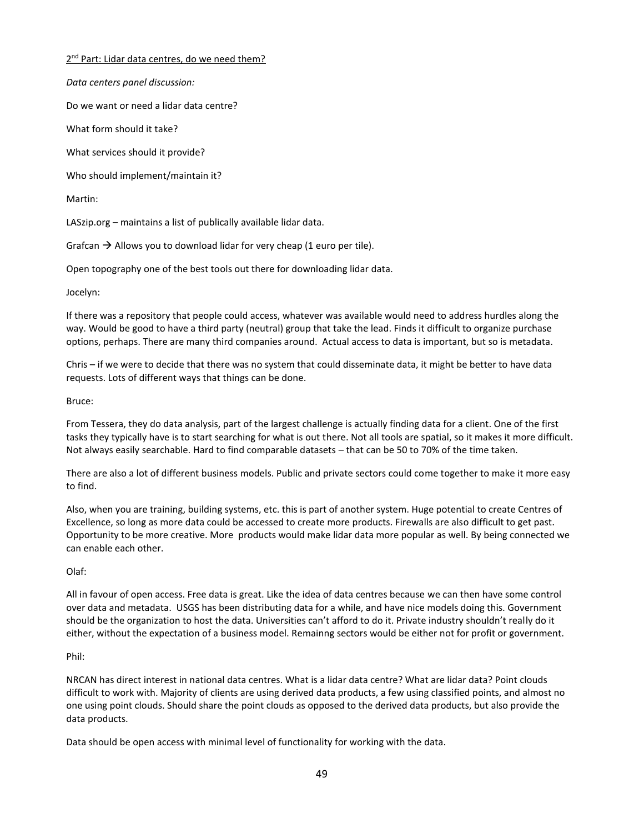2<sup>nd</sup> Part: Lidar data centres, do we need them?

*Data centers panel discussion:*

Do we want or need a lidar data centre?

What form should it take?

What services should it provide?

Who should implement/maintain it?

Martin:

LASzip.org – maintains a list of publically available lidar data.

Grafcan  $\rightarrow$  Allows you to download lidar for very cheap (1 euro per tile).

Open topography one of the best tools out there for downloading lidar data.

Jocelyn:

If there was a repository that people could access, whatever was available would need to address hurdles along the way. Would be good to have a third party (neutral) group that take the lead. Finds it difficult to organize purchase options, perhaps. There are many third companies around. Actual access to data is important, but so is metadata.

Chris – if we were to decide that there was no system that could disseminate data, it might be better to have data requests. Lots of different ways that things can be done.

Bruce:

From Tessera, they do data analysis, part of the largest challenge is actually finding data for a client. One of the first tasks they typically have is to start searching for what is out there. Not all tools are spatial, so it makes it more difficult. Not always easily searchable. Hard to find comparable datasets – that can be 50 to 70% of the time taken.

There are also a lot of different business models. Public and private sectors could come together to make it more easy to find.

Also, when you are training, building systems, etc. this is part of another system. Huge potential to create Centres of Excellence, so long as more data could be accessed to create more products. Firewalls are also difficult to get past. Opportunity to be more creative. More products would make lidar data more popular as well. By being connected we can enable each other.

Olaf:

All in favour of open access. Free data is great. Like the idea of data centres because we can then have some control over data and metadata. USGS has been distributing data for a while, and have nice models doing this. Government should be the organization to host the data. Universities can't afford to do it. Private industry shouldn't really do it either, without the expectation of a business model. Remainng sectors would be either not for profit or government.

#### Phil:

NRCAN has direct interest in national data centres. What is a lidar data centre? What are lidar data? Point clouds difficult to work with. Majority of clients are using derived data products, a few using classified points, and almost no one using point clouds. Should share the point clouds as opposed to the derived data products, but also provide the data products.

Data should be open access with minimal level of functionality for working with the data.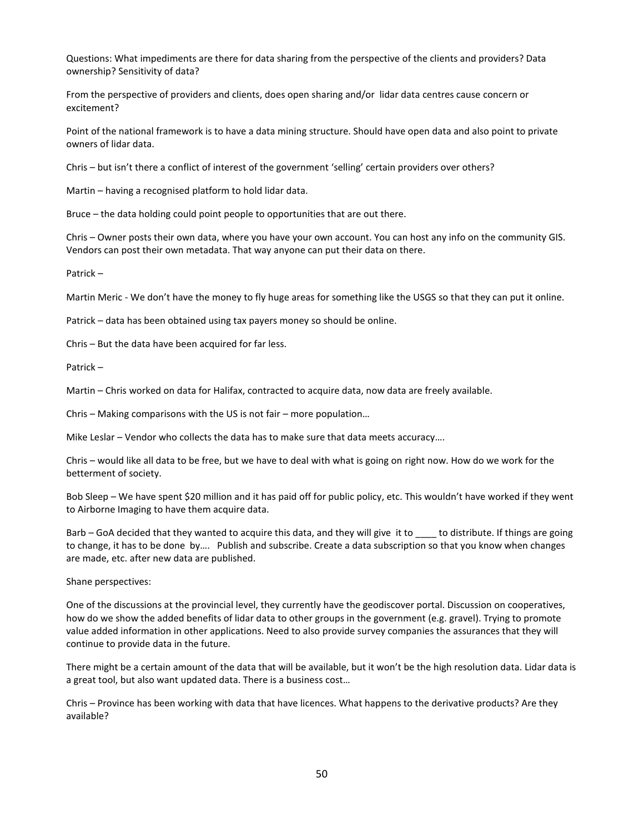Questions: What impediments are there for data sharing from the perspective of the clients and providers? Data ownership? Sensitivity of data?

From the perspective of providers and clients, does open sharing and/or lidar data centres cause concern or excitement?

Point of the national framework is to have a data mining structure. Should have open data and also point to private owners of lidar data.

Chris – but isn't there a conflict of interest of the government 'selling' certain providers over others?

Martin – having a recognised platform to hold lidar data.

Bruce – the data holding could point people to opportunities that are out there.

Chris – Owner posts their own data, where you have your own account. You can host any info on the community GIS. Vendors can post their own metadata. That way anyone can put their data on there.

Patrick –

Martin Meric - We don't have the money to fly huge areas for something like the USGS so that they can put it online.

Patrick – data has been obtained using tax payers money so should be online.

Chris – But the data have been acquired for far less.

Patrick –

Martin – Chris worked on data for Halifax, contracted to acquire data, now data are freely available.

Chris – Making comparisons with the US is not fair – more population…

Mike Leslar – Vendor who collects the data has to make sure that data meets accuracy….

Chris – would like all data to be free, but we have to deal with what is going on right now. How do we work for the betterment of society.

Bob Sleep – We have spent \$20 million and it has paid off for public policy, etc. This wouldn't have worked if they went to Airborne Imaging to have them acquire data.

Barb – GoA decided that they wanted to acquire this data, and they will give it to \_\_\_\_ to distribute. If things are going to change, it has to be done by…. Publish and subscribe. Create a data subscription so that you know when changes are made, etc. after new data are published.

Shane perspectives:

One of the discussions at the provincial level, they currently have the geodiscover portal. Discussion on cooperatives, how do we show the added benefits of lidar data to other groups in the government (e.g. gravel). Trying to promote value added information in other applications. Need to also provide survey companies the assurances that they will continue to provide data in the future.

There might be a certain amount of the data that will be available, but it won't be the high resolution data. Lidar data is a great tool, but also want updated data. There is a business cost…

Chris – Province has been working with data that have licences. What happens to the derivative products? Are they available?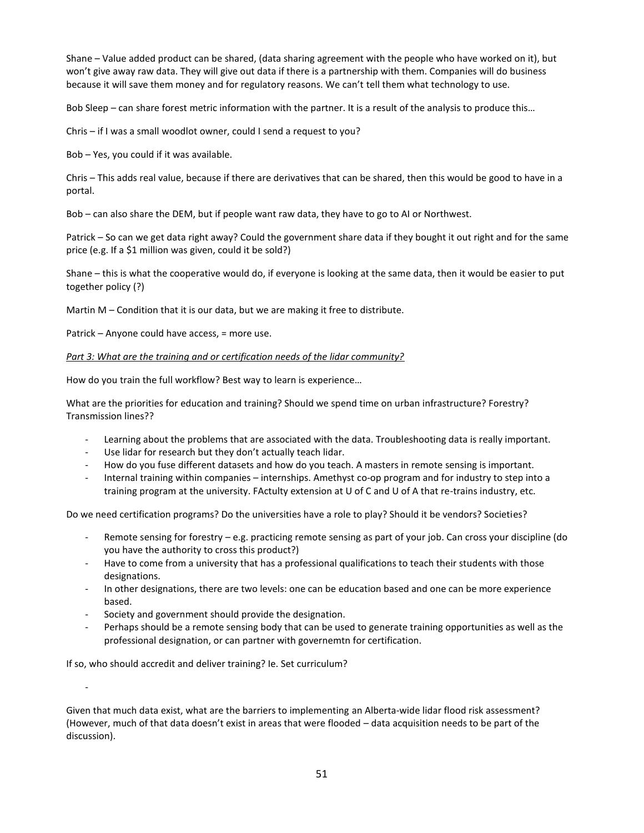Shane – Value added product can be shared, (data sharing agreement with the people who have worked on it), but won't give away raw data. They will give out data if there is a partnership with them. Companies will do business because it will save them money and for regulatory reasons. We can't tell them what technology to use.

Bob Sleep – can share forest metric information with the partner. It is a result of the analysis to produce this…

Chris – if I was a small woodlot owner, could I send a request to you?

Bob – Yes, you could if it was available.

Chris – This adds real value, because if there are derivatives that can be shared, then this would be good to have in a portal.

Bob – can also share the DEM, but if people want raw data, they have to go to AI or Northwest.

Patrick – So can we get data right away? Could the government share data if they bought it out right and for the same price (e.g. If a \$1 million was given, could it be sold?)

Shane – this is what the cooperative would do, if everyone is looking at the same data, then it would be easier to put together policy (?)

Martin M – Condition that it is our data, but we are making it free to distribute.

Patrick – Anyone could have access, = more use.

#### *Part 3: What are the training and or certification needs of the lidar community?*

How do you train the full workflow? Best way to learn is experience…

What are the priorities for education and training? Should we spend time on urban infrastructure? Forestry? Transmission lines??

- Learning about the problems that are associated with the data. Troubleshooting data is really important.
- Use lidar for research but they don't actually teach lidar.
- How do you fuse different datasets and how do you teach. A masters in remote sensing is important.
- Internal training within companies internships. Amethyst co-op program and for industry to step into a training program at the university. FActulty extension at U of C and U of A that re-trains industry, etc.

Do we need certification programs? Do the universities have a role to play? Should it be vendors? Societies?

- Remote sensing for forestry e.g. practicing remote sensing as part of your job. Can cross your discipline (do you have the authority to cross this product?)
- Have to come from a university that has a professional qualifications to teach their students with those designations.
- In other designations, there are two levels: one can be education based and one can be more experience based.
- Society and government should provide the designation.
- Perhaps should be a remote sensing body that can be used to generate training opportunities as well as the professional designation, or can partner with governemtn for certification.

If so, who should accredit and deliver training? Ie. Set curriculum?

-

Given that much data exist, what are the barriers to implementing an Alberta-wide lidar flood risk assessment? (However, much of that data doesn't exist in areas that were flooded – data acquisition needs to be part of the discussion).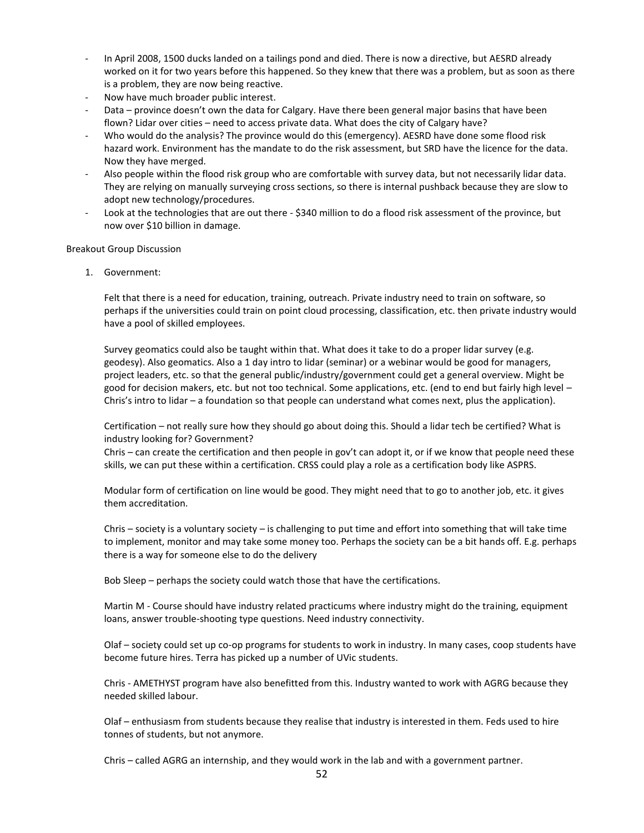- In April 2008, 1500 ducks landed on a tailings pond and died. There is now a directive, but AESRD already worked on it for two years before this happened. So they knew that there was a problem, but as soon as there is a problem, they are now being reactive.
- Now have much broader public interest.
- Data province doesn't own the data for Calgary. Have there been general major basins that have been flown? Lidar over cities – need to access private data. What does the city of Calgary have?
- Who would do the analysis? The province would do this (emergency). AESRD have done some flood risk hazard work. Environment has the mandate to do the risk assessment, but SRD have the licence for the data. Now they have merged.
- Also people within the flood risk group who are comfortable with survey data, but not necessarily lidar data. They are relying on manually surveying cross sections, so there is internal pushback because they are slow to adopt new technology/procedures.
- Look at the technologies that are out there \$340 million to do a flood risk assessment of the province, but now over \$10 billion in damage.

#### Breakout Group Discussion

1. Government:

Felt that there is a need for education, training, outreach. Private industry need to train on software, so perhaps if the universities could train on point cloud processing, classification, etc. then private industry would have a pool of skilled employees.

Survey geomatics could also be taught within that. What does it take to do a proper lidar survey (e.g. geodesy). Also geomatics. Also a 1 day intro to lidar (seminar) or a webinar would be good for managers, project leaders, etc. so that the general public/industry/government could get a general overview. Might be good for decision makers, etc. but not too technical. Some applications, etc. (end to end but fairly high level – Chris's intro to lidar – a foundation so that people can understand what comes next, plus the application).

Certification – not really sure how they should go about doing this. Should a lidar tech be certified? What is industry looking for? Government?

Chris – can create the certification and then people in gov't can adopt it, or if we know that people need these skills, we can put these within a certification. CRSS could play a role as a certification body like ASPRS.

Modular form of certification on line would be good. They might need that to go to another job, etc. it gives them accreditation.

Chris – society is a voluntary society – is challenging to put time and effort into something that will take time to implement, monitor and may take some money too. Perhaps the society can be a bit hands off. E.g. perhaps there is a way for someone else to do the delivery

Bob Sleep – perhaps the society could watch those that have the certifications.

Martin M - Course should have industry related practicums where industry might do the training, equipment loans, answer trouble-shooting type questions. Need industry connectivity.

Olaf – society could set up co-op programs for students to work in industry. In many cases, coop students have become future hires. Terra has picked up a number of UVic students.

Chris - AMETHYST program have also benefitted from this. Industry wanted to work with AGRG because they needed skilled labour.

Olaf – enthusiasm from students because they realise that industry is interested in them. Feds used to hire tonnes of students, but not anymore.

Chris – called AGRG an internship, and they would work in the lab and with a government partner.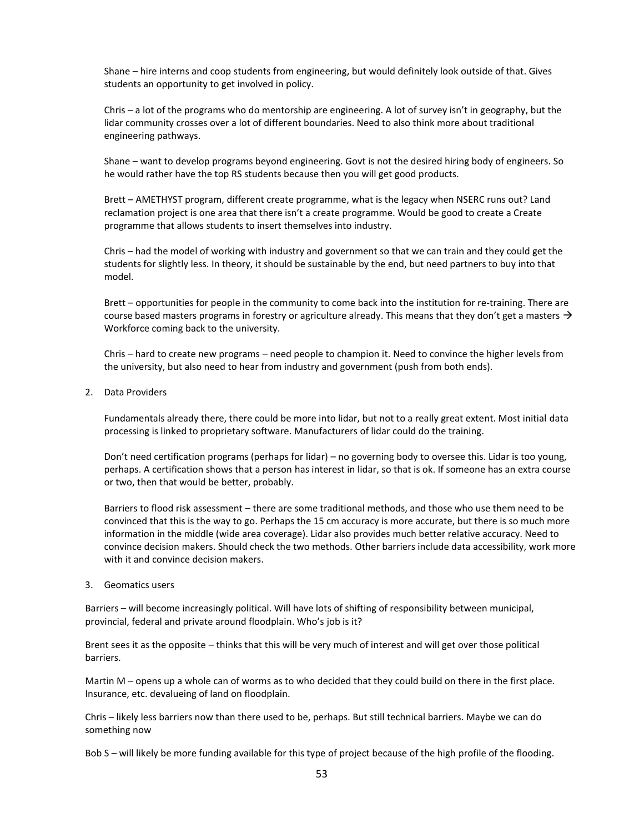Shane – hire interns and coop students from engineering, but would definitely look outside of that. Gives students an opportunity to get involved in policy.

Chris – a lot of the programs who do mentorship are engineering. A lot of survey isn't in geography, but the lidar community crosses over a lot of different boundaries. Need to also think more about traditional engineering pathways.

Shane – want to develop programs beyond engineering. Govt is not the desired hiring body of engineers. So he would rather have the top RS students because then you will get good products.

Brett – AMETHYST program, different create programme, what is the legacy when NSERC runs out? Land reclamation project is one area that there isn't a create programme. Would be good to create a Create programme that allows students to insert themselves into industry.

Chris – had the model of working with industry and government so that we can train and they could get the students for slightly less. In theory, it should be sustainable by the end, but need partners to buy into that model.

Brett – opportunities for people in the community to come back into the institution for re-training. There are course based masters programs in forestry or agriculture already. This means that they don't get a masters  $\rightarrow$ Workforce coming back to the university.

Chris – hard to create new programs – need people to champion it. Need to convince the higher levels from the university, but also need to hear from industry and government (push from both ends).

2. Data Providers

Fundamentals already there, there could be more into lidar, but not to a really great extent. Most initial data processing is linked to proprietary software. Manufacturers of lidar could do the training.

Don't need certification programs (perhaps for lidar) – no governing body to oversee this. Lidar is too young, perhaps. A certification shows that a person has interest in lidar, so that is ok. If someone has an extra course or two, then that would be better, probably.

Barriers to flood risk assessment – there are some traditional methods, and those who use them need to be convinced that this is the way to go. Perhaps the 15 cm accuracy is more accurate, but there is so much more information in the middle (wide area coverage). Lidar also provides much better relative accuracy. Need to convince decision makers. Should check the two methods. Other barriers include data accessibility, work more with it and convince decision makers.

3. Geomatics users

Barriers – will become increasingly political. Will have lots of shifting of responsibility between municipal, provincial, federal and private around floodplain. Who's job is it?

Brent sees it as the opposite – thinks that this will be very much of interest and will get over those political barriers.

Martin M – opens up a whole can of worms as to who decided that they could build on there in the first place. Insurance, etc. devalueing of land on floodplain.

Chris – likely less barriers now than there used to be, perhaps. But still technical barriers. Maybe we can do something now

Bob S – will likely be more funding available for this type of project because of the high profile of the flooding.